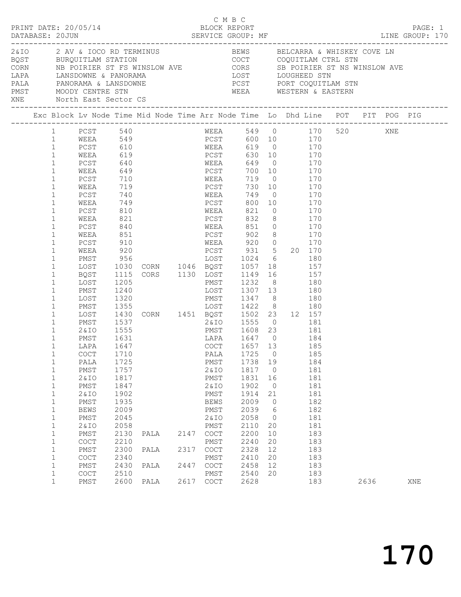|                                                                                                                                                                                                                                                                                                                                                                                                                                                                                                                                                                                                                                                            | PRINT DATE: 20/05/14                                                                                                                                                                                                                                                                                                                                                        |                                                                                                                                                                                                                                                                                 |                                                                                                                  |                      | C M B C<br>BLOCK REPORT                                                                                                                                                                                                                                                                                                                                                                                                                                                                                                                                                                                  |                                                                                                                                                                                                |                                                                                                                       |                                                             |                                                                                                                            |      | PAGE: 1 |
|------------------------------------------------------------------------------------------------------------------------------------------------------------------------------------------------------------------------------------------------------------------------------------------------------------------------------------------------------------------------------------------------------------------------------------------------------------------------------------------------------------------------------------------------------------------------------------------------------------------------------------------------------------|-----------------------------------------------------------------------------------------------------------------------------------------------------------------------------------------------------------------------------------------------------------------------------------------------------------------------------------------------------------------------------|---------------------------------------------------------------------------------------------------------------------------------------------------------------------------------------------------------------------------------------------------------------------------------|------------------------------------------------------------------------------------------------------------------|----------------------|----------------------------------------------------------------------------------------------------------------------------------------------------------------------------------------------------------------------------------------------------------------------------------------------------------------------------------------------------------------------------------------------------------------------------------------------------------------------------------------------------------------------------------------------------------------------------------------------------------|------------------------------------------------------------------------------------------------------------------------------------------------------------------------------------------------|-----------------------------------------------------------------------------------------------------------------------|-------------------------------------------------------------|----------------------------------------------------------------------------------------------------------------------------|------|---------|
|                                                                                                                                                                                                                                                                                                                                                                                                                                                                                                                                                                                                                                                            | XNE North East Sector CS                                                                                                                                                                                                                                                                                                                                                    |                                                                                                                                                                                                                                                                                 |                                                                                                                  |                      | WEEA WESTERN & EASTERN                                                                                                                                                                                                                                                                                                                                                                                                                                                                                                                                                                                   |                                                                                                                                                                                                |                                                                                                                       |                                                             |                                                                                                                            |      |         |
|                                                                                                                                                                                                                                                                                                                                                                                                                                                                                                                                                                                                                                                            |                                                                                                                                                                                                                                                                                                                                                                             |                                                                                                                                                                                                                                                                                 |                                                                                                                  |                      |                                                                                                                                                                                                                                                                                                                                                                                                                                                                                                                                                                                                          |                                                                                                                                                                                                |                                                                                                                       |                                                             |                                                                                                                            |      |         |
| $\mathbf{1}$<br>1<br>$\mathbf{1}$<br>$\mathbf{1}$<br>$\mathbf{1}$<br>$\mathbf{1}$<br>$\mathbf{1}$<br>$\mathbf{1}$<br>$\mathbf{1}$<br>$\mathbf{1}$<br>$\mathbf{1}$<br>$\mathbf{1}$<br>$\mathbf{1}$<br>$\mathbf 1$<br>$\mathbf{1}$<br>$\mathbf{1}$<br>$\mathbf 1$<br>$\mathbf{1}$<br>$\mathbf{1}$<br>$\mathbf{1}$<br>$\mathbf 1$<br>$\mathbf 1$<br>$\mathbf 1$<br>$\mathbf{1}$<br>$\mathbf{1}$<br>$\mathbf{1}$<br>$\mathbf{1}$<br>$\mathbf{1}$<br>1<br>1<br>$\mathbf 1$<br>$\mathbf 1$<br>$\mathbf 1$<br>$\mathbf 1$<br>$\mathbf 1$<br>$\mathbf 1$<br>$\mathbf 1$<br>$\mathbf 1$<br>$\mathbf 1$<br>$\mathbf{1}$<br>$\mathbf 1$<br>$\mathbf 1$<br>$\mathbf 1$ | PCST 540<br>WEEA 549<br>PCST 610<br>WEEA<br>PCST<br>WEEA<br>PCST<br>WEEA<br>PCST<br>WEEA<br>PCST<br>WEEA<br>PCST<br>WEEA<br>PCST<br>WEEA<br>PMST<br>LOST<br>BQST<br>LOST<br>PMST<br>LOST<br>PMST<br>LOST<br>PMST<br>2 & I O<br>PMST<br>LAPA<br>COCT 1710<br>PALA<br>PMST<br>2& IO<br>PMST<br>2& IO<br>PMST<br>BEWS<br>PMST<br>2& IO<br>PMST<br>COCT<br>PMST<br>COCT<br>PMST | 640<br>649<br>710<br>719<br>740<br>749<br>810<br>821<br>840<br>851<br>910<br>920<br>956<br>1030<br>1115<br>1205<br>1240<br>1320<br>1537<br>1555<br>1631<br>1647<br>1725<br>1757<br>1817<br>1847<br>1902<br>1935<br>2009<br>2045<br>2058<br>2130<br>2210<br>2300<br>2340<br>2430 | 619<br>1024 6 180<br>CORN 1046 BOST 1057 18 157<br>CORS 1130 LOST 1149 16<br>PMST 1232 8<br>PALA<br>PALA<br>PALA | 2147<br>2317<br>2447 | WEEA 549 0 170 520 XNE<br>PCST 600 10 170<br>WEEA 619 0 170<br>PCST<br>WEEA 649 0 170<br>PCST 700 10<br>WEEA 719 0<br>PCST<br>WEEA<br>PCST 800 10 170<br>WEEA 821 0 170<br>PCST<br>WEEA 851 0 170<br>PCST 902 8 170<br>WEEA 920 0 170<br>PCST 931 5 20 170<br>LOST 1307 13 180<br>PMST 1347 8<br>PMST 1608 23 181<br>LAPA 1647 0<br>COCT 1657 13<br>LAPA 1647 0 104<br>COCT 1657 13 185<br>PALA 1725 0 185<br>PMST<br>2&IO<br>PMST<br>2 & IO<br>PMST<br>BEWS<br>PMST<br>2&IO<br>PMST<br>$\mathtt{C}\mathtt{O}\mathtt{C}\mathtt{T}$<br>PMST<br>$\mathtt{C}\mathtt{O}\mathtt{C}\mathtt{T}$<br>PMST<br>COCT | LOST 1024 6 180<br>LOST 1149 16 157<br>PMST 1232 8 180<br>2&IO 1555 0 181<br>1738 19<br>1817 0<br>1831<br>1902<br>1914<br>2009<br>2039<br>2058<br>2110<br>2200<br>2240<br>2328<br>2410<br>2458 | 16<br>$\overline{0}$<br>21<br>$\overline{0}$<br>$6\overline{6}$<br>$\overline{0}$<br>20<br>10<br>20<br>12<br>20<br>12 | 630 10 170<br>730 10 170<br>749 0 170<br>$832$ 8 170<br>180 | 170<br>170<br>184<br>185<br>184<br>181<br>181<br>181<br>181<br>182<br>182<br>181<br>181<br>183<br>183<br>183<br>183<br>183 |      |         |
| $\mathbf 1$<br>$\mathbf{1}$                                                                                                                                                                                                                                                                                                                                                                                                                                                                                                                                                                                                                                | COCT<br>PMST                                                                                                                                                                                                                                                                                                                                                                | 2510<br>2600                                                                                                                                                                                                                                                                    | PALA                                                                                                             |                      | PMST<br>2617 COCT                                                                                                                                                                                                                                                                                                                                                                                                                                                                                                                                                                                        | 2540<br>2628                                                                                                                                                                                   | 20                                                                                                                    |                                                             | 183<br>183                                                                                                                 | 2636 | XNE     |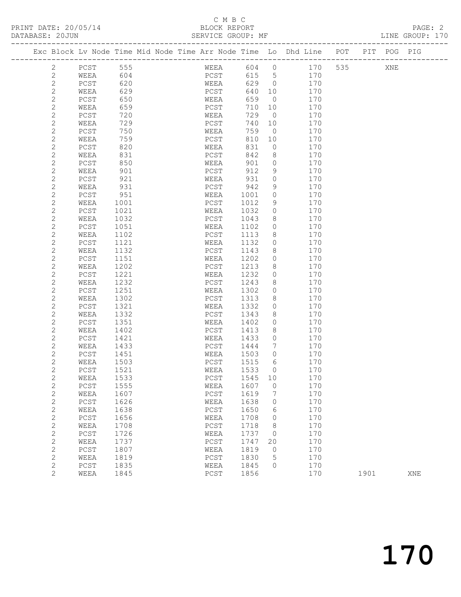# C M B C<br>BLOCK REPORT<br>SERVICE GROUP: ME

| DATABASE: 20JUN |             |     |                                                                |             | SERVICE GROUP: MF |          |     |     |     |         | LINE GROUP: 170 |  |
|-----------------|-------------|-----|----------------------------------------------------------------|-------------|-------------------|----------|-----|-----|-----|---------|-----------------|--|
|                 |             |     | Exc Block Ly Node Time Mid Node Time Arr Node Time Lo Dhd Line |             |                   |          |     | POT | PIT | POG PIG |                 |  |
|                 | PCST        | 555 |                                                                | WEEA        | 604               | $\Omega$ | 170 | 535 |     | XNE     |                 |  |
|                 | WEEA        | 604 |                                                                | PCST        | 615               | - 5      | 170 |     |     |         |                 |  |
|                 | PCST        | 620 |                                                                | WEEA        | 629               | $\Omega$ | 170 |     |     |         |                 |  |
|                 | WEEA        | 629 |                                                                | PCST        | 640               | 10       | 170 |     |     |         |                 |  |
|                 | PCST        | 650 |                                                                | WEEA        | 659               | $\Omega$ | 170 |     |     |         |                 |  |
|                 | <b>WEEA</b> | 659 |                                                                | <b>PCST</b> | 71 O              |          | 70  |     |     |         |                 |  |

| ۷              | <b>LCOT</b>   | <b>DCO</b> | WLLA         | りつう  | $\cup$   | $\perp$ / $\cup$ |      |     |  |
|----------------|---------------|------------|--------------|------|----------|------------------|------|-----|--|
| $\mathbf{2}$   | WEEA          | 659        | PCST         | 710  | 10       | 170              |      |     |  |
| $\mathbf{2}$   | ${\tt PCST}$  | 720        | WEEA         | 729  | $\circ$  | 170              |      |     |  |
| $\sqrt{2}$     | $\verb WEEA $ | 729        | ${\tt PCST}$ | 740  | 10       | 170              |      |     |  |
| $\mathbf{2}$   | PCST          | 750        | WEEA         | 759  | $\circ$  | 170              |      |     |  |
| $\overline{c}$ | WEEA          | 759        | PCST         | 810  | 10       | 170              |      |     |  |
|                |               | 820        |              | 831  |          | 170              |      |     |  |
| $\sqrt{2}$     | $PCST$        |            | WEEA         |      | $\circ$  |                  |      |     |  |
| $\overline{c}$ | WEEA          | 831        | ${\tt PCST}$ | 842  | 8        | 170              |      |     |  |
| $\mathbf{2}$   | PCST          | 850        | WEEA         | 901  | $\circ$  | 170              |      |     |  |
| $\mathbf{2}$   | WEEA          | 901        | ${\tt PCST}$ | 912  | 9        | 170              |      |     |  |
| $\mathbf{2}$   | ${\tt PCST}$  | 921        | WEEA         | 931  | $\circ$  | 170              |      |     |  |
| $\mathbf{2}$   | WEEA          | 931        | ${\tt PCST}$ | 942  | 9        | 170              |      |     |  |
| $\mathbf{2}$   | PCST          | 951        | WEEA         | 1001 | 0        | 170              |      |     |  |
| $\mathbf{2}$   | WEEA          | 1001       | $PCST$       | 1012 | 9        | 170              |      |     |  |
| $\mathbf{2}$   | PCST          | 1021       | WEEA         | 1032 | 0        | 170              |      |     |  |
| $\mathbf{2}$   | WEEA          | 1032       | PCST         | 1043 | 8        | 170              |      |     |  |
| $\mathbf{2}$   | ${\tt PCST}$  | 1051       | WEEA         | 1102 | 0        | 170              |      |     |  |
| $\mathbf{2}$   | WEEA          | 1102       | PCST         | 1113 | 8        | 170              |      |     |  |
| $\mathbf{2}$   | ${\tt PCST}$  | 1121       | WEEA         | 1132 | 0        | 170              |      |     |  |
|                |               |            |              |      |          | 170              |      |     |  |
| $\overline{c}$ | WEEA          | 1132       | ${\tt PCST}$ | 1143 | 8        |                  |      |     |  |
| $\mathbf{2}$   | PCST          | 1151       | WEEA         | 1202 | 0        | 170              |      |     |  |
| $\overline{c}$ | WEEA          | 1202       | ${\tt PCST}$ | 1213 | 8        | 170              |      |     |  |
| $\sqrt{2}$     | ${\tt PCST}$  | 1221       | WEEA         | 1232 | $\circ$  | 170              |      |     |  |
| $\mathbf{2}$   | WEEA          | 1232       | PCST         | 1243 | 8        | 170              |      |     |  |
| $\mathbf{2}$   | PCST          | 1251       | WEEA         | 1302 | $\circ$  | 170              |      |     |  |
| $\mathbf{2}$   | WEEA          | 1302       | ${\tt PCST}$ | 1313 | 8        | 170              |      |     |  |
| $\sqrt{2}$     | $PCST$        | 1321       | WEEA         | 1332 | 0        | 170              |      |     |  |
| $\sqrt{2}$     | WEEA          | 1332       | PCST         | 1343 | 8        | 170              |      |     |  |
| $\mathbf{2}$   | ${\tt PCST}$  | 1351       | WEEA         | 1402 | 0        | 170              |      |     |  |
| $\mathbf{2}$   | WEEA          | 1402       | PCST         | 1413 | 8        | 170              |      |     |  |
| $\mathbf{2}$   | ${\tt PCST}$  | 1421       | WEEA         | 1433 | 0        | 170              |      |     |  |
| $\overline{c}$ | WEEA          | 1433       | PCST         | 1444 | 7        | 170              |      |     |  |
| $\overline{c}$ | ${\tt PCST}$  | 1451       | WEEA         | 1503 | $\circ$  | 170              |      |     |  |
| $\mathbf{2}$   | WEEA          | 1503       | PCST         | 1515 | 6        | 170              |      |     |  |
| $\sqrt{2}$     | PCST          | 1521       | WEEA         | 1533 | 0        | 170              |      |     |  |
| $\sqrt{2}$     | WEEA          | 1533       | ${\tt PCST}$ | 1545 | $10$     | 170              |      |     |  |
| $\mathbf{2}$   | $PCST$        | 1555       | WEEA         | 1607 | $\circ$  | 170              |      |     |  |
| $\mathbf{2}$   | WEEA          | 1607       | ${\tt PCST}$ | 1619 | 7        | 170              |      |     |  |
| $\mathbf{2}$   |               | 1626       | WEEA         | 1638 | $\circ$  | 170              |      |     |  |
|                | ${\tt PCST}$  |            |              |      |          |                  |      |     |  |
| $\sqrt{2}$     | WEEA          | 1638       | PCST         | 1650 | 6        | 170              |      |     |  |
| $\mathbf{2}$   | ${\tt PCST}$  | 1656       | WEEA         | 1708 | $\circ$  | 170              |      |     |  |
| $\sqrt{2}$     | WEEA          | 1708       | PCST         | 1718 | 8        | 170              |      |     |  |
| $\mathbf{2}$   | ${\tt PCST}$  | 1726       | WEEA         | 1737 | $\circ$  | 170              |      |     |  |
| $\mathbf{2}$   | WEEA          | 1737       | PCST         | 1747 | 20       | 170              |      |     |  |
| $\mathbf{2}$   | ${\tt PCST}$  | 1807       | WEEA         | 1819 | $\circ$  | 170              |      |     |  |
| $\sqrt{2}$     | WEEA          | 1819       | ${\tt PCST}$ | 1830 | 5        | 170              |      |     |  |
| $\mathbf 2$    | ${\tt PCST}$  | 1835       | WEEA         | 1845 | $\Omega$ | 170              |      |     |  |
| $\overline{c}$ | WEEA          | 1845       | PCST         | 1856 |          | 170              | 1901 | XNE |  |
|                |               |            |              |      |          |                  |      |     |  |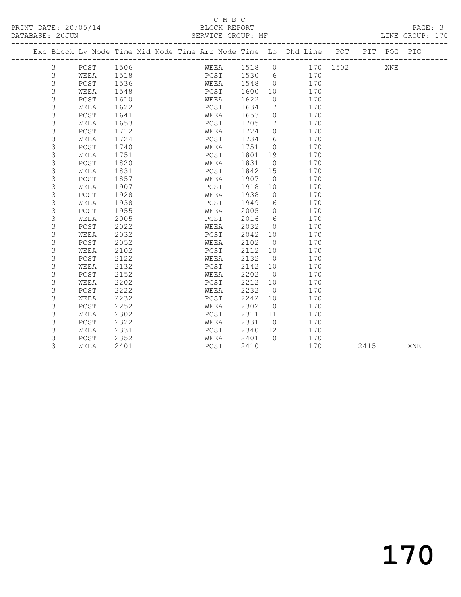## C M B C<br>BLOCK REPORT

| DUIUDUU. TAAA |                                    |      |  | ALLATOL GIVOUT . HE |      |                 |                                                                                |                                          |  | TIME GIVANT . |
|---------------|------------------------------------|------|--|---------------------|------|-----------------|--------------------------------------------------------------------------------|------------------------------------------|--|---------------|
|               |                                    |      |  |                     |      |                 | Exc Block Lv Node Time Mid Node Time Arr Node Time Lo Dhd Line POT PIT POG PIG |                                          |  |               |
| $\mathcal{E}$ | ---------------------<br>PCST 1506 |      |  | WEEA                | 1518 |                 | $\overline{0}$                                                                 | ------------------------<br>170 1502 XNE |  |               |
| 3             | WEEA                               | 1518 |  | PCST                | 1530 | 6               | 170                                                                            |                                          |  |               |
| 3             | PCST                               | 1536 |  | WEEA                | 1548 | $\circ$         | 170                                                                            |                                          |  |               |
| 3             | WEEA                               | 1548 |  | PCST                | 1600 | 10              | 170                                                                            |                                          |  |               |
| 3             | PCST                               | 1610 |  | WEEA                | 1622 | 0               | 170                                                                            |                                          |  |               |
| 3             | WEEA                               | 1622 |  | PCST                | 1634 | 7               | 170                                                                            |                                          |  |               |
| 3             | PCST                               | 1641 |  | WEEA                | 1653 | $\circ$         | 170                                                                            |                                          |  |               |
| 3             | WEEA                               | 1653 |  | PCST                | 1705 | $7\phantom{.0}$ | 170                                                                            |                                          |  |               |
| 3             | PCST                               | 1712 |  | WEEA                | 1724 | $\circ$         | 170                                                                            |                                          |  |               |
| 3             | WEEA                               | 1724 |  | PCST                | 1734 | 6               | 170                                                                            |                                          |  |               |
| 3             | PCST                               | 1740 |  | WEEA                | 1751 | $\circ$         | 170                                                                            |                                          |  |               |
| 3             | WEEA                               | 1751 |  | PCST                | 1801 | 19              | 170                                                                            |                                          |  |               |
| 3             | PCST                               | 1820 |  | WEEA                | 1831 | $\overline{0}$  | 170                                                                            |                                          |  |               |
| 3             | WEEA                               | 1831 |  | PCST                | 1842 | 15              | 170                                                                            |                                          |  |               |
| 3             | PCST                               | 1857 |  | WEEA                | 1907 | $\overline{0}$  | 170                                                                            |                                          |  |               |
| 3             | WEEA                               | 1907 |  | PCST                | 1918 | 10              | 170                                                                            |                                          |  |               |
| 3             | PCST                               | 1928 |  | WEEA                | 1938 | $\mathbf 0$     | 170                                                                            |                                          |  |               |
| 3             | WEEA                               | 1938 |  | PCST                | 1949 | 6               | 170                                                                            |                                          |  |               |
| 3             | PCST                               | 1955 |  | WEEA                | 2005 | $\circ$         | 170                                                                            |                                          |  |               |
| 3             | WEEA                               | 2005 |  | PCST                | 2016 | 6               | 170                                                                            |                                          |  |               |
| 3             | PCST                               | 2022 |  | WEEA                | 2032 | $\circ$         | 170                                                                            |                                          |  |               |
| 3             | WEEA                               | 2032 |  | PCST                | 2042 | 10              | 170                                                                            |                                          |  |               |
| 3             | PCST                               | 2052 |  | WEEA                | 2102 | $\overline{0}$  | 170                                                                            |                                          |  |               |

3 WEEA 2102 PCST 2112 10 170

3 WEEA 2202 PCST 2212 10 170

3 WEEA 2401 PCST 2410 170 2415 XNE

 3 PCST 2122 WEEA 2132 0 170 3 WEEA 2132 PCST 2142 10 170 3 PCST 2152 WEEA 2202 0 170

 3 PCST 2222 WEEA 2232 0 170 3 WEEA 2232 PCST 2242 10 170 3 PCST 2252 WEEA 2302 0 170 3 WEEA 2302 PCST 2311 11 170 3 PCST 2322 WEEA 2331 0 170 3 WEEA 2331 PCST 2340 12 170 3 PCST 2352 WEEA 2401 0 170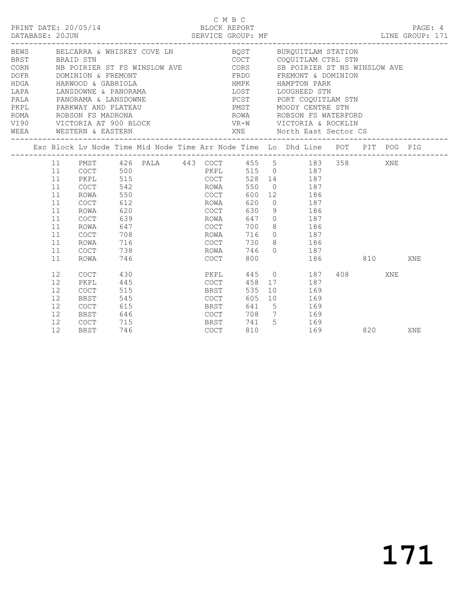| PRINT DATE: 20/05/14<br>DATABASE: 20JUN                                                                                                                                                                                                                      |                                                                            |                                                                                              |                                                                                  | SERVICE GROUP: MF |                                                                                      | C M B C<br>BLOCK REPORT                              |       |                                                                                                                                                                                                                                                                                                                       |           |     |     | PAGE: 4<br>LINE GROUP: 171 |
|--------------------------------------------------------------------------------------------------------------------------------------------------------------------------------------------------------------------------------------------------------------|----------------------------------------------------------------------------|----------------------------------------------------------------------------------------------|----------------------------------------------------------------------------------|-------------------|--------------------------------------------------------------------------------------|------------------------------------------------------|-------|-----------------------------------------------------------------------------------------------------------------------------------------------------------------------------------------------------------------------------------------------------------------------------------------------------------------------|-----------|-----|-----|----------------------------|
| BEWS BELCARRA & WHISKEY COVE LN<br>BRST BRAID STN<br>CORN NB POIRIER ST FS WINSLOW AVE<br>DOFR DOMINION & FREMONT<br>HDGA HARWOOD & GABRIOLA<br>LAPA LANSDOWNE & PANORAMA<br>PALA PANORAMA & LANSDOWNE<br>PKPL PARKWAY AND PLATEAU<br>WEEA WESTERN & EASTERN |                                                                            |                                                                                              |                                                                                  |                   |                                                                                      | HMPK<br>______________________________               |       | BQST BURQUITLAM STATION<br>COCT COQUITLAM CTRL STN<br>CORS SB POIRIER ST NS WI<br>FRDO FREMONT & DOMINION<br>SB POIRIER ST NS WINSLOW AVE<br>HAMPTON PARK<br>LOST LOUGHEED STN<br>PCST PORT COQUITLAM STN<br>PMST MOODY CENTRE STN<br>ROWA ROBSON FS WATERFORD<br>VR-W VICTORIA & ROCKLIN<br>XNE North East Sector CS |           |     |     |                            |
|                                                                                                                                                                                                                                                              |                                                                            |                                                                                              |                                                                                  |                   |                                                                                      |                                                      |       | Exc Block Lv Node Time Mid Node Time Arr Node Time Lo Dhd Line POT PIT POG PIG                                                                                                                                                                                                                                        |           |     |     |                            |
|                                                                                                                                                                                                                                                              | 11<br>11<br>11<br>11<br>11<br>11<br>11<br>11<br>11<br>11<br>11<br>11<br>11 | COCT<br>PKPL<br>COCT<br>ROWA<br>COCT<br>ROWA<br>COCT<br>ROWA<br>COCT<br>ROWA<br>COCT<br>ROWA | 500<br>515<br>542<br>550<br>612<br>620<br>639<br>647<br>708<br>716<br>738<br>746 |                   | COCT<br>ROWA<br>COCT<br>ROWA<br>COCT<br>ROWA<br>COCT<br>ROWA<br>COCT<br>ROWA<br>COCT | 528<br>550<br>630<br>700<br>716<br>730<br>746<br>800 |       | PMST 426 PALA 443 COCT 455 5 183 358<br>PKPL 515 0 187<br>14 187<br>$0$ 187<br>600 12 186<br>620 0 187<br>$9$ 186<br>647 0 187<br>8 186<br>$0$ 187<br>8 186<br>$0$ 187                                                                                                                                                | 186 810   |     | XNE | XNE                        |
|                                                                                                                                                                                                                                                              | 12<br>12<br>12<br>12<br>12<br>12<br>12<br>12                               | <b>COCT</b><br>PKPL<br>COCT<br>BRST<br>COCT<br>BRST<br>COCT<br><b>BRST</b>                   | 430<br>445<br>515<br>545<br>615<br>646<br>$715$<br>$746$<br>746                  |                   | PKPL<br>COCT<br><b>BRST</b><br><b>COCT</b><br>BRST<br>COCT<br>BRST<br>COCT           | 445<br>458<br>535<br>605<br>810                      | 741 5 | $\begin{matrix} 0 & 187 \end{matrix}$<br>17 187<br>10 169<br>10 169<br>641 5 169<br>708 7 169<br>169<br>169                                                                                                                                                                                                           | 408 — 108 | 820 | XNE | XNE                        |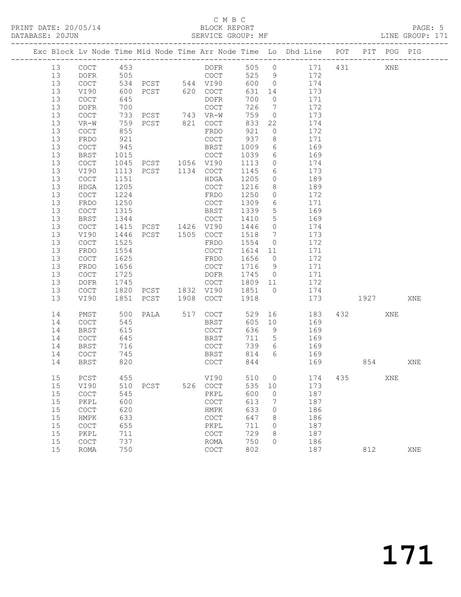## C M B C<br>BLOCK REPORT

## SERVICE GROUP: MF

|          |              |            |                            |                                            |            |                      | Exc Block Lv Node Time Mid Node Time Arr Node Time Lo Dhd Line POT PIT POG PIG |      |     |     |
|----------|--------------|------------|----------------------------|--------------------------------------------|------------|----------------------|--------------------------------------------------------------------------------|------|-----|-----|
| 13       | COCT 453     |            |                            |                                            |            |                      | DOFR 505 0 171 431                                                             |      | XNE |     |
| 13       | DOFR         | 505        |                            | COCT                                       |            |                      | 525 9 172                                                                      |      |     |     |
| 13       | COCT         |            | 534 PCST 544 VI90          |                                            | 600 0      |                      | 174                                                                            |      |     |     |
| 13       | VI90         | 600        | PCST 620 COCT              |                                            | 631        | 14                   | 173                                                                            |      |     |     |
| 13       | COCT         | 645        |                            | DOFR                                       | 700        | $\overline{0}$       | 171                                                                            |      |     |     |
| 13       | DOFR         | 700        |                            | COCT                                       | 726        | $7\overline{ }$      | 172                                                                            |      |     |     |
| 13       | COCT         |            | 733 PCST 743 VR-W          |                                            | 759        |                      | $0$ 173                                                                        |      |     |     |
| 13       | VR-W         |            | 759 PCST 821 COCT          | FRDO                                       | 833        | 22<br>$\overline{0}$ | 174                                                                            |      |     |     |
| 13<br>13 | COCT         | 855<br>921 |                            | COCT                                       | 921<br>937 | 8 <sup>8</sup>       | 172<br>171                                                                     |      |     |     |
| 13       | FRDO<br>COCT | 945        |                            | BRST                                       | 1009       |                      | 6 169                                                                          |      |     |     |
| 13       | BRST         |            |                            |                                            | 1039       |                      | $6\overline{}$<br>169                                                          |      |     |     |
| 13       | COCT         |            |                            |                                            | 1113       | $\overline{0}$       | 174                                                                            |      |     |     |
| 13       | VI90         |            |                            |                                            | 1145       | $6\overline{6}$      | 173                                                                            |      |     |     |
| 13       | COCT         | 1151       |                            | HDGA                                       | 1205       |                      | $0$ 189                                                                        |      |     |     |
| 13       | HDGA         | 1205       |                            | COCT                                       | 1216       | 8 <sup>8</sup>       | 189                                                                            |      |     |     |
| 13       | COCT         | 1224       |                            | FRDO                                       | 1250       | $\overline{0}$       | 172                                                                            |      |     |     |
| 13       | FRDO         | 1250       |                            | COCT                                       | 1309       | $6\overline{6}$      | 171                                                                            |      |     |     |
| 13       | COCT         | 1315       |                            | BRST                                       | 1339       | $5\overline{)}$      | 169                                                                            |      |     |     |
| 13       | BRST         | 1344       |                            | $COCT$ 1410                                |            | $5\overline{)}$      | 169                                                                            |      |     |     |
| 13       | COCT         | 1415       | PCST 1426 VI90             |                                            | 1446       | $\overline{0}$       | 174                                                                            |      |     |     |
| 13       | VI90         | 1446       | PCST 1505 COCT             |                                            | 1518 7     |                      | 173                                                                            |      |     |     |
| 13       | COCT         | 1525       |                            | FRDO                                       | 1554       | $\overline{0}$       | 172                                                                            |      |     |     |
| 13       | FRDO         | 1554       |                            | COCT                                       |            |                      | 1614 11 171                                                                    |      |     |     |
| 13       | COCT         | 1625       |                            | FRDO                                       | 1656 0     |                      | 172                                                                            |      |     |     |
| 13       | FRDO         | 1656       |                            | COCT                                       | 1716 9     |                      | 171                                                                            |      |     |     |
| 13       | COCT         | 1725       |                            |                                            |            |                      | DOFR 1745 0 171                                                                |      |     |     |
| 13       | DOFR         | 1745       |                            | COCT 1809 11                               |            |                      | 172                                                                            |      |     |     |
| 13       | COCT         |            | 1820 PCST 1832 VI90 1851 0 |                                            |            |                      | 174                                                                            |      |     |     |
| 13       | VI90         |            | 1851 PCST 1908 COCT 1918   |                                            |            |                      | 173                                                                            | 1927 |     | XNE |
| 14       | PMST         | 500        |                            | PALA 517 COCT                              | 529        |                      | 16 183                                                                         | 432  | XNE |     |
| 14       | COCT         | 545        |                            | BRST                                       | 605        | 10                   | 169                                                                            |      |     |     |
| 14       | <b>BRST</b>  | 615        |                            | COCT                                       | 636 9      |                      | 169<br>169                                                                     |      |     |     |
| 14       | COCT         | 645        |                            | BRST                                       | 711 5      |                      |                                                                                |      |     |     |
| 14       | BRST         | 716        |                            | COCT                                       |            |                      | 739 6 169                                                                      |      |     |     |
| 14       | COCT         | 745        |                            | <b>BRST</b>                                |            |                      | 814 6 169                                                                      |      |     |     |
| 14       | BRST         | 820        |                            | COCT                                       | 844        |                      | 169                                                                            | 854  |     | XNE |
| 15       | $PCST$       | 455        |                            | VI90                                       |            |                      | 510 0 174 435 XNE                                                              |      |     |     |
| 15       | VI90         | 510        | PCST                       | 526 COCT                                   | 535        | 10                   | 173                                                                            |      |     |     |
| 15       | COCT         | 545        |                            | PKPL                                       | 600        | $\overline{0}$       | 187                                                                            |      |     |     |
| 15       | PKPL         | 600        |                            | COCT                                       | 613        | 7                    | 187                                                                            |      |     |     |
| 15       | COCT         | 620        |                            | HMPK                                       | 633        | 0                    | 186                                                                            |      |     |     |
| 15       | HMPK         | 633        |                            | COCT                                       | 647        | 8                    | 186                                                                            |      |     |     |
| 15       | COCT         | 655        |                            | PKPL                                       | 711        | $\circ$              | 187                                                                            |      |     |     |
| 15       | PKPL         | 711        |                            | $\mathtt{C}\mathtt{O}\mathtt{C}\mathtt{T}$ | 729        | 8                    | 187                                                                            |      |     |     |
| 15       | COCT         | 737        |                            | ROMA                                       | 750        | 0                    | 186                                                                            |      |     |     |
| 15       | ROMA         | 750        |                            | COCT                                       | 802        |                      | 187                                                                            | 812  |     | XNE |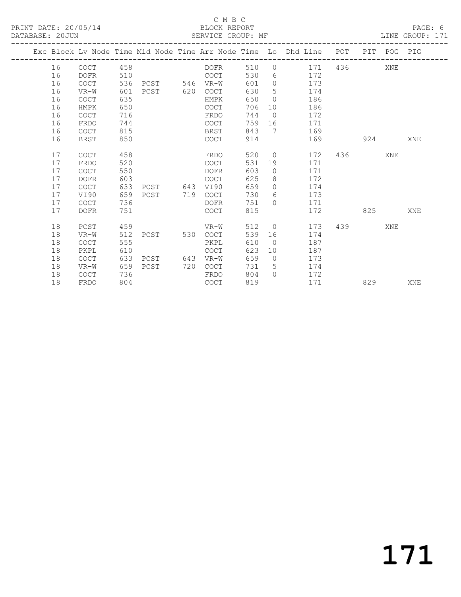## C M B C<br>BLOCK REPORT SERVICE GROUP: MF

|  |    |             |     |               |     |             |     |                | Exc Block Lv Node Time Mid Node Time Arr Node Time Lo Dhd Line POT |     |     | PIT POG PIG |     |
|--|----|-------------|-----|---------------|-----|-------------|-----|----------------|--------------------------------------------------------------------|-----|-----|-------------|-----|
|  | 16 | <b>COCT</b> | 458 |               |     | DOFR        | 510 | $\circ$        | 171                                                                | 436 |     | XNE         |     |
|  | 16 | <b>DOFR</b> | 510 |               |     | <b>COCT</b> | 530 |                | 172<br>$6 \qquad \qquad$                                           |     |     |             |     |
|  | 16 | <b>COCT</b> | 536 | PCST 546 VR-W |     |             | 601 | $\overline{0}$ | 173                                                                |     |     |             |     |
|  | 16 | VR-W        | 601 | PCST 620      |     | COCT        | 630 | 5              | 174                                                                |     |     |             |     |
|  | 16 | <b>COCT</b> | 635 |               |     | HMPK        | 650 | $\overline{0}$ | 186                                                                |     |     |             |     |
|  | 16 | HMPK        | 650 |               |     | COCT        | 706 | 10             | 186                                                                |     |     |             |     |
|  | 16 | <b>COCT</b> | 716 |               |     | FRDO        | 744 | $\overline{0}$ | 172                                                                |     |     |             |     |
|  | 16 | FRDO        | 744 |               |     | COCT        | 759 | 16             | 171                                                                |     |     |             |     |
|  | 16 | <b>COCT</b> | 815 |               |     | BRST        | 843 | $\overline{7}$ | 169                                                                |     |     |             |     |
|  | 16 | BRST        | 850 |               |     | COCT        | 914 |                | 169                                                                |     | 924 |             | XNE |
|  |    |             |     |               |     |             |     |                |                                                                    |     |     |             |     |
|  | 17 | <b>COCT</b> | 458 |               |     | FRDO        | 520 | $\overline{0}$ | 172                                                                | 436 |     | XNE         |     |
|  | 17 | FRDO        | 520 |               |     | <b>COCT</b> | 531 | 19             | 171                                                                |     |     |             |     |
|  | 17 | COCT        | 550 |               |     | DOFR        | 603 | $\overline{0}$ | 171                                                                |     |     |             |     |
|  | 17 | <b>DOFR</b> | 603 |               |     | <b>COCT</b> | 625 | 8              | 172                                                                |     |     |             |     |
|  | 17 | <b>COCT</b> | 633 | PCST 643      |     | VI90        | 659 | $\Omega$       | 174                                                                |     |     |             |     |
|  | 17 | VI90        | 659 | PCST 719      |     | COCT        | 730 | 6              | 173                                                                |     |     |             |     |
|  | 17 | <b>COCT</b> | 736 |               |     | <b>DOFR</b> | 751 | $\Omega$       | 171                                                                |     |     |             |     |
|  | 17 | <b>DOFR</b> | 751 |               |     | COCT        | 815 |                | 172                                                                |     | 825 |             | XNE |
|  |    |             |     |               |     |             |     |                |                                                                    |     |     |             |     |
|  | 18 | PCST        | 459 |               |     | VR-W        | 512 | $\overline{0}$ | 173                                                                | 439 |     | XNE         |     |
|  | 18 | $VR-W$      | 512 | PCST          | 530 | COCT        | 539 | 16             | 174                                                                |     |     |             |     |
|  | 18 | COCT        | 555 |               |     | PKPL        | 610 | $\overline{0}$ | 187                                                                |     |     |             |     |
|  | 18 | PKPL        | 610 |               |     | <b>COCT</b> | 623 | 10             | 187                                                                |     |     |             |     |
|  | 18 | <b>COCT</b> | 633 | PCST          | 643 | VR-W        | 659 | $\bigcirc$     | 173                                                                |     |     |             |     |
|  | 18 | $VR-W$      | 659 | PCST          | 720 | COCT        | 731 | 5              | 174                                                                |     |     |             |     |
|  | 18 | <b>COCT</b> | 736 |               |     | FRDO        | 804 | $\Omega$       | 172                                                                |     |     |             |     |
|  | 18 | FRDO        | 804 |               |     | <b>COCT</b> | 819 |                | 171                                                                |     | 829 |             | XNE |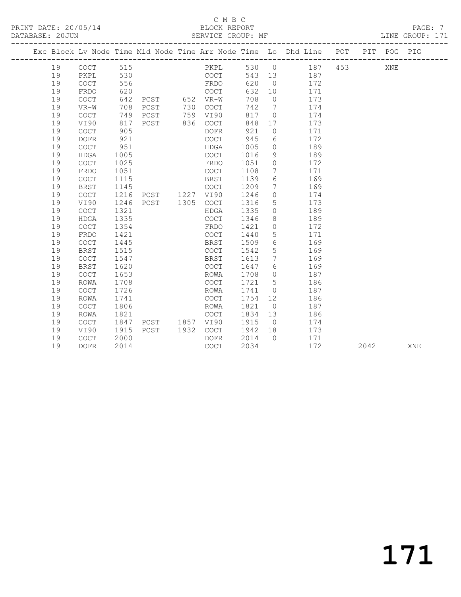## C M B C<br>BLOCK REPORT SERVICE GROUP: MF

|  |    |                                            |      |                |      |          |      |                 | Exc Block Lv Node Time Mid Node Time Arr Node Time Lo Dhd Line POT |     |      | PIT POG PIG |     |
|--|----|--------------------------------------------|------|----------------|------|----------|------|-----------------|--------------------------------------------------------------------|-----|------|-------------|-----|
|  |    |                                            |      |                |      |          |      |                 |                                                                    |     |      |             |     |
|  | 19 | COCT                                       | 515  |                |      | PKPL     |      |                 | 530 0 187                                                          | 453 |      | XNE         |     |
|  | 19 | PKPL                                       | 530  |                |      | COCT     |      |                 | 543 13 187                                                         |     |      |             |     |
|  | 19 | <b>COCT</b>                                | 556  |                |      | FRDO     | 620  | $\overline{0}$  | 172                                                                |     |      |             |     |
|  | 19 | FRDO                                       | 620  |                |      | COCT     | 632  | 10              | 171                                                                |     |      |             |     |
|  | 19 | COCT                                       | 642  | PCST 652 VR-W  |      |          | 708  | $\overline{0}$  | 173                                                                |     |      |             |     |
|  | 19 | $VR-W$                                     | 708  | PCST           |      | 730 COCT | 742  | $\overline{7}$  | 174                                                                |     |      |             |     |
|  | 19 | <b>COCT</b>                                | 749  | PCST           |      | 759 VI90 | 817  | $\overline{0}$  | 174                                                                |     |      |             |     |
|  | 19 | VI90                                       | 817  | PCST           |      | 836 COCT | 848  | 17              | 173                                                                |     |      |             |     |
|  | 19 | COCT                                       | 905  |                |      | DOFR     | 921  | $\overline{0}$  | 171                                                                |     |      |             |     |
|  | 19 | <b>DOFR</b>                                | 921  |                |      | COCT     | 945  | 6               | 172                                                                |     |      |             |     |
|  | 19 | $\mathtt{C}\mathtt{O}\mathtt{C}\mathtt{T}$ | 951  |                |      | HDGA     | 1005 | $\overline{0}$  | 189                                                                |     |      |             |     |
|  | 19 | HDGA                                       | 1005 |                |      | COCT     | 1016 | 9               | 189                                                                |     |      |             |     |
|  | 19 | COCT                                       | 1025 |                |      | FRDO     | 1051 | $\overline{0}$  | 172                                                                |     |      |             |     |
|  | 19 | FRDO                                       | 1051 |                |      | COCT     | 1108 | $7\phantom{.0}$ | 171                                                                |     |      |             |     |
|  | 19 | COCT                                       | 1115 |                |      | BRST     | 1139 | 6               | 169                                                                |     |      |             |     |
|  | 19 | <b>BRST</b>                                | 1145 |                |      | COCT     | 1209 | $7\phantom{.0}$ | 169                                                                |     |      |             |     |
|  | 19 | COCT                                       | 1216 | PCST 1227 VI90 |      |          | 1246 | $\circ$         | 174                                                                |     |      |             |     |
|  | 19 | VI90                                       | 1246 | PCST 1305 COCT |      |          | 1316 | 5               | 173                                                                |     |      |             |     |
|  | 19 | COCT                                       | 1321 |                |      | HDGA     | 1335 | $\circ$         | 189                                                                |     |      |             |     |
|  | 19 | HDGA                                       | 1335 |                |      | COCT     | 1346 | 8               | 189                                                                |     |      |             |     |
|  | 19 | COCT                                       | 1354 |                |      | FRDO     | 1421 | $\circ$         | 172                                                                |     |      |             |     |
|  | 19 | FRDO                                       | 1421 |                |      | COCT     | 1440 | $5\phantom{.0}$ | 171                                                                |     |      |             |     |
|  | 19 | <b>COCT</b>                                | 1445 |                |      | BRST     | 1509 | 6               | 169                                                                |     |      |             |     |
|  | 19 | BRST                                       | 1515 |                |      | COCT     | 1542 | 5               | 169                                                                |     |      |             |     |
|  | 19 | COCT                                       | 1547 |                |      | BRST     | 1613 | $7\overline{ }$ | 169                                                                |     |      |             |     |
|  | 19 | BRST                                       | 1620 |                |      | COCT     | 1647 | 6               | 169                                                                |     |      |             |     |
|  | 19 | COCT                                       | 1653 |                |      | ROWA     | 1708 | $\bigcirc$      | 187                                                                |     |      |             |     |
|  | 19 | ROWA                                       | 1708 |                |      | COCT     | 1721 | $5\overline{)}$ | 186                                                                |     |      |             |     |
|  | 19 | COCT                                       | 1726 |                |      | ROWA     | 1741 | $\circ$         | 187                                                                |     |      |             |     |
|  | 19 | ROWA                                       | 1741 |                |      | COCT     | 1754 | 12              | 186                                                                |     |      |             |     |
|  | 19 | COCT                                       | 1806 |                |      | ROWA     | 1821 | $\overline{0}$  | 187                                                                |     |      |             |     |
|  | 19 | ROWA                                       | 1821 |                |      | COCT     | 1834 | 13              | 186                                                                |     |      |             |     |
|  | 19 | COCT                                       | 1847 | PCST 1857 VI90 |      |          | 1915 | $\overline{0}$  | 174                                                                |     |      |             |     |
|  | 19 | VI90                                       | 1915 | PCST           | 1932 | COCT     | 1942 | 18              | 173                                                                |     |      |             |     |
|  | 19 | <b>COCT</b>                                | 2000 |                |      | DOFR     | 2014 | $\bigcap$       | 171                                                                |     |      |             |     |
|  | 19 | <b>DOFR</b>                                | 2014 |                |      | COCT     | 2034 |                 | 172                                                                |     | 2042 |             | XNE |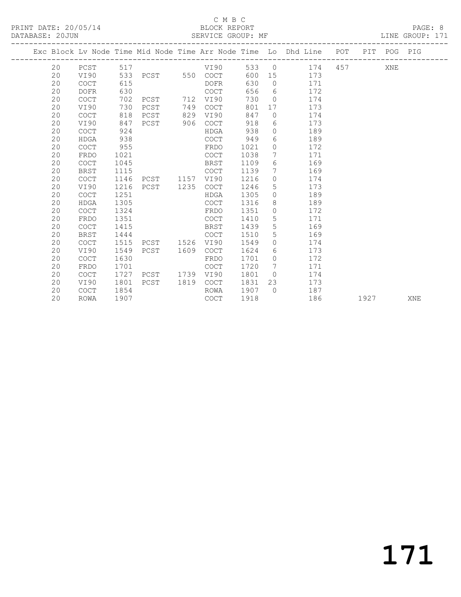## C M B C<br>BLOCK REPORT

## SERVICE GROUP: MF

|  |    |             |      |                   |      |                                            |      |                 | Exc Block Lv Node Time Mid Node Time Arr Node Time Lo Dhd Line POT PIT POG PIG |     |      |     |            |
|--|----|-------------|------|-------------------|------|--------------------------------------------|------|-----------------|--------------------------------------------------------------------------------|-----|------|-----|------------|
|  | 20 | PCST        | 517  |                   |      | VI90                                       |      |                 | 533 0 174                                                                      | 457 |      | XNE |            |
|  | 20 | VI90        |      | 533 PCST 550 COCT |      |                                            |      |                 | 600 15 173                                                                     |     |      |     |            |
|  | 20 | <b>COCT</b> | 615  |                   |      | DOFR                                       | 630  | $\bigcirc$      | 171                                                                            |     |      |     |            |
|  | 20 | <b>DOFR</b> | 630  |                   |      | COCT                                       | 656  |                 | 6 172                                                                          |     |      |     |            |
|  | 20 | COCT        | 702  | PCST              | 712  | VI90                                       | 730  | $\overline{0}$  | 174                                                                            |     |      |     |            |
|  | 20 | VI90        | 730  | PCST              | 749  | COCT                                       | 801  | 17              | 173                                                                            |     |      |     |            |
|  | 20 | <b>COCT</b> | 818  | PCST              | 829  | VI90                                       | 847  | $\Omega$        | 174                                                                            |     |      |     |            |
|  | 20 | VI90        | 847  | PCST              | 906  | COCT                                       | 918  |                 | 173<br>$6\degree$                                                              |     |      |     |            |
|  | 20 | <b>COCT</b> | 924  |                   |      | HDGA                                       | 938  | $\overline{0}$  | 189                                                                            |     |      |     |            |
|  | 20 | <b>HDGA</b> | 938  |                   |      | COCT                                       | 949  | 6               | 189                                                                            |     |      |     |            |
|  | 20 | <b>COCT</b> | 955  |                   |      | FRDO                                       | 1021 | $\Omega$        | 172                                                                            |     |      |     |            |
|  | 20 | FRDO        | 1021 |                   |      | COCT                                       | 1038 | 7               | 171                                                                            |     |      |     |            |
|  | 20 | <b>COCT</b> | 1045 |                   |      | <b>BRST</b>                                | 1109 | 6               | 169                                                                            |     |      |     |            |
|  | 20 | BRST        | 1115 |                   |      | <b>COCT</b>                                | 1139 | $7\phantom{0}$  | 169                                                                            |     |      |     |            |
|  | 20 | <b>COCT</b> | 1146 | PCST 1157 VI90    |      |                                            | 1216 | $\circ$         | 174                                                                            |     |      |     |            |
|  | 20 | VI90        | 1216 | PCST 1235         |      | COCT                                       | 1246 | 5               | 173                                                                            |     |      |     |            |
|  | 20 | COCT        | 1251 |                   |      | HDGA                                       | 1305 | $\circ$         | 189                                                                            |     |      |     |            |
|  | 20 | HDGA        | 1305 |                   |      | COCT                                       | 1316 | 8               | 189                                                                            |     |      |     |            |
|  | 20 | <b>COCT</b> | 1324 |                   |      | FRDO                                       | 1351 | $\circ$         | 172                                                                            |     |      |     |            |
|  | 20 | FRDO        | 1351 |                   |      | COCT                                       | 1410 | $5\overline{)}$ | 171                                                                            |     |      |     |            |
|  | 20 | <b>COCT</b> | 1415 |                   |      | BRST                                       | 1439 | 5               | 169                                                                            |     |      |     |            |
|  | 20 | <b>BRST</b> | 1444 |                   |      | COCT                                       | 1510 | 5               | 169                                                                            |     |      |     |            |
|  | 20 | <b>COCT</b> | 1515 | PCST 1526 VI90    |      |                                            | 1549 | $\circ$         | 174                                                                            |     |      |     |            |
|  | 20 | VI90        | 1549 | PCST              | 1609 | $\mathtt{C}\mathtt{O}\mathtt{C}\mathtt{T}$ | 1624 | 6               | 173                                                                            |     |      |     |            |
|  | 20 | <b>COCT</b> | 1630 |                   |      | FRDO                                       | 1701 | $\circ$         | 172                                                                            |     |      |     |            |
|  | 20 | FRDO        | 1701 |                   |      | <b>COCT</b>                                | 1720 | 7               | 171                                                                            |     |      |     |            |
|  | 20 | COCT        | 1727 | PCST              | 1739 | VI90                                       | 1801 | $\overline{O}$  | 174                                                                            |     |      |     |            |
|  | 20 | VI90        | 1801 | PCST              | 1819 | <b>COCT</b>                                | 1831 | 23              | 173                                                                            |     |      |     |            |
|  | 20 | <b>COCT</b> | 1854 |                   |      | ROWA                                       | 1907 | $\bigcap$       | 187                                                                            |     |      |     |            |
|  | 20 | ROWA        | 1907 |                   |      | COCT                                       | 1918 |                 | 186                                                                            |     | 1927 |     | <b>XNE</b> |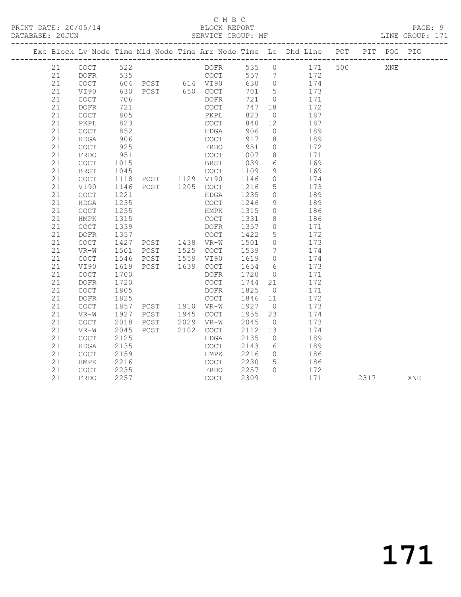## C M B C<br>BLOCK REPORT

## SERVICE GROUP: MF

|  |    |                                            |      |                                          |      |           |         |                 | Exc Block Lv Node Time Mid Node Time Arr Node Time Lo Dhd Line POT PIT POG PIG |     |      |     |     |
|--|----|--------------------------------------------|------|------------------------------------------|------|-----------|---------|-----------------|--------------------------------------------------------------------------------|-----|------|-----|-----|
|  | 21 | COCT                                       | 522  |                                          |      | DOFR      |         |                 | 535 0 171                                                                      | 500 |      | XNE |     |
|  | 21 | DOFR                                       | 535  |                                          |      | COCT      |         |                 | 557 7 172                                                                      |     |      |     |     |
|  | 21 | COCT                                       |      | 604 PCST 614 VI90                        |      |           | 630     | $\overline{0}$  | 174                                                                            |     |      |     |     |
|  | 21 | VI90                                       | 630  | PCST 650 COCT                            |      |           | 701     | $5\overline{)}$ | 173                                                                            |     |      |     |     |
|  | 21 | $\mathtt{C}\mathtt{O}\mathtt{C}\mathtt{T}$ | 706  |                                          |      | DOFR      | 721     | $\overline{0}$  | 171                                                                            |     |      |     |     |
|  | 21 | <b>DOFR</b>                                | 721  |                                          |      | COCT      | 747     | 18              | 172                                                                            |     |      |     |     |
|  | 21 | <b>COCT</b>                                | 805  |                                          |      | PKPL      | 823     | $\overline{0}$  | 187                                                                            |     |      |     |     |
|  | 21 | PKPL                                       | 823  |                                          |      | COCT      | 840     | 12              | 187                                                                            |     |      |     |     |
|  | 21 | COCT                                       | 852  |                                          |      | HDGA      | 906     | $\overline{0}$  | 189                                                                            |     |      |     |     |
|  | 21 | HDGA                                       | 906  |                                          |      | COCT      | 917     | 8 <sup>8</sup>  | 189                                                                            |     |      |     |     |
|  | 21 | $\mathtt{C}\mathtt{O}\mathtt{C}\mathtt{T}$ | 925  |                                          |      | FRDO      | 951     | $\circ$         | 172                                                                            |     |      |     |     |
|  | 21 | FRDO                                       | 951  |                                          |      | COCT      | 1007    | 8 <sup>8</sup>  | 171                                                                            |     |      |     |     |
|  | 21 | $\mathtt{C}\mathtt{O}\mathtt{C}\mathtt{T}$ | 1015 |                                          |      | BRST      | 1039    | 6               | 169                                                                            |     |      |     |     |
|  | 21 | <b>BRST</b>                                | 1045 | COCT<br>PCST 1129 VI90<br>PCST 1205 COCT |      |           | 1109    | 9               | 169                                                                            |     |      |     |     |
|  | 21 | COCT                                       | 1118 |                                          |      |           | 1146    | $\overline{0}$  | 174                                                                            |     |      |     |     |
|  | 21 | VI90                                       | 1146 |                                          |      |           | 1216    | 5 <sup>5</sup>  | 173                                                                            |     |      |     |     |
|  | 21 | COCT                                       | 1221 |                                          |      | HDGA      | 1235    | $\overline{0}$  | 189                                                                            |     |      |     |     |
|  | 21 | HDGA                                       | 1235 |                                          |      | COCT      | 1246    | 9               | 189                                                                            |     |      |     |     |
|  | 21 | $\mathtt{C}\mathtt{O}\mathtt{C}\mathtt{T}$ | 1255 |                                          |      | HMPK      | 1315    | $\overline{0}$  | 186                                                                            |     |      |     |     |
|  | 21 | HMPK                                       | 1315 |                                          |      | COCT      | 1331    | 8               | 186                                                                            |     |      |     |     |
|  | 21 | COCT                                       | 1339 |                                          |      | DOFR      | 1357    | $\overline{0}$  | 171                                                                            |     |      |     |     |
|  | 21 | $\mathtt{DOFR}$                            |      |                                          |      |           | 1422    | $5\phantom{.0}$ | 172                                                                            |     |      |     |     |
|  | 21 | COCT                                       |      |                                          |      |           | 1501    | $\overline{0}$  | 173                                                                            |     |      |     |     |
|  | 21 | $VR-W$                                     | 1501 |                                          |      |           | 1539    | $\overline{7}$  | 174                                                                            |     |      |     |     |
|  | 21 | COCT                                       | 1546 | PCST 1559 VI90                           |      |           | 1619    | $\overline{0}$  | 174                                                                            |     |      |     |     |
|  | 21 | VI90                                       | 1619 | PCST                                     |      | 1639 COCT | 1654    | 6               | 173                                                                            |     |      |     |     |
|  | 21 | $\mathtt{C}\mathtt{O}\mathtt{C}\mathtt{T}$ | 1700 |                                          |      | DOFR      | 1720    | $\overline{0}$  | 171                                                                            |     |      |     |     |
|  | 21 | DOFR                                       | 1720 |                                          |      | COCT      | 1744    | 21              | 172                                                                            |     |      |     |     |
|  | 21 | <b>COCT</b>                                | 1805 |                                          |      | DOFR      | 1825    | $\overline{0}$  | 171                                                                            |     |      |     |     |
|  | 21 | DOFR                                       | 1825 |                                          |      |           | 1846    | 11              | 172                                                                            |     |      |     |     |
|  | 21 | COCT                                       | 1857 | PCST 1945                                |      |           | 1927 0  |                 | 173                                                                            |     |      |     |     |
|  | 21 | $VR-W$                                     | 1927 |                                          |      | COCT      | 1955    | 23              | 174                                                                            |     |      |     |     |
|  | 21 | $\mathtt{C}\mathtt{O}\mathtt{C}\mathtt{T}$ | 2018 | PCST 2029                                |      | $VR-W$    | 2045    | $\overline{0}$  | 173                                                                            |     |      |     |     |
|  | 21 | $VR-W$                                     | 2045 | PCST                                     | 2102 | COCT      | 2112    | 13              | 174                                                                            |     |      |     |     |
|  | 21 | $\mathtt{C}\mathtt{O}\mathtt{C}\mathtt{T}$ | 2125 |                                          |      | HDGA      | 2135    | $\overline{0}$  | 189                                                                            |     |      |     |     |
|  | 21 | HDGA                                       | 2135 |                                          |      | COCT      | 2143 16 |                 | 189                                                                            |     |      |     |     |
|  | 21 | $\mathtt{C}\mathtt{O}\mathtt{C}\mathtt{T}$ | 2159 |                                          |      | HMPK      | 2216    | $\overline{0}$  | 186                                                                            |     |      |     |     |
|  | 21 | HMPK                                       | 2216 |                                          |      | COCT      | 2230    | $5\overline{)}$ | 186                                                                            |     |      |     |     |
|  | 21 | COCT                                       | 2235 |                                          |      | FRDO      | 2257 0  |                 | 172                                                                            |     |      |     |     |
|  | 21 | FRDO                                       | 2257 |                                          |      | COCT      | 2309    |                 | 171                                                                            |     | 2317 |     | XNE |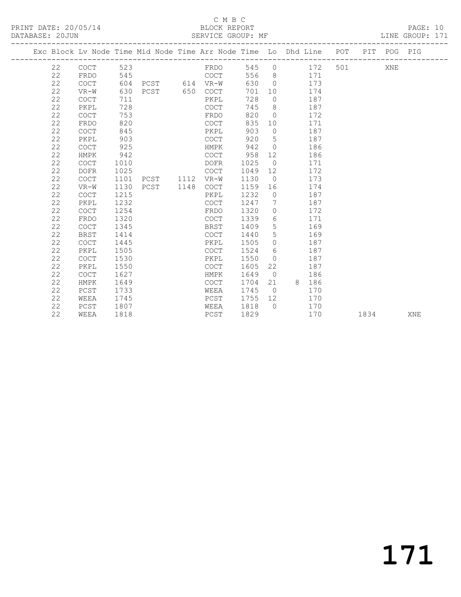## C M B C<br>BLOCK REPORT

PAGE: 10<br>LINE GROUP: 171

|    |             |      |           |      | Exc Block Lv Node Time Mid Node Time Arr Node Time Lo Dhd Line POT PIT POG PIG |      |                |          |     |      |     |     |
|----|-------------|------|-----------|------|--------------------------------------------------------------------------------|------|----------------|----------|-----|------|-----|-----|
| 22 | <b>COCT</b> | 523  |           |      | FRDO                                                                           | 545  | $\circ$        | 172      | 501 |      | XNE |     |
| 22 | FRDO        | 545  |           |      | COCT                                                                           | 556  | 8 <sup>8</sup> | 171      |     |      |     |     |
| 22 | COCT        | 604  | PCST      |      | 614 VR-W                                                                       | 630  | $\bigcirc$     | 173      |     |      |     |     |
| 22 | $VR-W$      | 630  | PCST      | 650  | COCT                                                                           | 701  | 10             | 174      |     |      |     |     |
| 22 | <b>COCT</b> | 711  |           |      | PKPL                                                                           | 728  | $\overline{0}$ | 187      |     |      |     |     |
| 22 | PKPL        | 728  |           |      | <b>COCT</b>                                                                    | 745  | 8              | 187      |     |      |     |     |
| 22 | <b>COCT</b> | 753  |           |      | FRDO                                                                           | 820  | $\circ$        | 172      |     |      |     |     |
| 22 | FRDO        | 820  |           |      | COCT                                                                           | 835  | 10             | 171      |     |      |     |     |
| 22 | <b>COCT</b> | 845  |           |      | PKPL                                                                           | 903  | $\circ$        | 187      |     |      |     |     |
| 22 | PKPL        | 903  |           |      | <b>COCT</b>                                                                    | 920  | 5              | 187      |     |      |     |     |
| 22 | <b>COCT</b> | 925  |           |      | HMPK                                                                           | 942  | $\overline{0}$ | 186      |     |      |     |     |
| 22 | HMPK        | 942  |           |      | <b>COCT</b>                                                                    | 958  | 12             | 186      |     |      |     |     |
| 22 | <b>COCT</b> | 1010 |           |      | <b>DOFR</b>                                                                    | 1025 | $\overline{0}$ | 171      |     |      |     |     |
| 22 | <b>DOFR</b> | 1025 |           |      | <b>COCT</b>                                                                    | 1049 | 12             | 172      |     |      |     |     |
| 22 | <b>COCT</b> | 1101 | PCST 1112 |      | VR-W                                                                           | 1130 | $\overline{0}$ | 173      |     |      |     |     |
| 22 | $VR-W$      | 1130 | PCST      | 1148 | <b>COCT</b>                                                                    | 1159 | 16             | 174      |     |      |     |     |
| 22 | <b>COCT</b> | 1215 |           |      | PKPL                                                                           | 1232 | $\overline{0}$ | 187      |     |      |     |     |
| 22 | PKPL        | 1232 |           |      | <b>COCT</b>                                                                    | 1247 | 7              | 187      |     |      |     |     |
| 22 | <b>COCT</b> | 1254 |           |      | FRDO                                                                           | 1320 | $\circ$        | 172      |     |      |     |     |
| 22 | FRDO        | 1320 |           |      | <b>COCT</b>                                                                    | 1339 | 6              | 171      |     |      |     |     |
| 22 | <b>COCT</b> | 1345 |           |      | <b>BRST</b>                                                                    | 1409 | 5              | 169      |     |      |     |     |
| 22 | <b>BRST</b> | 1414 |           |      | <b>COCT</b>                                                                    | 1440 | 5              | 169      |     |      |     |     |
| 22 | <b>COCT</b> | 1445 |           |      | PKPL                                                                           | 1505 | $\circ$        | 187      |     |      |     |     |
| 22 | PKPL        | 1505 |           |      | <b>COCT</b>                                                                    | 1524 | 6              | 187      |     |      |     |     |
| 22 | COCT        | 1530 |           |      | PKPL                                                                           | 1550 | $\circ$        | 187      |     |      |     |     |
| 22 | PKPL        | 1550 |           |      | <b>COCT</b>                                                                    | 1605 | 22             | 187      |     |      |     |     |
| 22 | <b>COCT</b> | 1627 |           |      | HMPK                                                                           | 1649 | $\overline{0}$ | 186      |     |      |     |     |
| 22 | HMPK        | 1649 |           |      | <b>COCT</b>                                                                    | 1704 | 21             | 8<br>186 |     |      |     |     |
| 22 | PCST        | 1733 |           |      | WEEA                                                                           | 1745 | $\bigcirc$     | 170      |     |      |     |     |
| 22 | WEEA        | 1745 |           |      | PCST                                                                           | 1755 | 12             | 170      |     |      |     |     |
| 22 | PCST        | 1807 |           |      | WEEA                                                                           | 1818 | $\Omega$       | 170      |     |      |     |     |
| 22 | WEEA        | 1818 |           |      | PCST                                                                           | 1829 |                | 170      |     | 1834 |     | XNE |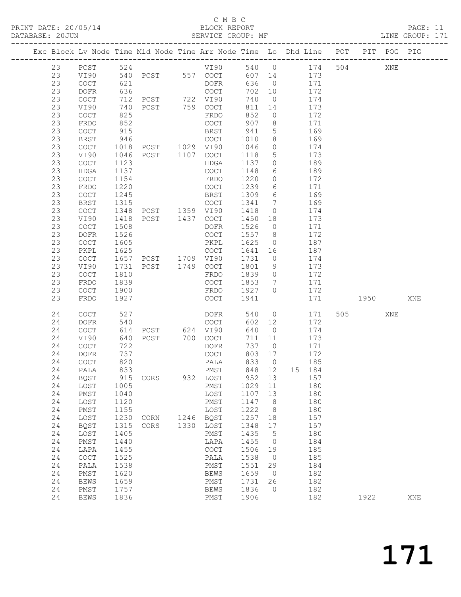## C M B C<br>BLOCK REPORT

PAGE: 11<br>LINE GROUP: 171

|  |    |             |      | Exc Block Lv Node Time Mid Node Time Arr Node Time Lo Dhd Line POT PIT POG PIG |      |                                            |        |                 |        |     |      |     |     |
|--|----|-------------|------|--------------------------------------------------------------------------------|------|--------------------------------------------|--------|-----------------|--------|-----|------|-----|-----|
|  | 23 | PCST        | 524  |                                                                                |      | VI90                                       |        | 540 0           | 174    | 504 |      | XNE |     |
|  | 23 | VI90        | 540  |                                                                                |      | PCST 557 COCT                              | 607 14 |                 | 173    |     |      |     |     |
|  | 23 | COCT        | 621  |                                                                                |      | DOFR                                       | 636    | $\overline{0}$  | 171    |     |      |     |     |
|  | 23 | DOFR        | 636  |                                                                                |      | COCT                                       | 702    | 10              | 172    |     |      |     |     |
|  | 23 | COCT        | 712  | PCST 722 VI90                                                                  |      |                                            | 740    | $\overline{0}$  | 174    |     |      |     |     |
|  | 23 | VI90        | 740  | PCST 759 COCT                                                                  |      |                                            | 811    | 14              | 173    |     |      |     |     |
|  | 23 | COCT        | 825  |                                                                                |      | FRDO                                       | 852    | $\circ$         | 172    |     |      |     |     |
|  | 23 | FRDO        | 852  |                                                                                |      | COCT                                       | 907    | 8               | 171    |     |      |     |     |
|  | 23 | COCT        | 915  |                                                                                |      | BRST                                       | 941    | $5\overline{)}$ | 169    |     |      |     |     |
|  | 23 | <b>BRST</b> | 946  |                                                                                |      | COCT                                       | 1010   | 8               | 169    |     |      |     |     |
|  | 23 | COCT        | 1018 |                                                                                |      |                                            | 1046   | $\circ$         | 174    |     |      |     |     |
|  | 23 | VI90        | 1046 | PCST 1107                                                                      |      | COCT                                       | 1118   | $5\overline{)}$ | 173    |     |      |     |     |
|  | 23 | <b>COCT</b> | 1123 |                                                                                |      | HDGA                                       | 1137   | $\circ$         | 189    |     |      |     |     |
|  | 23 | HDGA        | 1137 |                                                                                |      | COCT                                       | 1148   | 6               | 189    |     |      |     |     |
|  | 23 | COCT        | 1154 |                                                                                |      | FRDO                                       | 1220   | $\circ$         | 172    |     |      |     |     |
|  | 23 | FRDO        | 1220 |                                                                                |      | COCT                                       | 1239   | 6               | 171    |     |      |     |     |
|  | 23 | COCT        | 1245 |                                                                                |      | BRST                                       | 1309   | 6               | 169    |     |      |     |     |
|  | 23 | <b>BRST</b> | 1315 |                                                                                |      | COCT                                       | 1341   | $7\overline{ }$ | 169    |     |      |     |     |
|  | 23 | COCT        | 1348 | PCST 1359 VI90<br>PCST 1437 COCT                                               |      |                                            | 1418   | $\overline{0}$  | 174    |     |      |     |     |
|  | 23 | VI90        | 1418 |                                                                                |      |                                            | 1450   | 18              | 173    |     |      |     |     |
|  | 23 | COCT        | 1508 |                                                                                |      | DOFR                                       | 1526   | $\overline{0}$  | 171    |     |      |     |     |
|  | 23 | DOFR        | 1526 |                                                                                |      | COCT                                       | 1557   | 8 <sup>8</sup>  | 172    |     |      |     |     |
|  | 23 | COCT        | 1605 |                                                                                |      | PKPL                                       | 1625   | $\overline{0}$  | 187    |     |      |     |     |
|  | 23 | PKPL        | 1625 |                                                                                |      | COCT                                       | 1641   | 16              | 187    |     |      |     |     |
|  | 23 | COCT        | 1657 | PCST 1709 VI90                                                                 |      |                                            | 1731   | $\overline{0}$  | 174    |     |      |     |     |
|  | 23 | VI90        | 1731 | PCST 1749 COCT                                                                 |      |                                            | 1801   | 9               | 173    |     |      |     |     |
|  | 23 | COCT        | 1810 |                                                                                |      | FRDO                                       | 1839   | $\circ$         | 172    |     |      |     |     |
|  | 23 | FRDO        | 1839 |                                                                                |      | COCT                                       | 1853   | $7\overline{ }$ | 171    |     |      |     |     |
|  | 23 | COCT        | 1900 |                                                                                |      | FRDO                                       | 1927   | $\Omega$        | 172    |     |      |     |     |
|  | 23 | FRDO        | 1927 |                                                                                |      | COCT                                       | 1941   |                 | 171    |     | 1950 |     | XNE |
|  | 24 | COCT        | 527  |                                                                                |      | DOFR                                       | 540    | $\overline{0}$  | 171    | 505 |      | XNE |     |
|  | 24 | DOFR        | 540  |                                                                                |      | COCT                                       | 602    | 12              | 172    |     |      |     |     |
|  | 24 | <b>COCT</b> | 614  | PCST 624 VI90                                                                  |      |                                            | 640    | $\overline{0}$  | 174    |     |      |     |     |
|  | 24 | VI90        | 640  | PCST                                                                           |      | 700 COCT                                   | 711    | 11              | 173    |     |      |     |     |
|  | 24 | COCT        | 722  |                                                                                |      | DOFR                                       | 737    | $\overline{0}$  | 171    |     |      |     |     |
|  | 24 | DOFR        | 737  |                                                                                |      | COCT                                       | 803    | 17              | 172    |     |      |     |     |
|  | 24 | <b>COCT</b> | 820  |                                                                                |      | PALA                                       | 833    | $\overline{0}$  | 185    |     |      |     |     |
|  | 24 | PALA        | 833  |                                                                                |      | PMST                                       |        | 848 12          | 15 184 |     |      |     |     |
|  | 24 | <b>BQST</b> |      | 915 CORS                                                                       |      | 932 LOST                                   | 952 13 |                 | 157    |     |      |     |     |
|  | 24 | LOST        | 1005 |                                                                                |      | PMST                                       | 1029   | 11              | 180    |     |      |     |     |
|  | 24 | PMST        | 1040 |                                                                                |      | LOST                                       | 1107   | 13              | 180    |     |      |     |     |
|  | 24 | LOST        | 1120 |                                                                                |      | PMST                                       | 1147   | 8               | 180    |     |      |     |     |
|  | 24 | PMST        | 1155 |                                                                                |      | LOST                                       | 1222   | 8               | 180    |     |      |     |     |
|  | 24 | LOST        | 1230 | CORN                                                                           | 1246 | <b>BQST</b>                                | 1257   | 18              | 157    |     |      |     |     |
|  | 24 | <b>BQST</b> | 1315 | CORS                                                                           | 1330 | LOST                                       | 1348   | 17              | 157    |     |      |     |     |
|  | 24 | LOST        | 1405 |                                                                                |      | PMST                                       | 1435   | 5               | 180    |     |      |     |     |
|  | 24 | PMST        | 1440 |                                                                                |      | LAPA                                       | 1455   | $\circ$         | 184    |     |      |     |     |
|  | 24 | LAPA        | 1455 |                                                                                |      | $\mathtt{C}\mathtt{O}\mathtt{C}\mathtt{T}$ | 1506   | 19              | 185    |     |      |     |     |
|  | 24 | COCT        | 1525 |                                                                                |      | PALA                                       | 1538   | $\overline{0}$  | 185    |     |      |     |     |
|  | 24 | PALA        | 1538 |                                                                                |      | PMST                                       | 1551   | 29              | 184    |     |      |     |     |
|  | 24 | PMST        | 1620 |                                                                                |      | <b>BEWS</b>                                | 1659   | $\overline{0}$  | 182    |     |      |     |     |
|  | 24 | <b>BEWS</b> | 1659 |                                                                                |      | PMST                                       | 1731   | 26              | 182    |     |      |     |     |
|  | 24 | PMST        | 1757 |                                                                                |      | <b>BEWS</b>                                | 1836   | $\overline{0}$  | 182    |     |      |     |     |
|  | 24 | <b>BEWS</b> | 1836 |                                                                                |      | PMST                                       | 1906   |                 | 182    |     | 1922 |     | XNE |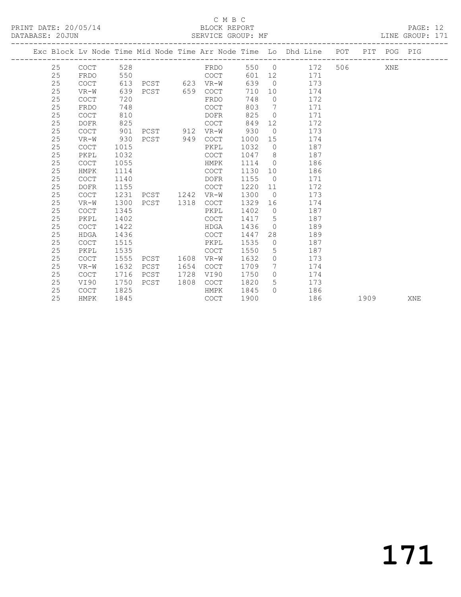## C M B C<br>BLOCK REPORT

| DATABASE: 20JUN |    |             |      |                           |      | SERVICE GROUP: MF |       |                 |                                                                                |         |     | LINE GROUP: 171 |  |
|-----------------|----|-------------|------|---------------------------|------|-------------------|-------|-----------------|--------------------------------------------------------------------------------|---------|-----|-----------------|--|
|                 |    |             |      | ------------------------- |      |                   |       |                 | Exc Block Lv Node Time Mid Node Time Arr Node Time Lo Dhd Line POT PIT POG PIG |         |     |                 |  |
|                 | 25 | COCT        | 528  |                           |      | FRDO              | 550 0 |                 | 172                                                                            | 506 700 | XNE |                 |  |
|                 | 25 | FRDO        | 550  |                           |      | COCT              | 601   |                 | 171                                                                            |         |     |                 |  |
|                 | 25 | <b>COCT</b> | 613  | PCST 623                  |      | VR-W              | 639   | $\overline{0}$  | 173                                                                            |         |     |                 |  |
|                 | 25 | VR-W        | 639  | PCST                      | 659  | COCT              | 710   | 10              | 174                                                                            |         |     |                 |  |
|                 | 25 | COCT        | 720  |                           |      | FRDO              | 748   | $\Omega$        | 172                                                                            |         |     |                 |  |
|                 | 25 | FRDO        | 748  |                           |      | COCT              | 803   | $7\overline{ }$ | 171                                                                            |         |     |                 |  |
|                 | 25 | <b>COCT</b> | 810  |                           |      | DOFR              | 825   | $\circ$         | 171                                                                            |         |     |                 |  |
|                 | 25 | DOFR        | 825  |                           |      | COCT              | 849   | 12              | 172                                                                            |         |     |                 |  |
|                 | 25 | <b>COCT</b> | 901  | PCST                      | 912  | VR-W              | 930   | $\overline{0}$  | 173                                                                            |         |     |                 |  |
|                 | 25 | VR-W        | 930  | PCST                      | 949  | <b>COCT</b>       | 1000  | 15              | 174                                                                            |         |     |                 |  |
|                 | 25 | COCT        | 1015 |                           |      | PKPL              | 1032  | $\overline{0}$  | 187                                                                            |         |     |                 |  |
|                 | 25 | PKPL        | 1032 |                           |      | COCT              | 1047  | 8               | 187                                                                            |         |     |                 |  |
|                 | 25 | COCT        | 1055 |                           |      | HMPK              | 1114  | $\overline{0}$  | 186                                                                            |         |     |                 |  |
|                 | 25 | HMPK        | 1114 |                           |      | COCT              | 1130  | 10              | 186                                                                            |         |     |                 |  |
|                 | 25 | <b>COCT</b> | 1140 |                           |      | DOFR              | 1155  | $\overline{0}$  | 171                                                                            |         |     |                 |  |
|                 | 25 | DOFR        | 1155 |                           |      | <b>COCT</b>       | 1220  | 11              | 172                                                                            |         |     |                 |  |
|                 | 25 | <b>COCT</b> | 1231 | PCST                      | 1242 | VR-W              | 1300  | $\overline{0}$  | 173                                                                            |         |     |                 |  |
|                 | 25 | VR-W        | 1300 | PCST                      | 1318 | <b>COCT</b>       | 1329  | 16              | 174                                                                            |         |     |                 |  |
|                 | 25 | <b>COCT</b> | 1345 |                           |      | PKPL              | 1402  | $\overline{0}$  | 187                                                                            |         |     |                 |  |
|                 | 25 | PKPL        | 1402 |                           |      | <b>COCT</b>       | 1417  | 5               | 187                                                                            |         |     |                 |  |

 25 COCT 1422 HDGA 1436 0 189 25 HDGA 1436 COCT 1447 28 189 25 COCT 1515 PKPL 1535 0 187 25 PKPL 1535 COCT 1550 5 187

25 COCT 1716 PCST 1728 VI90 1750 0 174

25 COCT 1825 HMPK 1845 0 186

 25 COCT 1555 PCST 1608 VR-W 1632 0 173 25 VR-W 1632 PCST 1654 COCT 1709 7 174

25 VI90 1750 PCST 1808 COCT 1820 5 173

25 HMPK 1845 COCT 1900 186 1909 XNE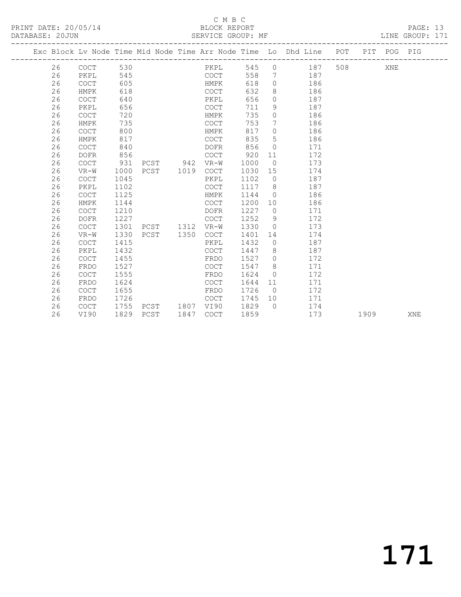## C M B C<br>BLOCK REPORT

PRINT DATE: 20/05/14 BLOCK REPORT BATABASE: 20JUN

PAGE: 13<br>LINE GROUP: 171

|  |    |                                            |      |                |      |             |      |                | Exc Block Lv Node Time Mid Node Time Arr Node Time Lo Dhd Line POT |     |      | PIT POG PIG |     |
|--|----|--------------------------------------------|------|----------------|------|-------------|------|----------------|--------------------------------------------------------------------|-----|------|-------------|-----|
|  | 26 | COCT                                       | 530  |                |      | PKPL        | 545  | $\circ$        | 187                                                                | 508 |      | XNE         |     |
|  | 26 | PKPL                                       | 545  |                |      | COCT        | 558  | $7\phantom{0}$ | 187                                                                |     |      |             |     |
|  | 26 | $\mathtt{C}\mathtt{O}\mathtt{C}\mathtt{T}$ | 605  |                |      | HMPK        | 618  | $\Omega$       | 186                                                                |     |      |             |     |
|  | 26 | HMPK                                       | 618  |                |      | COCT        | 632  | 8              | 186                                                                |     |      |             |     |
|  | 26 | COCT                                       | 640  |                |      | PKPL        | 656  | $\circ$        | 187                                                                |     |      |             |     |
|  | 26 | PKPL                                       | 656  |                |      | COCT        | 711  | 9              | 187                                                                |     |      |             |     |
|  | 26 | <b>COCT</b>                                | 720  |                |      | HMPK        | 735  | $\circ$        | 186                                                                |     |      |             |     |
|  | 26 | HMPK                                       | 735  |                |      | COCT        | 753  | 7              | 186                                                                |     |      |             |     |
|  | 26 | <b>COCT</b>                                | 800  |                |      | HMPK        | 817  | $\circ$        | 186                                                                |     |      |             |     |
|  | 26 | HMPK                                       | 817  |                |      | COCT        | 835  | 5              | 186                                                                |     |      |             |     |
|  | 26 | <b>COCT</b>                                | 840  |                |      | DOFR        | 856  | $\Omega$       | 171                                                                |     |      |             |     |
|  | 26 | <b>DOFR</b>                                | 856  |                |      | COCT        | 920  | 11             | 172                                                                |     |      |             |     |
|  | 26 | <b>COCT</b>                                | 931  | PCST 942       |      | $VR-W$      | 1000 | $\overline{0}$ | 173                                                                |     |      |             |     |
|  | 26 | $VR-W$                                     | 1000 | PCST 1019      |      | COCT        | 1030 | 15             | 174                                                                |     |      |             |     |
|  | 26 | <b>COCT</b>                                | 1045 |                |      | PKPL        | 1102 | $\overline{0}$ | 187                                                                |     |      |             |     |
|  | 26 | PKPL                                       | 1102 |                |      | COCT        | 1117 | 8              | 187                                                                |     |      |             |     |
|  | 26 | <b>COCT</b>                                | 1125 |                |      | HMPK        | 1144 | $\Omega$       | 186                                                                |     |      |             |     |
|  | 26 | HMPK                                       | 1144 |                |      | <b>COCT</b> | 1200 | 10             | 186                                                                |     |      |             |     |
|  | 26 | COCT                                       | 1210 |                |      | DOFR        | 1227 | $\overline{0}$ | 171                                                                |     |      |             |     |
|  | 26 | <b>DOFR</b>                                | 1227 |                |      | COCT        | 1252 | 9              | 172                                                                |     |      |             |     |
|  | 26 | COCT                                       | 1301 | PCST 1312 VR-W |      |             | 1330 | $\overline{0}$ | 173                                                                |     |      |             |     |
|  | 26 | $VR-W$                                     | 1330 | PCST           | 1350 | COCT        | 1401 | 14             | 174                                                                |     |      |             |     |
|  | 26 | COCT                                       | 1415 |                |      | PKPL        | 1432 | $\Omega$       | 187                                                                |     |      |             |     |
|  | 26 | PKPL                                       | 1432 |                |      | <b>COCT</b> | 1447 | 8              | 187                                                                |     |      |             |     |
|  | 26 | <b>COCT</b>                                | 1455 |                |      | FRDO        | 1527 | $\circ$        | 172                                                                |     |      |             |     |
|  | 26 | FRDO                                       | 1527 |                |      | COCT        | 1547 | 8              | 171                                                                |     |      |             |     |
|  | 26 | <b>COCT</b>                                | 1555 |                |      | FRDO        | 1624 | $\overline{0}$ | 172                                                                |     |      |             |     |
|  | 26 | FRDO                                       | 1624 |                |      | COCT        | 1644 | 11             | 171                                                                |     |      |             |     |
|  | 26 | COCT                                       | 1655 |                |      | FRDO        | 1726 | $\overline{0}$ | 172                                                                |     |      |             |     |
|  | 26 | FRDO                                       | 1726 |                |      | COCT        | 1745 | 10             | 171                                                                |     |      |             |     |
|  | 26 | <b>COCT</b>                                | 1755 | PCST           | 1807 | VI90        | 1829 | $\bigcirc$     | 174                                                                |     |      |             |     |
|  | 26 | VI90                                       | 1829 | PCST           | 1847 | COCT        | 1859 |                | 173                                                                |     | 1909 |             | XNE |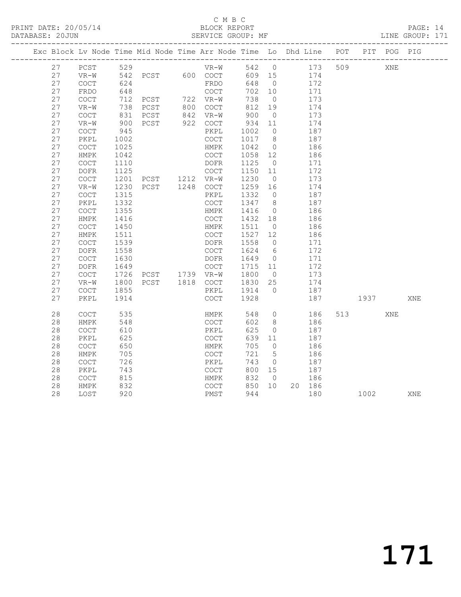## C M B C<br>BLOCK REPORT

PAGE: 14<br>LINE GROUP: 171

| 529<br>27<br>PCST<br>$VR-W$<br>542 0<br>173<br>509<br>XNE<br>27<br>PCST 600 COCT<br>542<br>609 15<br>174<br>VR-W<br>27<br>624<br>FRDO<br>648<br>$\overline{0}$<br>172<br><b>COCT</b><br>27<br>FRDO<br>648<br>COCT<br>702<br>10<br>171 |     |
|---------------------------------------------------------------------------------------------------------------------------------------------------------------------------------------------------------------------------------------|-----|
|                                                                                                                                                                                                                                       |     |
|                                                                                                                                                                                                                                       |     |
|                                                                                                                                                                                                                                       |     |
|                                                                                                                                                                                                                                       |     |
| 27<br>712<br>722 VR-W<br>738<br>173<br><b>COCT</b><br>PCST<br>$\overline{0}$                                                                                                                                                          |     |
| 27<br>738<br>PCST<br>800 COCT<br>812<br>19<br>174<br>$VR-W$                                                                                                                                                                           |     |
| 842 VR-W<br>27<br>900<br><b>COCT</b><br>831<br>PCST<br>$\overline{0}$<br>173                                                                                                                                                          |     |
| 27<br>900<br>PCST<br>922 COCT<br>934<br>11<br>174<br>$VR-W$                                                                                                                                                                           |     |
| 27<br>$\overline{0}$<br>$\mathtt{C}\mathtt{O}\mathtt{C}\mathtt{T}$<br>945<br>PKPL<br>1002<br>187                                                                                                                                      |     |
| 27<br>1017<br>187<br>PKPL<br>1002<br>COCT<br>8 <sup>8</sup>                                                                                                                                                                           |     |
| 27<br>1025<br>COCT<br>HMPK<br>1042<br>$\overline{0}$<br>186                                                                                                                                                                           |     |
| 27<br>${\tt HMPK}$<br>1042<br>COCT<br>1058<br>12<br>186                                                                                                                                                                               |     |
| 27<br>1110<br>1125<br>171<br><b>COCT</b><br>DOFR<br>$\overline{0}$                                                                                                                                                                    |     |
| 27<br>1125<br>COCT<br>1150<br>172<br><b>DOFR</b><br>11                                                                                                                                                                                |     |
| 27<br>1201<br>1230<br>173<br>COCT<br>PCST 1212 VR-W<br>$\overline{0}$                                                                                                                                                                 |     |
| 27<br>1230<br>PCST 1248 COCT<br>1259<br>174<br>VR-W<br>16                                                                                                                                                                             |     |
| 27<br>COCT<br>1315<br>PKPL<br>1332<br>$\overline{0}$<br>187                                                                                                                                                                           |     |
| 27<br>1332<br>1347<br>8 <sup>8</sup><br>187<br>PKPL<br>COCT                                                                                                                                                                           |     |
| 27<br>$\operatorname{COT}$<br>1355<br>1416<br>186<br>HMPK<br>$\overline{0}$                                                                                                                                                           |     |
| 27<br>${\tt HMPK}$<br>1416<br>$\mathtt{C}\mathtt{O}\mathtt{C}\mathtt{T}$<br>1432<br>186<br>18                                                                                                                                         |     |
| 27<br>1450<br>1511<br>$\operatorname{COT}$<br>HMPK<br>$\overline{0}$<br>186                                                                                                                                                           |     |
| 27<br>1511<br>COCT<br>1527<br>12<br>186<br><b>HMPK</b>                                                                                                                                                                                |     |
| 27<br>1539<br>1558<br>$\overline{0}$<br><b>COCT</b><br>DOFR<br>171                                                                                                                                                                    |     |
| 27<br><b>DOFR</b><br>1558<br>COCT<br>1624<br>6<br>172                                                                                                                                                                                 |     |
| 27<br>1630<br>171<br>COCT<br>DOFR<br>1649<br>$\overline{0}$<br>27<br>$\mathtt{DOFR}$<br>1649<br>COCT<br>1715 11<br>172                                                                                                                |     |
| PCST 1739 VR-W                                                                                                                                                                                                                        |     |
| 27<br>COCT<br>1726<br>1800<br>173<br>$\overline{0}$<br>27<br>25                                                                                                                                                                       |     |
| $VR-W$<br>1800<br>PCST 1818 COCT<br>1830<br>174<br>27<br>1914<br>$\bigcirc$<br>$\mathtt{C}\mathtt{O}\mathtt{C}\mathtt{T}$<br>1855<br>PKPL<br>187                                                                                      |     |
| 27<br>1928<br>187<br>PKPL<br>1914<br>COCT<br>1937                                                                                                                                                                                     | XNE |
|                                                                                                                                                                                                                                       |     |
| 28<br>COCT<br>535<br>548<br>$\overline{0}$<br>186<br>513<br>HMPK<br>XNE                                                                                                                                                               |     |
| 28<br>602<br>186<br>548<br>COCT<br>8<br>HMPK                                                                                                                                                                                          |     |
| 28<br>625<br>COCT<br>610<br>PKPL<br>187<br>$\circ$                                                                                                                                                                                    |     |
| 28<br>625<br>639<br>PKPL<br><b>COCT</b><br>11<br>187                                                                                                                                                                                  |     |
| 28<br>650<br>705<br>COCT<br>HMPK<br>$\overline{0}$<br>186                                                                                                                                                                             |     |
| 721<br>28<br>${\tt HMPK}$<br>705<br>COCT<br>5<br>186                                                                                                                                                                                  |     |
| 28<br>726<br>$\operatorname{COT}$<br>PKPL<br>743<br>187<br>$\circ$                                                                                                                                                                    |     |
| 28<br>743<br>COCT<br>800<br>15<br>187<br>PKPL                                                                                                                                                                                         |     |
| 28<br>815<br>832<br>186<br><b>COCT</b><br>HMPK<br>$\overline{0}$                                                                                                                                                                      |     |
| 28<br>832<br>850<br>10 <sup>°</sup><br>COCT<br>20 186<br>HMPK                                                                                                                                                                         |     |
| 28<br>LOST<br>920<br>PMST<br>944<br>180<br>1002 2002                                                                                                                                                                                  | XNE |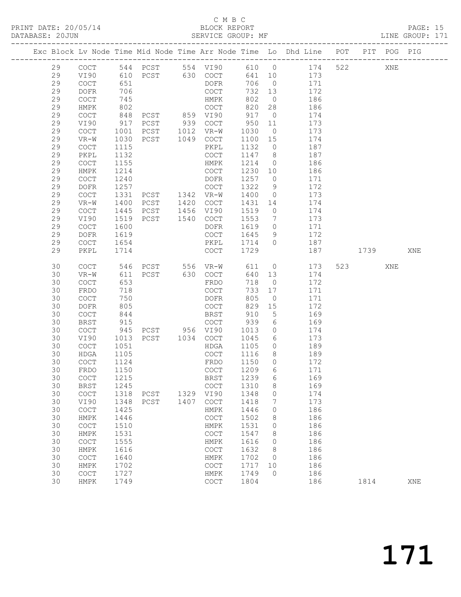## C M B C<br>BLOCK REPORT

## PAGE: 15<br>LINE GROUP: 171

|          |                                            |              |                                 |      |                                            |              |                 | Exc Block Lv Node Time Mid Node Time Arr Node Time Lo Dhd Line POT |     |                | PIT POG PIG |     |
|----------|--------------------------------------------|--------------|---------------------------------|------|--------------------------------------------|--------------|-----------------|--------------------------------------------------------------------|-----|----------------|-------------|-----|
| 29       | COCT                                       |              |                                 |      |                                            |              |                 | 544 PCST 554 VI90 610 0 174                                        | 522 |                | XNE         |     |
| 29       | VI90                                       | 610          |                                 |      | PCST 630 COCT                              | 641 10       |                 | 173                                                                |     |                |             |     |
| 29       | COCT                                       | 651          |                                 |      | DOFR                                       | 706          | $\overline{0}$  | 171                                                                |     |                |             |     |
| 29       | DOFR                                       | 706          |                                 |      | COCT                                       | 732          | 13              | 172                                                                |     |                |             |     |
| 29       | $\mathtt{C}\mathtt{O}\mathtt{C}\mathtt{T}$ | 745          |                                 |      | HMPK                                       | 802          | $\overline{0}$  | 186                                                                |     |                |             |     |
| 29       | HMPK                                       | 802          |                                 |      | COCT                                       | 820          | 28              | 186                                                                |     |                |             |     |
| 29       | COCT                                       | 848          | PCST 859 VI90                   |      |                                            | 917          | $\overline{0}$  | 174                                                                |     |                |             |     |
| 29       | VI90                                       | 917          | PCST                            |      | 939 COCT                                   | 950          | 11              | 173                                                                |     |                |             |     |
| 29       | $\mathtt{C}\mathtt{O}\mathtt{C}\mathtt{T}$ | 1001         | PCST 1012 VR-W                  |      |                                            | 1030         | $\overline{0}$  | 173                                                                |     |                |             |     |
| 29       | $VR-W$                                     | 1030         | PCST 1049 COCT                  |      |                                            | 1100 15      |                 | 174                                                                |     |                |             |     |
| 29       | COCT                                       | 1115         |                                 |      | PKPL                                       | 1132         | $\overline{0}$  | 187                                                                |     |                |             |     |
| 29       | PKPL                                       | 1132         |                                 |      | COCT                                       | 1147         | 8 <sup>8</sup>  | 187                                                                |     |                |             |     |
| 29       | $\mathtt{C}\mathtt{O}\mathtt{C}\mathtt{T}$ | 1155         |                                 |      | HMPK                                       | 1214         | $\overline{0}$  | 186                                                                |     |                |             |     |
| 29       | HMPK                                       | 1214         |                                 |      | COCT                                       | 1230         | 10              | 186                                                                |     |                |             |     |
| 29       | COCT                                       | 1240         |                                 |      | DOFR                                       | 1257         | $\overline{0}$  | 171                                                                |     |                |             |     |
| 29       | DOFR                                       | 1257         |                                 |      | COCT                                       | 1322         | 9               | 172                                                                |     |                |             |     |
| 29       | COCT                                       | 1331         | PCST 1342 VR-W                  |      |                                            | 1400         | $\overline{0}$  | 173                                                                |     |                |             |     |
| 29       | $VR-W$                                     | 1400         | PCST                            |      | 1420 COCT                                  | 1431         | 14              | 174                                                                |     |                |             |     |
| 29       | COCT                                       | 1445         | PCST                            |      | 1456 VI90                                  | 1519         | $\overline{0}$  | 174                                                                |     |                |             |     |
| 29       | VI90                                       | 1519         | PCST                            | 1540 | COCT                                       | 1553         | $\overline{7}$  | 173                                                                |     |                |             |     |
| 29       | $\operatorname{COT}$                       | 1600         |                                 |      | DOFR                                       | 1619         | $\overline{0}$  | 171                                                                |     |                |             |     |
| 29       | DOFR                                       | 1619         |                                 |      | COCT                                       | 1645         | 9               | 172                                                                |     |                |             |     |
| 29       | COCT                                       | 1654         |                                 |      | PKPL                                       | 1714         | $\overline{0}$  | 187                                                                |     |                |             |     |
| 29       | PKPL                                       | 1714         |                                 |      | COCT                                       | 1729         |                 | 187                                                                |     | 1739           |             | XNE |
| 30       | COCT                                       | 546          |                                 |      | PCST 556 VR-W                              | 611          | $\overline{0}$  | 173                                                                |     | 523 and $\sim$ | XNE         |     |
| 30       | $VR-W$                                     | 611          | PCST                            |      | 630 COCT                                   | 640          | 13              | 174                                                                |     |                |             |     |
| 30       | COCT                                       | 653          |                                 |      | FRDO                                       | 718          | $\overline{0}$  | 172                                                                |     |                |             |     |
| 30       | FRDO                                       | 718          |                                 |      | COCT                                       | 733          | 17              | 171                                                                |     |                |             |     |
| 30       | COCT                                       | 750          |                                 |      | DOFR                                       | 805          | $\overline{0}$  | 171                                                                |     |                |             |     |
| 30       | DOFR                                       | 805          |                                 |      | COCT                                       | 829          | 15              | 172                                                                |     |                |             |     |
| 30       | COCT                                       | 844          |                                 |      | BRST                                       | 910          | $5\overline{)}$ | 169                                                                |     |                |             |     |
| 30       | BRST                                       | 915          |                                 |      | COCT                                       | 939          | 6               | 169                                                                |     |                |             |     |
| 30       | $\mathtt{C}\mathtt{O}\mathtt{C}\mathtt{T}$ | 945          | PCST 956 VI90<br>PCST 1034 COCT |      |                                            | 1013         | $\circ$         | 174                                                                |     |                |             |     |
| 30       | VI90                                       | 1013         |                                 |      |                                            | 1045         | 6               | 173                                                                |     |                |             |     |
| 30       | COCT                                       | 1051         |                                 |      | HDGA                                       | 1105         | $\overline{0}$  | 189                                                                |     |                |             |     |
| 30       | HDGA                                       | 1105         |                                 |      | COCT                                       | 1116         | 8 <sup>8</sup>  | 189                                                                |     |                |             |     |
| 30       | COCT                                       | 1124         |                                 |      | FRDO                                       | 1150         | $\overline{0}$  | 172                                                                |     |                |             |     |
| 30       | FRDO                                       | 1150         |                                 |      | COCT                                       | 1209         | 6               | 171                                                                |     |                |             |     |
| 30       | COCT                                       | 1215         |                                 |      | BRST 1239 6                                |              |                 | 169                                                                |     |                |             |     |
| 30<br>30 | BRST                                       | 1245<br>1318 |                                 |      | COCT<br>1329 VI90                          | 1310<br>1348 | 8<br>$\circ$    | 169<br>174                                                         |     |                |             |     |
| 30       | COCT<br>VI90                               | 1348         | PCST<br>PCST                    | 1407 | COCT                                       | 1418         | 7               | 173                                                                |     |                |             |     |
| 30       | COCT                                       | 1425         |                                 |      | HMPK                                       | 1446         | 0               | 186                                                                |     |                |             |     |
| 30       | HMPK                                       | 1446         |                                 |      | COCT                                       | 1502         | 8               | 186                                                                |     |                |             |     |
| 30       | COCT                                       | 1510         |                                 |      | HMPK                                       | 1531         | 0               | 186                                                                |     |                |             |     |
| 30       | HMPK                                       | 1531         |                                 |      | $\mathtt{C}\mathtt{O}\mathtt{C}\mathtt{T}$ | 1547         | 8               | 186                                                                |     |                |             |     |
| 30       | COCT                                       | 1555         |                                 |      | HMPK                                       | 1616         | $\circ$         | 186                                                                |     |                |             |     |
| 30       | HMPK                                       | 1616         |                                 |      | COCT                                       | 1632         | 8               | 186                                                                |     |                |             |     |
| 30       | COCT                                       | 1640         |                                 |      | HMPK                                       | 1702         | $\overline{0}$  | 186                                                                |     |                |             |     |
| 30       | HMPK                                       | 1702         |                                 |      | COCT                                       | 1717         | 10              | 186                                                                |     |                |             |     |
| 30       | COCT                                       | 1727         |                                 |      | HMPK                                       | 1749         | $\overline{0}$  | 186                                                                |     |                |             |     |
| 30       | HMPK                                       | 1749         |                                 |      | $\mathtt{C}\mathtt{O}\mathtt{C}\mathtt{T}$ | 1804         |                 | 186                                                                |     | 1814           |             | XNE |
|          |                                            |              |                                 |      |                                            |              |                 |                                                                    |     |                |             |     |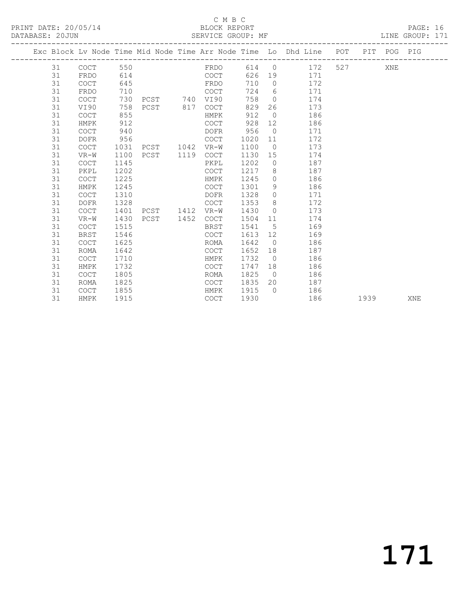## C M B C<br>BLOCK REPORT

PAGE: 16<br>LINE GROUP: 171

|    |             |      |                |             |      |                | Exc Block Lv Node Time Mid Node Time Arr Node Time Lo Dhd Line POT PIT POG PIG |           |      |     |     |
|----|-------------|------|----------------|-------------|------|----------------|--------------------------------------------------------------------------------|-----------|------|-----|-----|
| 31 | COCT        | 550  |                | FRDO        |      |                | 614 0 172                                                                      | 527 — 100 |      | XNE |     |
| 31 | FRDO        | 614  |                | COCT        |      |                | 626 19 171                                                                     |           |      |     |     |
| 31 | <b>COCT</b> | 645  | <b>ERDO</b>    |             | 710  | $\Omega$       | 172                                                                            |           |      |     |     |
| 31 | FRDO        | 710  |                | COCT        | 724  |                | 6 171                                                                          |           |      |     |     |
| 31 | <b>COCT</b> | 730  | PCST 740 VI90  |             | 758  | $\overline{0}$ | 174                                                                            |           |      |     |     |
| 31 | VI90        | 758  | PCST 817       | COCT        | 829  | 26             | 173                                                                            |           |      |     |     |
| 31 | <b>COCT</b> | 855  |                | HMPK        | 912  | $\bigcirc$     | 186                                                                            |           |      |     |     |
| 31 | HMPK        | 912  |                | COCT        | 928  | 12             | 186                                                                            |           |      |     |     |
| 31 | <b>COCT</b> | 940  |                | DOFR        | 956  | $\overline{0}$ | 171                                                                            |           |      |     |     |
| 31 | <b>DOFR</b> | 956  |                | <b>COCT</b> | 1020 | 11             | 172                                                                            |           |      |     |     |
| 31 | <b>COCT</b> | 1031 | PCST 1042      | $VR-W$      | 1100 | $\bigcirc$     | 173                                                                            |           |      |     |     |
| 31 | $VR-W$      | 1100 | PCST 1119 COCT |             | 1130 | 15             | 174                                                                            |           |      |     |     |
| 31 | <b>COCT</b> | 1145 |                | PKPL        | 1202 | $\overline{0}$ | 187                                                                            |           |      |     |     |
| 31 | PKPL        | 1202 |                | <b>COCT</b> | 1217 | 8              | 187                                                                            |           |      |     |     |
| 31 | <b>COCT</b> | 1225 |                | HMPK        | 1245 |                | 186<br>$\Omega$                                                                |           |      |     |     |
| 31 | HMPK        | 1245 |                | COCT        | 1301 | 9              | 186                                                                            |           |      |     |     |
| 31 | <b>COCT</b> | 1310 |                | DOFR        | 1328 | $\circ$        | 171                                                                            |           |      |     |     |
| 31 | <b>DOFR</b> | 1328 |                | COCT        | 1353 |                | $8 \overline{)}$<br>172                                                        |           |      |     |     |
| 31 | <b>COCT</b> | 1401 | PCST 1412      | VR-W        | 1430 | $\bigcirc$     | 173                                                                            |           |      |     |     |
| 31 | $VR-W$      | 1430 | PCST 1452      | COCT        | 1504 | 11             | 174                                                                            |           |      |     |     |
| 31 | <b>COCT</b> | 1515 |                | BRST        | 1541 | 5              | 169                                                                            |           |      |     |     |
| 31 | <b>BRST</b> | 1546 |                | COCT        | 1613 |                | 169                                                                            |           |      |     |     |
| 31 | <b>COCT</b> | 1625 |                | ROMA        | 1642 | $\overline{0}$ | 186                                                                            |           |      |     |     |
| 31 | <b>ROMA</b> | 1642 |                | <b>COCT</b> | 1652 | 18             | 187                                                                            |           |      |     |     |
| 31 | <b>COCT</b> | 1710 |                | HMPK        | 1732 | $\overline{0}$ | 186                                                                            |           |      |     |     |
| 31 | HMPK        | 1732 |                | <b>COCT</b> | 1747 | 18             | 186                                                                            |           |      |     |     |
| 31 | <b>COCT</b> | 1805 |                | ROMA        | 1825 | $\overline{0}$ | 186                                                                            |           |      |     |     |
| 31 | ROMA        | 1825 |                | <b>COCT</b> | 1835 |                | 20<br>187                                                                      |           |      |     |     |
| 31 | <b>COCT</b> | 1855 |                | HMPK        | 1915 | $\bigcirc$     | 186                                                                            |           |      |     |     |
| 31 | HMPK        | 1915 |                | <b>COCT</b> | 1930 |                | 186                                                                            |           | 1939 |     | XNE |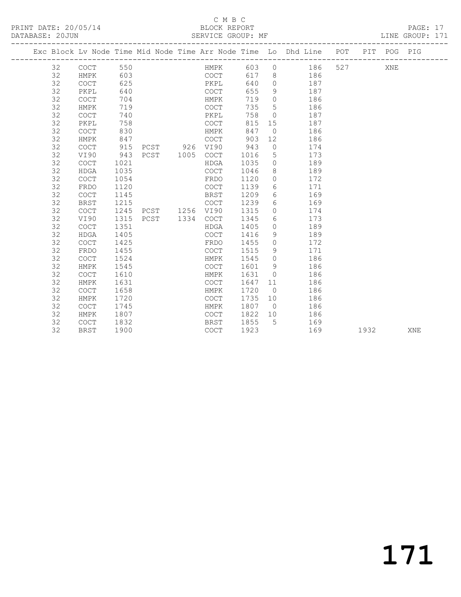## C M B C<br>BLOCK REPORT

| PRINT DATE: 20/05/14 BLOCK REPORT<br>DATABASE: 20JUN SERVICE GROUP: MF |    |                                                                                |      |                |                                 |      |      |                   |                |                       |     |         | PAGE: 17 |  |
|------------------------------------------------------------------------|----|--------------------------------------------------------------------------------|------|----------------|---------------------------------|------|------|-------------------|----------------|-----------------------|-----|---------|----------|--|
|                                                                        |    | Exc Block Lv Node Time Mid Node Time Arr Node Time Lo Dhd Line POT PIT POG PIG |      |                |                                 |      |      |                   |                |                       |     |         |          |  |
|                                                                        |    |                                                                                |      |                |                                 |      |      |                   |                | HMPK 603 0 186        |     | 527 XNE |          |  |
|                                                                        | 32 | HMPK                                                                           |      | 603 000        |                                 | COCT |      |                   |                | 617 8 186             |     |         |          |  |
|                                                                        | 32 | COCT                                                                           | 625  |                |                                 |      |      |                   |                | 640 0 187             |     |         |          |  |
|                                                                        | 32 | PKPL                                                                           | 640  | PKPL<br>COCT   |                                 |      |      |                   |                | 655 9 187             |     |         |          |  |
|                                                                        | 32 | <b>COCT</b>                                                                    | 704  |                |                                 |      | HMPK | 719               |                | 0 186                 |     |         |          |  |
|                                                                        | 32 | HMPK                                                                           | 719  |                |                                 |      | COCT | 735               |                | 5 186                 |     |         |          |  |
|                                                                        | 32 | COCT                                                                           | 740  |                |                                 |      | PKPL | 758               |                | 0 187                 |     |         |          |  |
|                                                                        | 32 | PKPL                                                                           | 758  |                |                                 |      | COCT |                   |                | 815 15 187            |     |         |          |  |
|                                                                        | 32 | COCT                                                                           | 830  |                |                                 |      | HMPK | 847               |                | 0 186                 |     |         |          |  |
|                                                                        | 32 | HMPK                                                                           | 847  |                |                                 | COCT |      | 903               |                | 12 186                |     |         |          |  |
|                                                                        | 32 | COCT                                                                           | 915  |                |                                 |      |      | PCST 926 VI90 943 |                | $0 \qquad \qquad 174$ |     |         |          |  |
|                                                                        | 32 | VI90                                                                           | 943  |                | PCST 1005 COCT                  |      |      | 1016              |                | 5 173                 |     |         |          |  |
|                                                                        | 32 | COCT                                                                           | 1021 |                |                                 | HDGA |      | 1035              |                | 0 189                 |     |         |          |  |
|                                                                        | 32 | HDGA                                                                           | 1035 |                |                                 | COCT |      | 1046              |                | 8 189                 |     |         |          |  |
|                                                                        | 32 | COCT                                                                           |      | 1054 000       |                                 | FRDO |      |                   |                | 1120 0 172            |     |         |          |  |
|                                                                        | 32 | FRDO                                                                           | 1120 |                |                                 | COCT |      | 1139              |                | 6 171                 |     |         |          |  |
|                                                                        | 32 | <b>COCT</b>                                                                    | 1145 |                | <b>Example 19 Service SERST</b> |      |      | 1209              |                | 6 169                 |     |         |          |  |
|                                                                        | 32 | BRST                                                                           | 1215 |                |                                 | COCT |      | 1239              |                | 6 169                 |     |         |          |  |
|                                                                        | 32 | COCT                                                                           | 1245 | PCST 1256 VI90 |                                 |      |      | 1315              | $\overline{O}$ | 174                   |     |         |          |  |
|                                                                        | 32 | VI90                                                                           | 1315 | PCST 1334 COCT |                                 |      |      | 1345              |                | 6 173                 |     |         |          |  |
|                                                                        | 32 | COCT                                                                           | 1351 |                |                                 | HDGA |      | 1405              |                | 0 189                 |     |         |          |  |
|                                                                        | 32 | HDGA                                                                           | 1405 |                |                                 | COCT |      | 1416              |                | 9 189                 |     |         |          |  |
|                                                                        | 32 | COCT                                                                           | 1425 |                |                                 | FRDO |      | 1455              |                | $0 \t 172$            |     |         |          |  |
|                                                                        | 32 | FRDO                                                                           | 1455 |                |                                 | COCT |      | 1515              |                | 9 171                 |     |         |          |  |
|                                                                        | 32 | COCT                                                                           | 1524 |                |                                 | HMPK |      | 1545              |                | $0$ 186               |     |         |          |  |
|                                                                        | 32 | HMPK                                                                           | 1545 |                |                                 | COCT |      | 1601              |                | 9 186                 |     |         |          |  |
|                                                                        | 32 | COCT                                                                           | 1610 |                |                                 | HMPK |      | 1631 0            |                |                       | 186 |         |          |  |

 32 HMPK 1631 COCT 1647 11 186 32 COCT 1658 HMPK 1720 0 186 32 HMPK 1720 COCT 1735 10 186 32 COCT 1745 HMPK 1807 0 186

32 HMPK 1807 COCT 1822 10 186<br>32 COCT 1832 BRST 1855 5 169<br>32 BRST 1900 COCT 1923 169 32 COCT 1832 BRST 1855 5 169<br>32 BRST 1900 60CT 1923 169

1932 XNE

# 171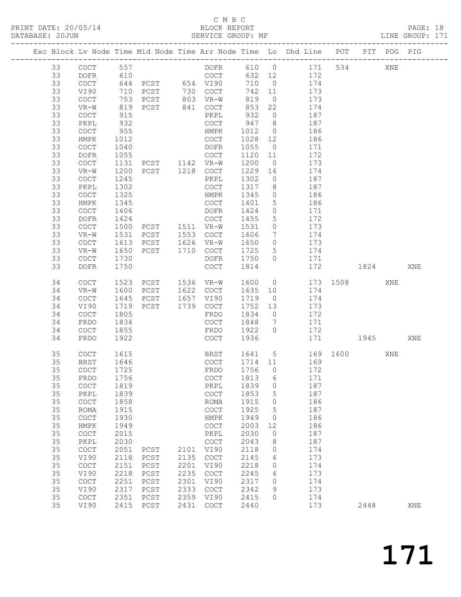## C M B C<br>BLOCK REPORT

PRINT DATE: 20/05/14 BLOCK REPORT BATABASE: 20JUN

PAGE: 18<br>LINE GROUP: 171

|                 |                                            |              |                                  |      |                                                 |              |                      | Exc Block Lv Node Time Mid Node Time Arr Node Time Lo Dhd Line POT PIT POG PIG |          |      |     |     |
|-----------------|--------------------------------------------|--------------|----------------------------------|------|-------------------------------------------------|--------------|----------------------|--------------------------------------------------------------------------------|----------|------|-----|-----|
| 33              | COCT                                       | 557          |                                  |      |                                                 |              |                      | DOFR 610 0 171                                                                 |          | 534  | XNE |     |
| 33              | DOFR                                       | 610          |                                  |      | COCT                                            |              |                      | 632 12 172                                                                     |          |      |     |     |
| 33              | COCT                                       |              |                                  |      | 644 PCST 654 VI90                               | 710          |                      | $0 \t 174$                                                                     |          |      |     |     |
| 33              | VI90                                       | 710          |                                  |      |                                                 | 742 11       |                      | 173                                                                            |          |      |     |     |
| 33              | COCT                                       | 753          |                                  |      | PCST 730 COCT<br>PCST 803 VR-W<br>PCST 841 COCT | 819          | $\overline{0}$       | 173                                                                            |          |      |     |     |
| 33<br>33        | VR-W                                       | 819<br>915   |                                  |      | PKPL                                            | 853<br>932   | 22<br>$\overline{0}$ | 174<br>187                                                                     |          |      |     |     |
| 33              | COCT<br>PKPL                               | 932          |                                  |      | COCT                                            | 947 8        |                      | 187                                                                            |          |      |     |     |
| 33              | COCT                                       | 955          |                                  |      | HMPK                                            | 1012         | $\overline{0}$       | 186                                                                            |          |      |     |     |
| 33              | HMPK                                       | 1012         |                                  |      | COCT                                            | 1028 12      |                      | 186                                                                            |          |      |     |     |
| 33              | COCT                                       | 1040         |                                  |      | DOFR                                            | 1055         | $\overline{0}$       | 171                                                                            |          |      |     |     |
| 33              | DOFR                                       | 1055         |                                  |      | COCT                                            | 1120 11      |                      | 172                                                                            |          |      |     |     |
| 33              | COCT                                       | 1131         |                                  |      |                                                 | 1200         | $\overline{0}$       | 173                                                                            |          |      |     |     |
| 33              | VR-W                                       | 1200         | PCST 1142 VR-W<br>PCST 1218 COCT |      |                                                 | 1229 16      |                      | 174                                                                            |          |      |     |     |
| 33              | COCT                                       | 1245         |                                  |      | PKPL                                            | 1302         | $\overline{0}$       | 187                                                                            |          |      |     |     |
| 33              | PKPL                                       | 1302         |                                  |      | COCT                                            | 1317         | 8 <sup>8</sup>       | 187                                                                            |          |      |     |     |
| 33              | COCT                                       | 1325         |                                  |      | HMPK                                            | 1345         | $\overline{0}$       | 186                                                                            |          |      |     |     |
| 33              | HMPK                                       | 1345         |                                  |      | COCT                                            | 1401         | $5\overline{)}$      | 186                                                                            |          |      |     |     |
| 33              | COCT                                       | 1406         |                                  |      | DOFR                                            | 1424         | $\overline{0}$       | 171                                                                            |          |      |     |     |
| 33              | DOFR                                       | 1424         |                                  |      | COCT                                            | 1455         | 5                    | 172                                                                            |          |      |     |     |
| 33              | COCT                                       | 1500         | PCST 1511 VR-W<br>PCST 1553 COCT |      |                                                 | 1531         | $\circ$              | 173                                                                            |          |      |     |     |
| 33              | $VR-W$                                     | 1531         |                                  |      |                                                 | 1606         | $\overline{7}$       | 174                                                                            |          |      |     |     |
| 33              | COCT                                       |              | 1613 PCST 1626 VR-W              |      |                                                 | 1650         | $\overline{0}$       | 173                                                                            |          |      |     |     |
| 33              | VR-W                                       | 1650         |                                  |      | PCST 1710 COCT                                  | 1725         | $5\overline{)}$      | 174                                                                            |          |      |     |     |
| 33              | COCT                                       | 1730         |                                  |      | DOFR                                            | 1750         | $\bigcirc$           | 171                                                                            |          |      |     |     |
| 33              | DOFR                                       | 1750         |                                  |      | COCT                                            | 1814         |                      | 172                                                                            |          | 1824 |     | XNE |
| 34              | COCT                                       |              | 1523 PCST 1536 VR-W              |      |                                                 | 1600 0       |                      |                                                                                | 173 1508 |      | XNE |     |
| 34              | $VR-W$                                     | 1600         | PCST 1622 COCT                   |      |                                                 | 1635 10      |                      | 174                                                                            |          |      |     |     |
| 34              | $\mathtt{C}\mathtt{O}\mathtt{C}\mathtt{T}$ | 1645         | PCST 1657 VI90                   |      |                                                 | 1719         | $\overline{0}$       | 174                                                                            |          |      |     |     |
| 34              | VI90                                       | 1719         | PCST                             |      | 1739 COCT                                       | 1752 13      |                      | 173                                                                            |          |      |     |     |
| 34              | COCT                                       | 1805         |                                  |      | FRDO                                            | 1834         | $\overline{0}$       | 172                                                                            |          |      |     |     |
| 34              | FRDO                                       | 1834         |                                  |      | COCT                                            | 1848         | $\overline{7}$       | 171                                                                            |          |      |     |     |
| 34<br>34        | COCT                                       | 1855<br>1922 |                                  |      | FRDO<br>COCT                                    | 1922<br>1936 | $\overline{0}$       | 172                                                                            |          | 1945 |     |     |
|                 | FRDO                                       |              |                                  |      |                                                 |              |                      |                                                                                | 171      |      |     | XNE |
| 35              | COCT                                       | 1615         |                                  |      | BRST                                            |              |                      | 1641 5                                                                         | 169 1600 |      | XNE |     |
| 35              | BRST                                       | 1646         |                                  |      | COCT                                            | 1714 11      |                      | 169                                                                            |          |      |     |     |
| 35              | COCT                                       | 1725         |                                  |      | FRDO                                            | 1756 0       |                      | 172                                                                            |          |      |     |     |
| 35 <sub>1</sub> | FRDO 1756                                  |              |                                  |      | COCT 1813 6                                     |              |                      | 171                                                                            |          |      |     |     |
| 35              | COCT                                       | 1819         |                                  |      | PKPL                                            | 1839         | 0                    | 187                                                                            |          |      |     |     |
| 35              | PKPL                                       | 1839         |                                  |      | COCT                                            | 1853         | 5                    | 187                                                                            |          |      |     |     |
| 35              | $\mathtt{C}\mathtt{O}\mathtt{C}\mathtt{T}$ | 1858         |                                  |      | ROMA                                            | 1915         | $\circ$              | 186                                                                            |          |      |     |     |
| 35              | ROMA                                       | 1915         |                                  |      | COCT                                            | 1925         | 5                    | 187                                                                            |          |      |     |     |
| 35              | COCT                                       | 1930         |                                  |      | HMPK                                            | 1949         | 0                    | 186                                                                            |          |      |     |     |
| 35              | HMPK                                       | 1949         |                                  |      | COCT                                            | 2003         | 12                   | 186                                                                            |          |      |     |     |
| 35              | COCT                                       | 2015         |                                  |      | PKPL                                            | 2030         | $\circ$              | 187                                                                            |          |      |     |     |
| 35<br>35        | PKPL<br>COCT                               | 2030<br>2051 | PCST                             | 2101 | COCT<br>VI90                                    | 2043<br>2118 | 8<br>0               | 187<br>174                                                                     |          |      |     |     |
| 35              | VI90                                       | 2118         | PCST                             | 2135 | COCT                                            | 2145         | 6                    | 173                                                                            |          |      |     |     |
| 35              | COCT                                       | 2151         | PCST                             | 2201 | VI90                                            | 2218         | 0                    | 174                                                                            |          |      |     |     |
| 35              | VI90                                       | 2218         | PCST                             | 2235 | COCT                                            | 2245         | 6                    | 173                                                                            |          |      |     |     |
| 35              | COCT                                       | 2251         | PCST                             | 2301 | VI90                                            | 2317         | 0                    | 174                                                                            |          |      |     |     |
| 35              | VI90                                       | 2317         | ${\tt PCST}$                     | 2333 | COCT                                            | 2342         | 9                    | 173                                                                            |          |      |     |     |
| 35              | COCT                                       | 2351         | PCST                             | 2359 | VI90                                            | 2415         | $\circ$              | 174                                                                            |          |      |     |     |
| 35              | VI90                                       |              | 2415 PCST                        | 2431 | COCT                                            | 2440         |                      | 173                                                                            |          | 2448 |     | XNE |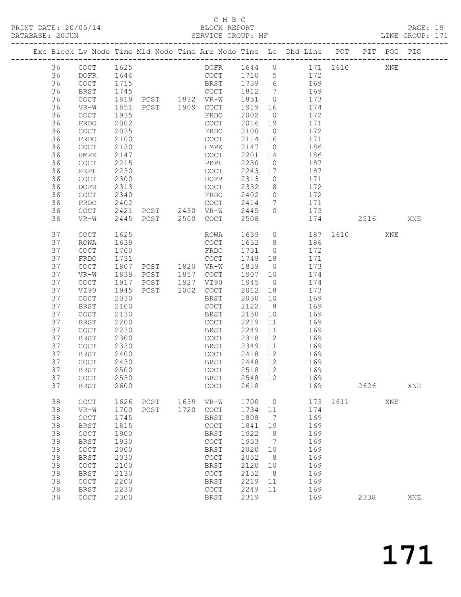# C M B C<br>BLOCK REPORT<br>SERVICE GROUP: MF

| DATABASE: 20JUN |          |                                            |      | SERVICE GROUP: MF              |      |                                            |         |                |                                                                                |          |      |     | LINE GROUP: 171 |
|-----------------|----------|--------------------------------------------|------|--------------------------------|------|--------------------------------------------|---------|----------------|--------------------------------------------------------------------------------|----------|------|-----|-----------------|
|                 |          |                                            |      |                                |      |                                            |         |                | Exc Block Lv Node Time Mid Node Time Arr Node Time Lo Dhd Line POT PIT POG PIG |          |      |     |                 |
|                 | 36       | COCT                                       | 1625 |                                |      |                                            |         |                | DOFR 1644 0 171 1610 XNE                                                       |          |      |     |                 |
|                 | 36       | DOFR                                       | 1644 |                                |      |                                            |         |                | COCT 1710 5 172                                                                |          |      |     |                 |
|                 | 36       | COCT                                       | 1715 |                                |      | BRST 1739 6                                |         |                | 169                                                                            |          |      |     |                 |
|                 | 36       | <b>BRST</b>                                | 1745 |                                |      | COCT                                       | 1812 7  |                | 169                                                                            |          |      |     |                 |
|                 | 36       | COCT                                       |      |                                |      |                                            | 1851 0  |                | 173                                                                            |          |      |     |                 |
|                 | 36       | VR-W                                       | 1851 | PCST 1909 COCT                 |      |                                            | 1919    |                | 16 174                                                                         |          |      |     |                 |
|                 | 36       | COCT                                       | 1935 |                                |      | FRDO                                       | 2002    | $\overline{0}$ | 172                                                                            |          |      |     |                 |
|                 | 36       | FRDO                                       | 2002 |                                |      | COCT                                       | 2016 19 |                | 171                                                                            |          |      |     |                 |
|                 | 36       | COCT                                       | 2035 |                                |      | FRDO                                       | 2100    | $\overline{0}$ | 172                                                                            |          |      |     |                 |
|                 | 36       | FRDO                                       | 2100 |                                |      | COCT                                       | 2114 16 |                | 171                                                                            |          |      |     |                 |
|                 | 36       | COCT                                       | 2130 |                                |      | HMPK                                       | 2147    | $\overline{0}$ | 186                                                                            |          |      |     |                 |
|                 | 36       | HMPK                                       | 2147 |                                |      | COCT                                       | 2201    | 14             | 186                                                                            |          |      |     |                 |
|                 | 36       | COCT                                       | 2215 |                                |      | PKPL                                       | 2230    | $\overline{0}$ | 187                                                                            |          |      |     |                 |
|                 | 36       | PKPL                                       | 2230 |                                |      | COCT                                       | 2243    |                | 17 187                                                                         |          |      |     |                 |
|                 | 36       | COCT                                       | 2300 |                                |      | DOFR                                       | 2313    | $\overline{0}$ | 171                                                                            |          |      |     |                 |
|                 | 36       | DOFR                                       | 2313 |                                |      | COCT                                       | 2332    | 8 <sup>8</sup> | 172                                                                            |          |      |     |                 |
|                 | 36       | COCT                                       | 2340 |                                |      | FRDO                                       | 2402    | $\overline{0}$ | 172                                                                            |          |      |     |                 |
|                 |          |                                            |      |                                |      | COCT                                       | 2414    |                | 7 171                                                                          |          |      |     |                 |
|                 | 36<br>36 | FRDO                                       | 2402 | PCST 2430 VR-W                 |      |                                            |         | $\overline{0}$ | 173                                                                            |          |      |     |                 |
|                 | 36       | COCT<br>$VR-W$                             | 2421 |                                |      |                                            | 2445    |                |                                                                                |          |      |     | XNE             |
|                 |          |                                            |      | 2445 PCST 2500 COCT            |      |                                            | 2508    |                |                                                                                | 174 2516 |      |     |                 |
|                 | 37       | COCT                                       | 1625 |                                |      | ROWA                                       | 1639    |                | $\overline{O}$                                                                 | 187 1610 |      | XNE |                 |
|                 | 37       | <b>ROWA</b>                                | 1639 |                                |      | COCT                                       | 1652 8  |                | 186                                                                            |          |      |     |                 |
|                 | 37       | COCT                                       | 1700 |                                |      | FRDO                                       | 1731 0  |                | 172                                                                            |          |      |     |                 |
|                 | 37       | FRDO                                       | 1731 | FRDO<br>COCT<br>PCST 1820 VR-W |      |                                            | 1749 18 |                | 171                                                                            |          |      |     |                 |
|                 | 37       | COCT                                       | 1807 |                                |      |                                            | 1839    | $\overline{0}$ | 173                                                                            |          |      |     |                 |
|                 | 37       | VR-W                                       | 1839 | PCST 1857 COCT                 |      |                                            | 1907    | 10             | 174                                                                            |          |      |     |                 |
|                 | 37       | $\mathtt{C}\mathtt{O}\mathtt{C}\mathtt{T}$ | 1917 | PCST 1927                      |      | VI90                                       | 1945    | $\overline{0}$ | 174                                                                            |          |      |     |                 |
|                 | 37       | VI90                                       | 1945 | PCST 2002 COCT                 |      |                                            | 2012    | 18             | 173                                                                            |          |      |     |                 |
|                 | 37       | COCT                                       | 2030 |                                |      | BRST                                       | 2050    | 10             | 169                                                                            |          |      |     |                 |
|                 | 37       | <b>BRST</b>                                | 2100 |                                |      | COCT                                       | 2122    | 8 <sup>8</sup> | 169                                                                            |          |      |     |                 |
|                 | 37       | COCT                                       | 2130 |                                |      | BRST                                       | 2150    | 10             | 169                                                                            |          |      |     |                 |
|                 | 37       | BRST                                       | 2200 |                                |      | COCT                                       | 2219    | 11             | 169                                                                            |          |      |     |                 |
|                 | 37       | COCT                                       | 2230 |                                |      | BRST                                       | 2249    | 11             | 169                                                                            |          |      |     |                 |
|                 | 37       | BRST                                       | 2300 |                                |      | COCT                                       | 2318    | 12             | 169                                                                            |          |      |     |                 |
|                 | 37       | COCT                                       | 2330 |                                |      | BRST                                       | 2349    | 11             | 169                                                                            |          |      |     |                 |
|                 | 37       | BRST                                       | 2400 |                                |      | COCT                                       | 2418 12 |                | 169                                                                            |          |      |     |                 |
|                 | 37       | <b>COCT</b>                                | 2430 |                                |      | BRST                                       | 2448 12 |                | 169                                                                            |          |      |     |                 |
|                 | 37       | <b>BRST</b>                                | 2500 |                                |      |                                            |         |                | COCT 2518 12 169                                                               |          |      |     |                 |
|                 | 37       | COCT                                       | 2530 |                                |      | BRST                                       | 2548 12 |                | 169                                                                            |          |      |     |                 |
|                 | 37       | <b>BRST</b>                                | 2600 |                                |      | COCT                                       | 2618    |                |                                                                                | 169      | 2626 |     | XNE             |
|                 | 38       | COCT                                       | 1626 | PCST                           | 1639 | VR-W                                       | 1700    | $\overline{0}$ |                                                                                | 173 1611 |      | XNE |                 |
|                 | 38       | $VR-W$                                     | 1700 | PCST                           | 1720 | COCT                                       | 1734    | 11             | 174                                                                            |          |      |     |                 |
|                 | 38       | COCT                                       | 1745 |                                |      | BRST                                       | 1808    | $\overline{7}$ | 169                                                                            |          |      |     |                 |
|                 | 38       | <b>BRST</b>                                | 1815 |                                |      | $\mathtt{C}\mathtt{O}\mathtt{C}\mathtt{T}$ | 1841    | 19             | 169                                                                            |          |      |     |                 |
|                 | 38       | $\mathtt{C}\mathtt{O}\mathtt{C}\mathtt{T}$ | 1900 |                                |      | <b>BRST</b>                                | 1922    | 8              | 169                                                                            |          |      |     |                 |
|                 | 38       | BRST                                       | 1930 |                                |      | COCT                                       | 1953    | $\overline{7}$ | 169                                                                            |          |      |     |                 |
|                 | 38       | $\mathtt{C}\mathtt{O}\mathtt{C}\mathtt{T}$ | 2000 |                                |      | BRST                                       | 2020    | 10             | 169                                                                            |          |      |     |                 |
|                 | 38       | <b>BRST</b>                                | 2030 |                                |      | COCT                                       | 2052    | 8              | 169                                                                            |          |      |     |                 |
|                 | 38       | $\operatorname{COT}$                       | 2100 |                                |      | BRST                                       | 2120    | 10             | 169                                                                            |          |      |     |                 |
|                 | 38       | <b>BRST</b>                                | 2130 |                                |      | COCT                                       | 2152    | 8 <sup>8</sup> | 169                                                                            |          |      |     |                 |
|                 | 38       | COCT                                       | 2200 |                                |      | BRST                                       | 2219    | 11             | 169                                                                            |          |      |     |                 |
|                 | 38       | <b>BRST</b>                                | 2230 |                                |      | COCT                                       | 2249 11 |                | 169                                                                            |          |      |     |                 |
|                 | 38       | COCT                                       | 2300 |                                |      | <b>BRST</b>                                | 2319    |                | 169                                                                            |          | 2338 |     | XNE             |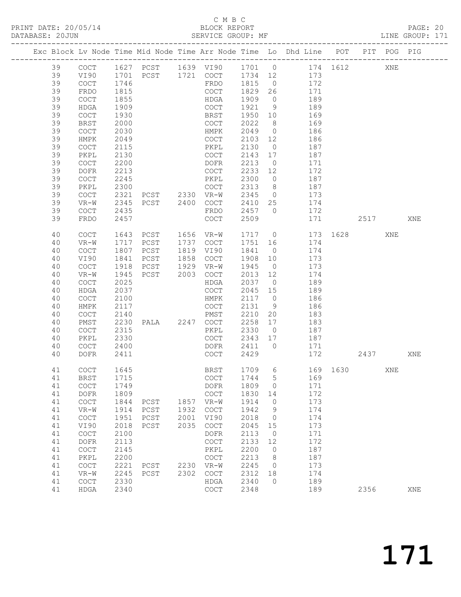# C M B C<br>BLOCK REPORT<br>SERVICE GROUP: MF

| DATABASE: 20JUN |          |                               |              | SERVICE GROUP: MF |              |                                                    |              |                      | LINE GROUP: 171                                                                |      |      |     |     |  |
|-----------------|----------|-------------------------------|--------------|-------------------|--------------|----------------------------------------------------|--------------|----------------------|--------------------------------------------------------------------------------|------|------|-----|-----|--|
|                 |          |                               |              |                   |              |                                                    |              |                      | Exc Block Lv Node Time Mid Node Time Arr Node Time Lo Dhd Line POT PIT POG PIG |      |      |     |     |  |
|                 | 39       | COCT                          |              |                   |              |                                                    |              |                      | 1627 PCST 1639 VI90 1701 0 174 1612 XNE                                        |      |      |     |     |  |
|                 | 39       | VI90                          |              |                   |              |                                                    |              |                      | 1701 PCST 1721 COCT 1734 12 173                                                |      |      |     |     |  |
|                 | 39       | COCT                          | 1746         |                   |              |                                                    |              |                      | FRDO 1815 0 172                                                                |      |      |     |     |  |
|                 | 39       | FRDO                          | 1815         |                   |              | COCT                                               |              |                      |                                                                                |      |      |     |     |  |
|                 | 39       | COCT                          | 1855         |                   |              | HDGA                                               |              |                      | 1829  26  171<br>1909  0  189                                                  |      |      |     |     |  |
|                 | 39       | HDGA                          | 1909         |                   |              | COCT                                               |              |                      | 1921 9 189                                                                     |      |      |     |     |  |
|                 | 39       | COCT                          | 1930         |                   |              | BRST                                               | 1950 10      |                      | 169                                                                            |      |      |     |     |  |
|                 | 39       | BRST                          | 2000         |                   |              | COCT                                               | 2022 8       |                      | 169                                                                            |      |      |     |     |  |
|                 | 39       | COCT                          | 2030         |                   |              | HMPK                                               | 2049 0       |                      | 186                                                                            |      |      |     |     |  |
|                 | 39       | HMPK                          | 2049         |                   |              | COCT                                               | 2103 12      |                      | 186                                                                            |      |      |     |     |  |
|                 | 39       | COCT                          | 2115         |                   |              | PKPL                                               | 2130         | $\overline{0}$       | 187                                                                            |      |      |     |     |  |
|                 | 39       | PKPL                          | 2130         |                   |              | COCT                                               | 2143 17      |                      | 187                                                                            |      |      |     |     |  |
|                 | 39       | COCT                          | 2200         |                   |              | DOFR                                               | 2213         | $\overline{0}$       | 171                                                                            |      |      |     |     |  |
|                 | 39       | DOFR                          | 2213         |                   |              | COCT                                               | 2233 12      |                      | 172                                                                            |      |      |     |     |  |
|                 | 39       | COCT                          | 2245         |                   |              | PKPL                                               | 2300         |                      | 0 187                                                                          |      |      |     |     |  |
|                 | 39       | PKPL                          | 2300         |                   |              | COCT                                               | 2313 8       |                      | 187                                                                            |      |      |     |     |  |
|                 | 39       | COCT                          | 2321         |                   |              |                                                    | 2345 0       |                      | 173                                                                            |      |      |     |     |  |
|                 | 39       | VR-W                          | 2345         | PCST 2400 COCT    |              |                                                    |              |                      | 2410 25 174                                                                    |      |      |     |     |  |
|                 | 39       | COCT                          | 2435         |                   |              | FRDO                                               |              |                      | 2457 0 172                                                                     |      |      |     |     |  |
|                 | 39       | FRDO                          | 2457         |                   |              | COCT                                               | 2509         |                      | 171                                                                            | 2517 |      |     | XNE |  |
|                 | 40       | COCT                          | 1643         | PCST 1656 VR-W    |              |                                                    |              |                      | 1717 0 173 1628                                                                |      |      | XNE |     |  |
|                 | 40       | $VR-W$                        | 1717         | PCST              |              | 1737 COCT                                          | 1751 16      |                      | 174                                                                            |      |      |     |     |  |
|                 | 40       | COCT                          | 1807         | PCST              |              | 1819 VI90                                          | 1841 0       |                      | 174                                                                            |      |      |     |     |  |
|                 | 40       | VI90                          | 1841         | PCST              |              | 1858 COCT                                          | 1908 10      |                      | 173                                                                            |      |      |     |     |  |
|                 | 40       | COCT                          | 1918         | PCST 1929 VR-W    |              |                                                    | 1945         |                      | $0$ 173                                                                        |      |      |     |     |  |
|                 | 40       | VR-W                          | 1945         | PCST 2003         |              | COCT                                               | 2013 12      |                      | 174                                                                            |      |      |     |     |  |
|                 | 40       | COCT                          | 2025         |                   |              | HDGA                                               | 2037         | $\overline{0}$       | 189                                                                            |      |      |     |     |  |
|                 | 40       | <b>HDGA</b>                   | 2037         |                   |              | COCT                                               | 2045 15      |                      | 189                                                                            |      |      |     |     |  |
|                 | 40       | COCT                          | 2100         |                   |              | HMPK                                               | 2117 0       |                      | 186                                                                            |      |      |     |     |  |
|                 | 40       | HMPK                          | 2117         |                   |              | COCT                                               | 2131         | 9                    | 186                                                                            |      |      |     |     |  |
|                 | 40       | COCT                          | 2140         |                   |              |                                                    | 2210         | 20                   | 183                                                                            |      |      |     |     |  |
|                 | 40       | PMST                          | 2230         |                   |              |                                                    | 2258 17      |                      | 183                                                                            |      |      |     |     |  |
|                 | 40       | COCT                          | 2315         |                   |              | PKPL                                               | 2330 0       |                      | 187                                                                            |      |      |     |     |  |
|                 | 40       | PKPL                          | 2330         |                   |              | COCT                                               |              |                      | 2343 17 187                                                                    |      |      |     |     |  |
|                 | 40       | COCT                          | 2400         |                   |              | DOFR                                               | 2411 0       |                      | 171                                                                            |      |      |     |     |  |
|                 | 40       | DOFR                          | 2411         |                   |              | COCT                                               | 2429         |                      | 172                                                                            |      | 2437 |     | XNE |  |
|                 | 41       | COCT                          | 1645         |                   |              |                                                    |              |                      | BRST 1709 6 169 1630                                                           |      |      | XNE |     |  |
|                 | 41       | BRST                          | 1715         |                   |              | COCT                                               | 1744         | $5^{\circ}$          | 169                                                                            |      |      |     |     |  |
|                 | 41       | COCT                          | 1749         |                   |              | DOFR                                               | 1809         | $\overline{0}$       | 171                                                                            |      |      |     |     |  |
|                 | 41       | DOFR                          | 1809         |                   |              | COCT                                               | 1830         | 14                   | 172                                                                            |      |      |     |     |  |
|                 | 41       | $\operatorname{COCT}$         | 1844         | PCST              | 1857<br>1932 | VR-W                                               | 1914<br>1942 | $\overline{0}$<br>9  | 173                                                                            |      |      |     |     |  |
|                 | 41       | $VR-W$                        | 1914         | PCST              | 2001         | COCT                                               | 2018         |                      | 174                                                                            |      |      |     |     |  |
|                 | 41<br>41 | $\operatorname{COCT}$<br>VI90 | 1951<br>2018 | PCST<br>PCST      | 2035         | VI90<br>$\mathtt{C}\mathtt{O}\mathtt{C}\mathtt{T}$ | 2045         | $\overline{0}$       | 174<br>173                                                                     |      |      |     |     |  |
|                 | 41       | COCT                          | 2100         |                   |              | DOFR                                               | 2113         | 15<br>$\overline{0}$ | 171                                                                            |      |      |     |     |  |
|                 | 41       | <b>DOFR</b>                   | 2113         |                   |              | COCT                                               | 2133         | 12                   | 172                                                                            |      |      |     |     |  |
|                 | 41       | COCT                          | 2145         |                   |              | PKPL                                               | 2200         | $\overline{0}$       | 187                                                                            |      |      |     |     |  |
|                 | 41       | PKPL                          | 2200         |                   |              | $\mathtt{C}\mathtt{O}\mathtt{C}\mathtt{T}$         | 2213         | 8 <sup>8</sup>       | 187                                                                            |      |      |     |     |  |
|                 | 41       | $\operatorname{COCT}$         | 2221         | PCST              |              | 2230 VR-W                                          | 2245         | $\overline{0}$       | 173                                                                            |      |      |     |     |  |
|                 | 41       | $VR-W$                        | 2245         | PCST              | 2302         | COCT                                               | 2312         | 18                   | 174                                                                            |      |      |     |     |  |
|                 | 41       | COCT                          | 2330         |                   |              | HDGA                                               | 2340         | $\circ$              | 189                                                                            |      |      |     |     |  |
|                 | 41       | HDGA                          | 2340         |                   |              | COCT                                               | 2348         |                      | 189                                                                            |      | 2356 |     | XNE |  |
|                 |          |                               |              |                   |              |                                                    |              |                      |                                                                                |      |      |     |     |  |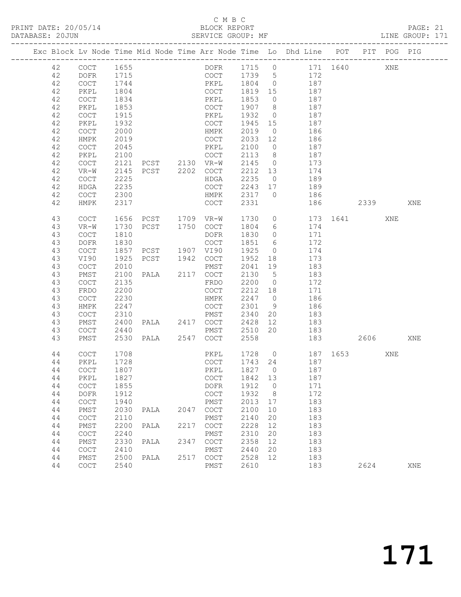## C M B C<br>BLOCK REPORT

| DATABASE: 20JUN |                      |      | SERVICE GROUP: MF                |      |                                        |         |                 |                                                                                |          |      |        | LINE GROUP: 171 |  |
|-----------------|----------------------|------|----------------------------------|------|----------------------------------------|---------|-----------------|--------------------------------------------------------------------------------|----------|------|--------|-----------------|--|
|                 |                      |      |                                  |      |                                        |         |                 | Exc Block Lv Node Time Mid Node Time Arr Node Time Lo Dhd Line POT PIT POG PIG |          |      |        |                 |  |
| 42              | COCT                 | 1655 |                                  |      |                                        |         |                 | DOFR 1715 0 171 1640 XNE                                                       |          |      |        |                 |  |
| 42              | DOFR                 | 1715 |                                  |      |                                        |         |                 | COCT 1739 5 172                                                                |          |      |        |                 |  |
| 42              | COCT                 | 1744 |                                  |      | PKPL 1804 0                            |         |                 | 187                                                                            |          |      |        |                 |  |
| 42              | PKPL                 | 1804 |                                  |      | COCT 1819 15                           |         |                 | 187                                                                            |          |      |        |                 |  |
| 42              | COCT                 | 1834 |                                  |      | PKPL                                   | 1853 0  |                 | 187                                                                            |          |      |        |                 |  |
| 42              | PKPL                 | 1853 |                                  |      | COCT                                   | 1907 8  |                 | 187                                                                            |          |      |        |                 |  |
| 42              | COCT                 | 1915 |                                  |      | PKPL                                   | 1932 0  |                 | 187                                                                            |          |      |        |                 |  |
| 42              | PKPL                 | 1932 |                                  |      | COCT                                   | 1945 15 |                 | 187                                                                            |          |      |        |                 |  |
| 42              | COCT                 | 2000 |                                  |      | HMPK                                   | 2019    | $\overline{0}$  | 186                                                                            |          |      |        |                 |  |
| 42              | HMPK                 | 2019 |                                  |      | COCT                                   | 2033 12 |                 | 186                                                                            |          |      |        |                 |  |
| 42              | COCT                 | 2045 |                                  |      | PKPL                                   | 2100    | $\overline{0}$  | 187                                                                            |          |      |        |                 |  |
| 42              | PKPL                 | 2100 |                                  |      | COCT                                   | 2113 8  |                 | 187                                                                            |          |      |        |                 |  |
| 42              | COCT                 | 2121 | PCST 2130 VR-W                   |      |                                        | 2145 0  |                 | 173                                                                            |          |      |        |                 |  |
| 42              | VR-W                 | 2145 | PCST 2202 COCT                   |      |                                        |         |                 | 2212 13 174                                                                    |          |      |        |                 |  |
| 42              | COCT                 | 2225 |                                  |      | HDGA                                   | 2235 0  |                 | 189                                                                            |          |      |        |                 |  |
| 42              | HDGA                 | 2235 |                                  |      | COCT                                   | 2243 17 |                 | 189                                                                            |          |      |        |                 |  |
| 42              | COCT                 | 2300 |                                  |      | HMPK                                   | 2317 0  |                 | 186                                                                            |          |      |        |                 |  |
| 42              | HMPK                 | 2317 |                                  |      | COCT                                   | 2331    |                 |                                                                                | 186 2339 |      |        | XNE             |  |
| 43              | COCT                 |      | 1656 PCST 1709 VR-W              |      |                                        | 1730    |                 | 0 173 1641                                                                     |          |      | XNE    |                 |  |
| 43              | $VR-W$               | 1730 | PCST 1750 COCT                   |      |                                        | 1804    | $6\overline{6}$ | 174                                                                            |          |      |        |                 |  |
| 43              | COCT                 | 1810 |                                  |      | DOFR                                   | 1830    |                 | $0$ 171                                                                        |          |      |        |                 |  |
| 43              | DOFR                 | 1830 |                                  |      | COCT                                   | 1851 6  |                 | 172                                                                            |          |      |        |                 |  |
| 43              | COCT                 | 1857 |                                  |      |                                        | 1925    | $\overline{0}$  | 174                                                                            |          |      |        |                 |  |
| 43              | VI90                 | 1925 | PCST 1907 VI90<br>PCST 1942 COCT |      |                                        | 1952    | 18              | 173                                                                            |          |      |        |                 |  |
| 43              | COCT                 | 2010 |                                  |      | PMST                                   | 2041 19 |                 | 183                                                                            |          |      |        |                 |  |
| 43              | PMST                 | 2100 | PALA 2117 COCT                   |      |                                        | 2130 5  |                 | 183                                                                            |          |      |        |                 |  |
| 43              | COCT                 | 2135 |                                  |      | FRDO                                   | 2200    | $\overline{0}$  | 172                                                                            |          |      |        |                 |  |
| 43              | FRDO                 | 2200 |                                  |      | COCT                                   | 2212 18 |                 | 171                                                                            |          |      |        |                 |  |
| 43              | COCT                 | 2230 |                                  |      | HMPK                                   | 2247 0  |                 | 186                                                                            |          |      |        |                 |  |
| 43              | HMPK                 | 2247 |                                  |      | COCT                                   | 2301 9  |                 | 186                                                                            |          |      |        |                 |  |
| 43              | COCT                 | 2310 |                                  |      |                                        |         |                 | 183                                                                            |          |      |        |                 |  |
| 43              | PMST                 | 2400 |                                  |      | PMST 2340 20<br>PALA 2417 COCT 2428 12 |         |                 | 183                                                                            |          |      |        |                 |  |
| 43              | COCT                 | 2440 |                                  |      | PMST                                   | 2510    | 20              | 183                                                                            |          |      |        |                 |  |
| 43              | PMST                 |      | 2530 PALA 2547 COCT              |      |                                        | 2558    |                 |                                                                                | 183      |      | 2606 7 | XNE             |  |
| 44              | <b>COCT</b>          | 1708 |                                  |      | PKPL                                   |         |                 | 1728 0 187 1653<br>1743 24 187                                                 |          |      | XNE    |                 |  |
| 44              | PKPL                 | 1728 |                                  |      | COCT                                   |         |                 |                                                                                |          |      |        |                 |  |
|                 |                      |      |                                  |      |                                        |         |                 | PKPL 1827 0 187                                                                |          |      |        |                 |  |
| 44              | PKPL                 | 1827 |                                  |      | COCT                                   | 1842 13 |                 | 187                                                                            |          |      |        |                 |  |
| 44              | COCT                 | 1855 |                                  |      | DOFR                                   | 1912    | $\overline{0}$  | 171                                                                            |          |      |        |                 |  |
| 44              | DOFR                 | 1912 |                                  |      | COCT                                   | 1932    | 8 <sup>8</sup>  | 172                                                                            |          |      |        |                 |  |
| 44              | COCT                 | 1940 |                                  |      | PMST                                   | 2013    | 17              | 183                                                                            |          |      |        |                 |  |
| 44              | PMST                 | 2030 | PALA                             | 2047 | COCT                                   | 2100    | 10              | 183                                                                            |          |      |        |                 |  |
| 44              | COCT                 | 2110 |                                  |      | PMST                                   | 2140    | 20              | 183                                                                            |          |      |        |                 |  |
| 44              | PMST                 | 2200 | PALA                             |      | 2217 COCT                              | 2228    | 12              | 183                                                                            |          |      |        |                 |  |
| 44              | $\operatorname{COT}$ | 2240 |                                  |      | PMST                                   | 2310    | 20              | 183                                                                            |          |      |        |                 |  |
| 44              | PMST                 | 2330 | PALA                             | 2347 | COCT                                   | 2358    | 12              | 183                                                                            |          |      |        |                 |  |
| 44              | COCT                 | 2410 |                                  |      | PMST                                   | 2440    | 20              | 183                                                                            |          |      |        |                 |  |
| 44              | PMST                 | 2500 | PALA                             |      | 2517 COCT                              | 2528    | 12              | 183                                                                            |          |      |        |                 |  |
| 44              | COCT                 | 2540 |                                  |      | PMST                                   | 2610    |                 | 183                                                                            |          | 2624 |        | XNE             |  |
|                 |                      |      |                                  |      |                                        |         |                 |                                                                                |          |      |        |                 |  |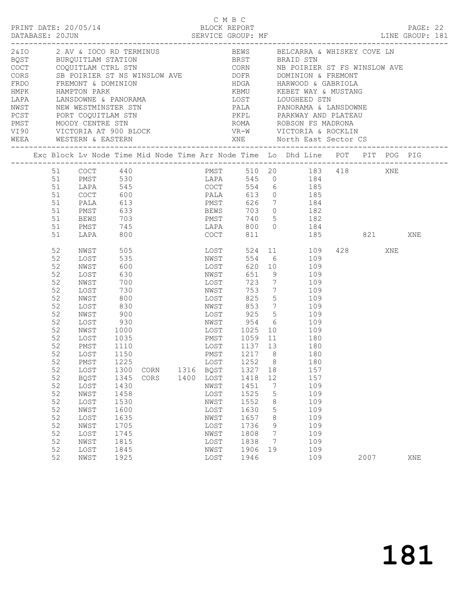| PRINT DATE: 20/05/14                                                                                                                                                                                                            |                                                                                                                                                          |                                                                                                                                                                                                                          |                                                                                                                                                                                                            |              |              | C M B C                                                                                                                                                      | BLOCK REPORT                                                                                                                                                     |                                                                                          |                                                                                                                                                                                                                                                                                                                                                              |         | PAGE: 22 |  |
|---------------------------------------------------------------------------------------------------------------------------------------------------------------------------------------------------------------------------------|----------------------------------------------------------------------------------------------------------------------------------------------------------|--------------------------------------------------------------------------------------------------------------------------------------------------------------------------------------------------------------------------|------------------------------------------------------------------------------------------------------------------------------------------------------------------------------------------------------------|--------------|--------------|--------------------------------------------------------------------------------------------------------------------------------------------------------------|------------------------------------------------------------------------------------------------------------------------------------------------------------------|------------------------------------------------------------------------------------------|--------------------------------------------------------------------------------------------------------------------------------------------------------------------------------------------------------------------------------------------------------------------------------------------------------------------------------------------------------------|---------|----------|--|
| HMPK HAMPTON PARK<br>LAPA LANSDOWNE & PANORAMA<br>NWST NEW WESTMINSTER STN<br>PCST PORT COQUITLAM STN<br>FORT FORT COQUITLAM STN<br>POST PORT COQUITLAM STN<br>PMST MOODY CENTRE STN<br>VIRON VIRONEL<br>WEEA WESTERN & EASTERN |                                                                                                                                                          |                                                                                                                                                                                                                          |                                                                                                                                                                                                            |              |              |                                                                                                                                                              |                                                                                                                                                                  |                                                                                          | 2&IO 2 AV & IOCO RD TERMINUS 60 BEWS BELCARRA & WHISKEY COVE LN<br>EQST BURQUITLAM STATION BRST BRAID STN COCT COQUITLAM CTRL STN CORN NB POIRIER ST FS WINSLOW AVE<br>CORS SB POIRIER ST NS WINSLOW AVE POPER DOMINION & FREMONT STREMONT & DOMINION AND HDGA HARWOOD & GABRIOLA<br>KBMU KEBET WAY & MUSTANG<br>LOST LOUGHEED STN<br>ROMA ROBSON FS MADRONA |         |          |  |
|                                                                                                                                                                                                                                 |                                                                                                                                                          |                                                                                                                                                                                                                          |                                                                                                                                                                                                            |              |              |                                                                                                                                                              |                                                                                                                                                                  |                                                                                          | Exc Block Lv Node Time Mid Node Time Arr Node Time Lo Dhd Line POT PIT POG PIG                                                                                                                                                                                                                                                                               |         |          |  |
|                                                                                                                                                                                                                                 | 51<br>51<br>51<br>51<br>51                                                                                                                               | COCT<br>PALA<br>PMST<br><b>BEWS</b><br>PMST                                                                                                                                                                              | 600<br>745                                                                                                                                                                                                 |              |              | 613 PMST<br>633 BEWS<br>703 PMST                                                                                                                             |                                                                                                                                                                  |                                                                                          | PMST 510 20 183 418 XNE<br>LAPA 545 0 184<br>PALA 613 0 185<br>PMST 626 7 184<br>BEWS 703 0 182<br>$740$ 5 182<br>LAPA 800 0 184                                                                                                                                                                                                                             |         |          |  |
|                                                                                                                                                                                                                                 | 51<br>52                                                                                                                                                 | LAPA<br>NWST 505                                                                                                                                                                                                         | 800                                                                                                                                                                                                        |              |              | COCT<br>LOST                                                                                                                                                 | 811                                                                                                                                                              |                                                                                          | 185 821<br>524 11 109                                                                                                                                                                                                                                                                                                                                        | 428 XNE | XNE      |  |
|                                                                                                                                                                                                                                 | 52<br>52<br>52<br>52<br>52<br>52<br>52<br>52<br>52<br>52<br>52<br>52<br>52<br>52<br>52<br>52<br>52<br>52<br>52<br>52<br>52<br>52<br>52<br>52<br>52<br>52 | LOST<br>NWST<br>LOST<br>NWST<br>LOST<br>NWST<br>LOST<br>NWST<br>LOST<br>NWST<br>LOST<br>PMST<br>LOST 1150<br>PMST<br>LOST<br><b>BQST</b><br>LOST<br>NWST<br>LOST<br>NWST<br>LOST<br>NWST<br>LOST<br>NWST<br>LOST<br>NWST | 535<br>600<br>630<br>700<br>730<br>800<br>830<br>900<br>930<br>1000<br>$\frac{1035}{1110}$<br>1110<br>1225<br>1300<br>1345<br>1430<br>1458<br>1530<br>1600<br>1635<br>1705<br>1745<br>1815<br>1845<br>1925 | CORN<br>CORS | 1316<br>1400 | NWST<br>LOST<br>NWST<br>LOST<br>NWST<br>LOST<br>NWST<br>LOST<br>BQST<br>LOST<br>NWST<br>LOST<br>NWST<br>LOST<br>NWST<br>LOST<br>NWST<br>LOST<br>NWST<br>LOST | 651<br>723<br>753<br>825<br>853<br>LOST 925<br>LOST 1025<br>1252<br>1327<br>1418<br>1451<br>1525<br>1552<br>1630<br>1657<br>1736<br>1808<br>1838<br>1906<br>1946 | $7\overline{ }$<br>8<br>18<br>12<br>7<br>5<br>8<br>$\mathsf S$<br>8<br>9<br>7<br>7<br>19 | 554 6 109<br>620 10 109<br>9 109<br>7 109<br>7 109<br>$5 \qquad \qquad 109$<br>109<br>$\frac{10}{5}$ 109<br>NWST 954 6 109<br>10 109<br>PMST 1059 11 180<br>LOST 1137 13 180<br>PMST 1217 8 180<br>180<br>157<br>157<br>109<br>109<br>109<br>109<br>109<br>109<br>109<br>109<br>109<br>109                                                                   | 2007    | XNE      |  |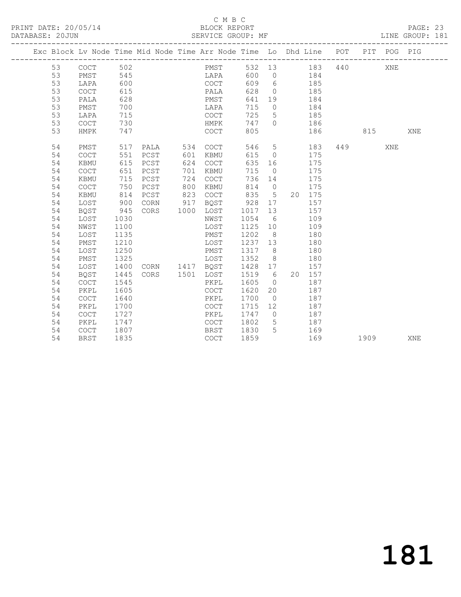## C M B C<br>BLOCK REPORT

PAGE: 23<br>LINE GROUP: 181

|  |    |             |      | Exc Block Lv Node Time Mid Node Time Arr Node Time Lo Dhd Line POT PIT POG PIG |      |                                            |      |                 |            |     |     |      |            |     |
|--|----|-------------|------|--------------------------------------------------------------------------------|------|--------------------------------------------|------|-----------------|------------|-----|-----|------|------------|-----|
|  | 53 | COCT        | 502  |                                                                                |      | PMST                                       |      |                 | 532 13 183 |     | 440 |      | XNE        |     |
|  | 53 | PMST        | 545  |                                                                                |      | LAPA                                       | 600  | $\overline{0}$  | 184        |     |     |      |            |     |
|  | 53 | LAPA        | 600  |                                                                                |      | COCT                                       | 609  | 6               | 185        |     |     |      |            |     |
|  | 53 | COCT        | 615  |                                                                                |      | PALA                                       | 628  | $\overline{0}$  |            | 185 |     |      |            |     |
|  | 53 | PALA        | 628  |                                                                                |      | PMST                                       | 641  | 19              |            | 184 |     |      |            |     |
|  | 53 | PMST        | 700  |                                                                                |      | LAPA                                       | 715  | $\overline{0}$  |            | 184 |     |      |            |     |
|  | 53 | LAPA        | 715  |                                                                                |      | <b>COCT</b>                                | 725  | 5 <sup>5</sup>  |            | 185 |     |      |            |     |
|  | 53 | COCT        | 730  |                                                                                |      | HMPK                                       | 747  | $\Omega$        |            | 186 |     |      |            |     |
|  | 53 | HMPK        | 747  |                                                                                |      | <b>COCT</b>                                | 805  |                 |            | 186 |     | 815  |            | XNE |
|  | 54 | PMST        | 517  | PALA                                                                           | 534  | <b>COCT</b>                                | 546  | $5\overline{)}$ |            | 183 | 449 |      | <b>XNE</b> |     |
|  | 54 | <b>COCT</b> | 551  | PCST                                                                           | 601  | KBMU                                       | 615  | $\circ$         |            | 175 |     |      |            |     |
|  | 54 | KBMU        | 615  | PCST                                                                           | 624  | $\mathtt{C}\mathtt{O}\mathtt{C}\mathtt{T}$ | 635  | 16              |            | 175 |     |      |            |     |
|  | 54 | COCT        | 651  | PCST                                                                           | 701  | KBMU                                       | 715  | $\overline{0}$  |            | 175 |     |      |            |     |
|  | 54 | KBMU        | 715  | PCST                                                                           | 724  | $\mathtt{C}\mathtt{O}\mathtt{C}\mathtt{T}$ | 736  | 14              |            | 175 |     |      |            |     |
|  | 54 | COCT        | 750  | PCST                                                                           | 800  | KBMU                                       | 814  | $\overline{0}$  |            | 175 |     |      |            |     |
|  | 54 | KBMU        | 814  | PCST                                                                           | 823  | COCT                                       | 835  | 5 <sup>5</sup>  | 20 175     |     |     |      |            |     |
|  | 54 | LOST        | 900  | CORN                                                                           | 917  | BQST                                       | 928  | 17              |            | 157 |     |      |            |     |
|  | 54 | BQST        | 945  | CORS                                                                           | 1000 | LOST                                       | 1017 | 13              |            | 157 |     |      |            |     |
|  | 54 | LOST        | 1030 |                                                                                |      | NWST                                       | 1054 | 6               |            | 109 |     |      |            |     |
|  | 54 | NWST        | 1100 |                                                                                |      | LOST                                       | 1125 | 10              |            | 109 |     |      |            |     |
|  | 54 | LOST        | 1135 |                                                                                |      | PMST                                       | 1202 | 8               |            | 180 |     |      |            |     |
|  | 54 | PMST        | 1210 |                                                                                |      | LOST                                       | 1237 | 13              |            | 180 |     |      |            |     |
|  | 54 | LOST        | 1250 |                                                                                |      | PMST                                       | 1317 | 8 <sup>8</sup>  |            | 180 |     |      |            |     |
|  | 54 | PMST        | 1325 |                                                                                |      | LOST                                       | 1352 | 8               |            | 180 |     |      |            |     |
|  | 54 | LOST        | 1400 | CORN 1417 BQST                                                                 |      |                                            | 1428 | 17              |            | 157 |     |      |            |     |
|  | 54 | BQST        | 1445 | CORS                                                                           | 1501 | LOST                                       | 1519 | 6               | 20 157     |     |     |      |            |     |
|  | 54 | <b>COCT</b> | 1545 |                                                                                |      | PKPL                                       | 1605 | $\bigcirc$      |            | 187 |     |      |            |     |
|  | 54 | PKPL        | 1605 |                                                                                |      | COCT                                       | 1620 | 20              |            | 187 |     |      |            |     |
|  | 54 | <b>COCT</b> | 1640 |                                                                                |      | PKPL                                       | 1700 | $\overline{0}$  |            | 187 |     |      |            |     |
|  | 54 | PKPL        | 1700 |                                                                                |      | <b>COCT</b>                                | 1715 | 12              |            | 187 |     |      |            |     |
|  | 54 | COCT        | 1727 |                                                                                |      | PKPL                                       | 1747 | $\overline{0}$  |            | 187 |     |      |            |     |
|  | 54 | PKPL        | 1747 |                                                                                |      | <b>COCT</b>                                | 1802 | 5               |            | 187 |     |      |            |     |
|  | 54 | COCT        | 1807 |                                                                                |      | BRST                                       | 1830 | $5^{\circ}$     |            | 169 |     |      |            |     |
|  | 54 | BRST        | 1835 |                                                                                |      | COCT                                       | 1859 |                 |            | 169 |     | 1909 |            | XNE |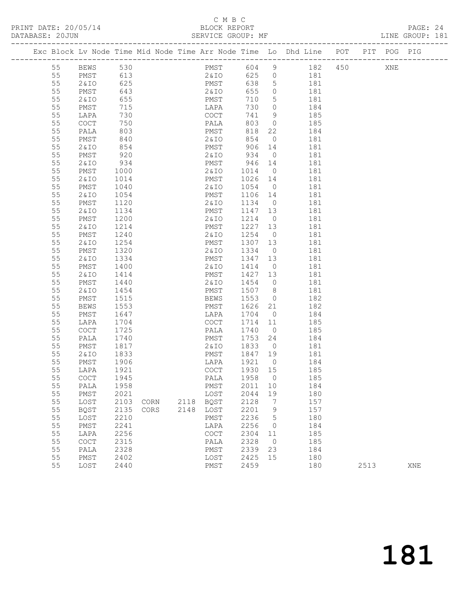# C M B C<br>BLOCK REPORT<br>SERVICE GROUP: MF

| PRINT DATE: 20/05/14<br>DATABASE: 20JUN |          |                 |              |      |      |                                            | C M B C         |                 |                | 05/14<br>BLOCK REPORT BLOCK PREPORT LINE GROUP: MF LINE GROUP: MF LINE GROUP: MF |         |      |     | PAGE: 24<br>LINE GROUP: 181 |  |
|-----------------------------------------|----------|-----------------|--------------|------|------|--------------------------------------------|-----------------|-----------------|----------------|----------------------------------------------------------------------------------|---------|------|-----|-----------------------------|--|
|                                         |          |                 |              |      |      |                                            |                 |                 |                | Exc Block Lv Node Time Mid Node Time Arr Node Time Lo Dhd Line POT PIT POG PIG   |         |      |     |                             |  |
|                                         |          | 55 BEWS 530     |              |      |      |                                            | PMST            | 604 9           |                |                                                                                  | 182 450 |      | XNE |                             |  |
|                                         | 55       | PMST 613        |              |      |      |                                            | 2&10            |                 |                | 625 0 181                                                                        |         |      |     |                             |  |
|                                         | 55       | 2 & I O         | 625          |      |      |                                            | PMST<br>2 & T O | 638             |                | $\begin{bmatrix} 5 & 181 \\ 0 & 181 \\ 5 & 181 \end{bmatrix}$                    |         |      |     |                             |  |
|                                         | 55       | PMST            | 643          |      |      | 2&IO                                       |                 | 655             |                |                                                                                  |         |      |     |                             |  |
|                                         | 55       | 2 & I O         | 655          |      |      |                                            | PMST            | 710             |                |                                                                                  |         |      |     |                             |  |
|                                         | 55       | PMST            | 715          |      |      |                                            | LAPA            | 730             |                | $\overline{O}$<br>184                                                            |         |      |     |                             |  |
|                                         | 55       | LAPA            | 730          |      |      | COCT                                       |                 | 741             |                | 9<br>185                                                                         |         |      |     |                             |  |
|                                         | 55       | COCT            | 750          |      |      | PALA                                       |                 | 803             | $\overline{0}$ | 185                                                                              |         |      |     |                             |  |
|                                         | 55       | PALA            | 803          |      |      |                                            | PMST            | 818             | 22             | 184                                                                              |         |      |     |                             |  |
|                                         | 55       | PMST            | 840          |      |      |                                            | 2&IO            | 854             | $\overline{0}$ | 181                                                                              |         |      |     |                             |  |
|                                         | 55       | 2&IO            | 854          |      |      | PMST                                       |                 | 906 14          |                | 181                                                                              |         |      |     |                             |  |
|                                         | 55       | PMST            | 920          |      |      | 2 & I O                                    |                 | 934             | $\overline{0}$ | 181                                                                              |         |      |     |                             |  |
|                                         | 55       | 2 & I O         | 934          |      |      | PMST                                       |                 | 946 14          |                | 181                                                                              |         |      |     |                             |  |
|                                         | 55       | PMST            | 1000         |      |      | 2 & IO                                     |                 | 1014            |                | $\overline{0}$<br>181                                                            |         |      |     |                             |  |
|                                         | 55       | 2&10            | 1014         |      |      | PMST                                       |                 | 1026 14         |                | 181                                                                              |         |      |     |                             |  |
|                                         | 55       | PMST            | 1040         |      |      | 2&IO                                       |                 | 1054            | $\overline{0}$ | 181                                                                              |         |      |     |                             |  |
|                                         | 55       | 2&IO            | 1054         |      |      | PMST                                       |                 | 1106            | 14             | 181                                                                              |         |      |     |                             |  |
|                                         | 55       | PMST            | 1120         |      |      | 2 & IO                                     |                 | 1134            | $\overline{0}$ | 181                                                                              |         |      |     |                             |  |
|                                         | 55       | 2 & I O         | 1134         |      |      | PMST                                       |                 | 1147 13         |                | 181                                                                              |         |      |     |                             |  |
|                                         | 55       | PMST            | 1200         |      |      | 2 & I O                                    |                 | 1214            | $\overline{O}$ | 181                                                                              |         |      |     |                             |  |
|                                         | 55       | 2&IO            | 1214         |      |      | PMST                                       |                 | 1227 13         |                | 181                                                                              |         |      |     |                             |  |
|                                         | 55       | PMST            | 1240         |      |      | 2 & I O                                    |                 | 1254            |                | $\overline{O}$<br>181                                                            |         |      |     |                             |  |
|                                         | 55       | 2&IO            | 1254         |      |      | PMST                                       |                 | 1307            | 13             | 181                                                                              |         |      |     |                             |  |
|                                         | 55       | PMST            | 1320         |      |      | 2 & I O                                    |                 | 1334            | $\overline{0}$ | 181                                                                              |         |      |     |                             |  |
|                                         | 55       | 2&IO            | 1334         |      |      | PMST                                       |                 | 1347            | 13             | 181<br>$\overline{0}$                                                            |         |      |     |                             |  |
|                                         | 55       | PMST            | 1400         |      |      | 2 & I O                                    |                 | 1414            |                | 181                                                                              |         |      |     |                             |  |
|                                         | 55       | 2 & IO          | 1414         |      |      | PMST                                       |                 | 1427 13<br>1454 | $\overline{0}$ | 181<br>181                                                                       |         |      |     |                             |  |
|                                         | 55<br>55 | PMST            | 1440         |      |      | 2 & I O                                    |                 |                 |                | 181                                                                              |         |      |     |                             |  |
|                                         | 55       | 2&IO<br>PMST    | 1454<br>1515 |      |      | PMST<br>BEWS                               |                 | 1507<br>1553    | 8 <sup>1</sup> | $\overline{0}$<br>182                                                            |         |      |     |                             |  |
|                                         | 55       | BEWS            | 1553         |      |      | PMST                                       |                 | 1626            | 21             | 182                                                                              |         |      |     |                             |  |
|                                         | 55       | PMST            | 1647         |      |      | LAPA                                       |                 | 1704            | $\overline{0}$ | 184                                                                              |         |      |     |                             |  |
|                                         | 55       | LAPA            | 1704         |      |      | COCT                                       |                 | 1714            | 11             | 185                                                                              |         |      |     |                             |  |
|                                         | 55       | COCT            | 1725         |      |      | PALA                                       |                 | 1740            | $\overline{0}$ | 185                                                                              |         |      |     |                             |  |
|                                         | 55       | PALA            | 1740         |      |      | PMST                                       |                 | 1753            | 24             | 184                                                                              |         |      |     |                             |  |
|                                         | 55       | PMST            | 1817         |      |      | 2&IO                                       |                 | 1833            | $\Omega$       | 181                                                                              |         |      |     |                             |  |
|                                         | 55       | <b>2&amp;IO</b> | 1833         |      |      | PMST                                       |                 | 1847            | 19             | 181                                                                              |         |      |     |                             |  |
|                                         | 55       | PMST            | 1906         |      |      | LAPA                                       |                 | 1921            | $\mathbb O$    | 184                                                                              |         |      |     |                             |  |
|                                         | 55       | LAPA            | 1921         |      |      | COCT                                       |                 | 1930            | 15             | 185                                                                              |         |      |     |                             |  |
|                                         | 55       | COCT            | 1945         |      |      | PALA                                       |                 | 1958            | $\circ$        | 185                                                                              |         |      |     |                             |  |
|                                         | 55       | PALA            | 1958         |      |      | PMST                                       |                 | 2011            | 10             | 184                                                                              |         |      |     |                             |  |
|                                         | 55       | ${\tt PMST}$    | 2021         |      |      | LOST                                       |                 | 2044            | 19             | 180                                                                              |         |      |     |                             |  |
|                                         | 55       | LOST            | 2103         | CORN | 2118 | <b>BQST</b>                                |                 | 2128            | 7              | 157                                                                              |         |      |     |                             |  |
|                                         | 55       | <b>BQST</b>     | 2135         | CORS | 2148 | LOST                                       |                 | 2201            | 9              | 157                                                                              |         |      |     |                             |  |
|                                         | 55       | LOST            | 2210         |      |      | PMST                                       |                 | 2236            | 5              | 180                                                                              |         |      |     |                             |  |
|                                         | 55       | ${\tt PMST}$    | 2241         |      |      | LAPA                                       |                 | 2256            | 0              | 184                                                                              |         |      |     |                             |  |
|                                         | 55       | LAPA            | 2256         |      |      | $\mathtt{C}\mathtt{O}\mathtt{C}\mathtt{T}$ |                 | 2304            | 11             | 185                                                                              |         |      |     |                             |  |
|                                         | 55       | COCT            | 2315         |      |      | PALA                                       |                 | 2328            | $\circ$        | 185                                                                              |         |      |     |                             |  |
|                                         | 55       | PALA            | 2328         |      |      | PMST                                       |                 | 2339            | 23             | 184                                                                              |         |      |     |                             |  |
|                                         | 55       | ${\tt PMST}$    | 2402         |      |      | LOST                                       |                 | 2425            | 15             | 180                                                                              |         |      |     |                             |  |
|                                         | 55       | LOST            | 2440         |      |      | PMST                                       |                 | 2459            |                | 180                                                                              |         | 2513 |     | XNE                         |  |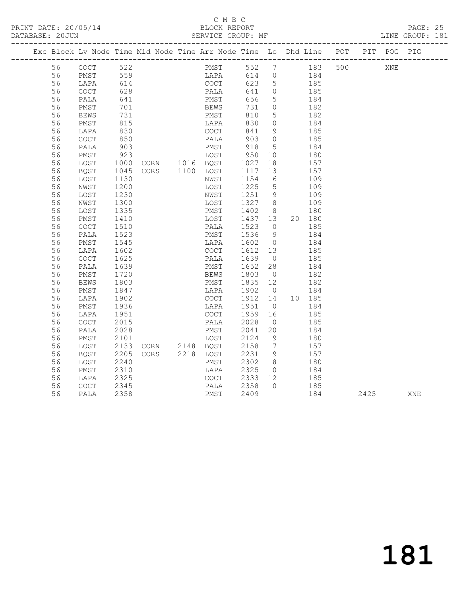## C M B C<br>BLOCK REPORT

PAGE: 25<br>LINE GROUP: 181

|  |          |              |               | Exc Block Lv Node Time Mid Node Time Arr Node Time Lo Dhd Line POT |                                     |                                                       |                |           |            |     |      | PIT POG PIG |     |
|--|----------|--------------|---------------|--------------------------------------------------------------------|-------------------------------------|-------------------------------------------------------|----------------|-----------|------------|-----|------|-------------|-----|
|  | 56       | COCT 522     |               |                                                                    | PMST 552 7 183                      |                                                       |                |           |            | 500 |      | XNE         |     |
|  | 56       | PMST 559     |               |                                                                    | LAPA 614 0 184                      |                                                       |                |           |            |     |      |             |     |
|  | 56       | LAPA         | 614<br>628    |                                                                    | COCT                                |                                                       |                | 623 5 185 |            |     |      |             |     |
|  | 56       | COCT         |               |                                                                    | PALA                                | 641 0                                                 |                |           | 185        |     |      |             |     |
|  | 56       | PALA         | 641           |                                                                    | PMST                                | 656                                                   | $5^{\circ}$    | 184       |            |     |      |             |     |
|  | 56       | PMST         | 701           |                                                                    |                                     | 731                                                   | $\overline{0}$ |           | 182        |     |      |             |     |
|  | 56       | <b>BEWS</b>  | 731           |                                                                    | <b>DEWS</b><br>PMST<br>T            | 810                                                   | 5 <sup>5</sup> |           | 182        |     |      |             |     |
|  | 56       | PMST         | 815           |                                                                    | LAPA                                | 830                                                   | $\overline{0}$ | 184       |            |     |      |             |     |
|  | 56       | LAPA         | 830           |                                                                    | COCT                                | 841                                                   | 9              |           | 185        |     |      |             |     |
|  | 56       | COCT         | 850           |                                                                    | PALA                                | 903 0                                                 |                |           | 185        |     |      |             |     |
|  | 56       | PALA         | 903           |                                                                    | PMST                                | 918                                                   | 5              |           | 184        |     |      |             |     |
|  | 56       | PMST         | $923$<br>1000 | 923 LOST 950<br>1000 CORN 1016 BQST 1027                           |                                     |                                                       | 10             |           | 180        |     |      |             |     |
|  | 56       | LOST         |               |                                                                    |                                     |                                                       | 18             |           | 157        |     |      |             |     |
|  | 56       | BQST         | 1045          | CORS 1100 LOST 1117 13                                             |                                     |                                                       |                | 157       |            |     |      |             |     |
|  | 56       | LOST         | 1130          |                                                                    | NWST                                |                                                       |                |           | 109        |     |      |             |     |
|  | 56       | NWST         | 1200          |                                                                    | LOST                                | $\begin{array}{ccc} 1154 & 6 \\ 1225 & 5 \end{array}$ |                |           | 109        |     |      |             |     |
|  | 56       | LOST         | 1230          |                                                                    | NWST                                | 1251 9                                                |                |           | 109        |     |      |             |     |
|  | 56       | NWST         | 1300          |                                                                    | LOST                                |                                                       |                |           | 109        |     |      |             |     |
|  | 56       | LOST         | 1335          |                                                                    | PMST                                | $\begin{array}{cc} 1327 & 8 \\ 1402 & 8 \end{array}$  |                |           | 180        |     |      |             |     |
|  | 56       | PMST         | 1410          |                                                                    | LOST 1437 13                        |                                                       |                |           | 20 180     |     |      |             |     |
|  | 56       | COCT         | 1510          |                                                                    | PALA                                | 1523                                                  | $\overline{0}$ |           | 185        |     |      |             |     |
|  | 56       | PALA         | 1523          |                                                                    | PMST                                | $\begin{array}{ccc} 1525 & 5 \\ 1536 & 9 \end{array}$ |                |           | 184        |     |      |             |     |
|  | 56       | PMST         | 1545          |                                                                    | LAPA 1602 0                         |                                                       |                | 184       |            |     |      |             |     |
|  | 56       | LAPA         | 1602          |                                                                    | COCT<br>COCT 1612 13<br>PALA 1639 0 | 1612 13                                               |                |           | 185        |     |      |             |     |
|  | 56       | COCT         | 1625          |                                                                    |                                     |                                                       |                |           | 185        |     |      |             |     |
|  | 56       | PALA         | 1639          |                                                                    | PMST                                | 1652 28                                               |                | 184       |            |     |      |             |     |
|  | 56       | PMST         | 1720<br>1803  |                                                                    | BEWS                                | 1803 0<br>1835 12                                     |                |           | 182        |     |      |             |     |
|  | 56       | <b>BEWS</b>  |               |                                                                    | PMST                                |                                                       |                |           | 182        |     |      |             |     |
|  | 56       | PMST         | 1847          |                                                                    | LAPA 1902 0 184                     |                                                       |                |           |            |     |      |             |     |
|  | 56       | LAPA         | 1902          |                                                                    | COCT                                | 1912  14  10  185<br>1951  0  184                     |                |           |            |     |      |             |     |
|  | 56       | PMST         | 1936          |                                                                    | LAPA                                |                                                       |                |           |            |     |      |             |     |
|  | 56       | LAPA         | 1951          |                                                                    | COCT                                | 1959 16                                               |                |           | 185        |     |      |             |     |
|  | 56       | COCT         | 2015          |                                                                    | PALA                                | 2028                                                  | $\overline{0}$ |           | 185        |     |      |             |     |
|  | 56       | PALA         | 2028          |                                                                    | PMST                                | 2041                                                  | 20             |           | 184        |     |      |             |     |
|  | 56       | PMST         | 2101          |                                                                    | LOST                                | 2124                                                  | $\overline{9}$ |           | 180        |     |      |             |     |
|  | 56<br>56 | LOST<br>BQST | 2133<br>2205  | CORN 2148 BQST<br>CORS 2218 LOST                                   |                                     | 2158 7<br>2231 9                                      |                |           | 157<br>157 |     |      |             |     |
|  |          |              |               |                                                                    |                                     | 2302 8                                                |                |           | 180        |     |      |             |     |
|  | 56<br>56 | LOST<br>PMST | 2240<br>2310  |                                                                    | PMST<br>LAPA                        | 2325                                                  | $\overline{0}$ |           | 184        |     |      |             |     |
|  | 56       | LAPA         | 2325          |                                                                    | COCT                                | 2333 12                                               |                |           | 185        |     |      |             |     |
|  | 56       | COCT         | 2345          |                                                                    | PALA                                | 2358                                                  | $\overline{0}$ |           | 185        |     |      |             |     |
|  | 56       | PALA         | 2358          |                                                                    | PMST                                | 2409                                                  |                |           | 184        |     | 2425 |             | XNE |
|  |          |              |               |                                                                    |                                     |                                                       |                |           |            |     |      |             |     |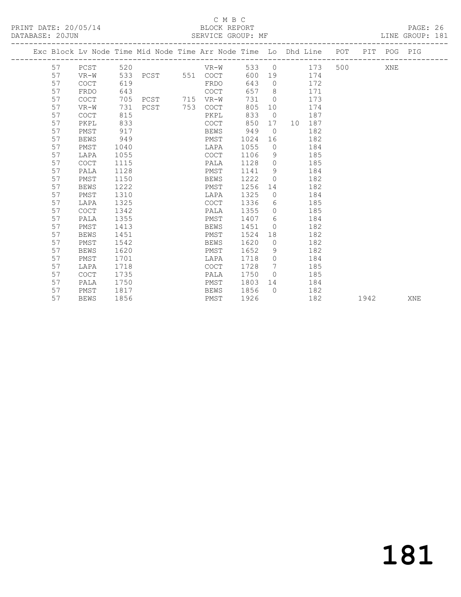## C M B C<br>BLOCK REPORT

PAGE: 26<br>LINE GROUP: 181

|    |             |      |               | Exc Block Lv Node Time Mid Node Time Arr Node Time Lo Dhd Line POT PIT POG PIG |      |                |           |     |      |     |     |
|----|-------------|------|---------------|--------------------------------------------------------------------------------|------|----------------|-----------|-----|------|-----|-----|
| 57 | PCST        |      | 520 320       | $VR-W$                                                                         |      |                | 533 0 173 |     |      | XNE |     |
| 57 | VR-W        |      |               | 533 PCST 551 COCT                                                              | 600  |                | 19 174    |     |      |     |     |
| 57 | <b>COCT</b> | 619  |               | FRDO                                                                           | 643  | $\Omega$       | 172       |     |      |     |     |
| 57 | FRDO        | 643  |               | COCT                                                                           | 657  | 8 <sup>1</sup> |           | 171 |      |     |     |
| 57 | COCT        | 705  | PCST 715 VR-W |                                                                                | 731  | $\overline{0}$ |           | 173 |      |     |     |
| 57 | VR-W        | 731  | PCST 753 COCT |                                                                                | 805  | 10             |           | 174 |      |     |     |
| 57 | <b>COCT</b> | 815  |               | PKPL                                                                           | 833  | $\overline{0}$ |           | 187 |      |     |     |
| 57 | PKPL        | 833  |               | COCT                                                                           | 850  |                | 17 10 187 |     |      |     |     |
| 57 | PMST        | 917  |               | BEWS                                                                           | 949  | $\overline{0}$ |           | 182 |      |     |     |
| 57 | <b>BEWS</b> | 949  |               | PMST                                                                           | 1024 | 16             |           | 182 |      |     |     |
| 57 | PMST        | 1040 |               | LAPA                                                                           | 1055 | $\bigcirc$     |           | 184 |      |     |     |
| 57 | LAPA        | 1055 |               | COCT                                                                           | 1106 | 9              |           | 185 |      |     |     |
| 57 | <b>COCT</b> | 1115 |               | PALA                                                                           | 1128 | $\circ$        |           | 185 |      |     |     |
| 57 | PALA        | 1128 |               | PMST                                                                           | 1141 | 9              |           | 184 |      |     |     |
| 57 | PMST        | 1150 |               | BEWS                                                                           | 1222 | $\Omega$       |           | 182 |      |     |     |
| 57 | <b>BEWS</b> | 1222 |               | PMST                                                                           | 1256 | 14             |           | 182 |      |     |     |
| 57 | PMST        | 1310 |               | LAPA                                                                           | 1325 | $\circ$        |           | 184 |      |     |     |
| 57 | LAPA        | 1325 |               | COCT                                                                           | 1336 | 6              |           | 185 |      |     |     |
| 57 | <b>COCT</b> | 1342 |               | PALA                                                                           | 1355 | $\Omega$       |           | 185 |      |     |     |
| 57 | PALA        | 1355 |               | PMST                                                                           | 1407 | 6              |           | 184 |      |     |     |
| 57 | PMST        | 1413 |               | BEWS                                                                           | 1451 | $\circ$        |           | 182 |      |     |     |
| 57 | <b>BEWS</b> | 1451 |               | PMST                                                                           | 1524 |                |           | 182 |      |     |     |
| 57 | PMST        | 1542 |               | BEWS                                                                           | 1620 | $\overline{0}$ |           | 182 |      |     |     |
| 57 | <b>BEWS</b> | 1620 |               | PMST                                                                           | 1652 | 9              |           | 182 |      |     |     |
| 57 | PMST        | 1701 |               | LAPA                                                                           | 1718 | $\Omega$       |           | 184 |      |     |     |
| 57 | LAPA        | 1718 |               | COCT                                                                           | 1728 | 7              |           | 185 |      |     |     |
| 57 | <b>COCT</b> | 1735 |               | PALA                                                                           | 1750 | $\overline{0}$ |           | 185 |      |     |     |
| 57 | PALA        | 1750 |               | PMST                                                                           | 1803 |                | 14 \      | 184 |      |     |     |
| 57 | PMST        | 1817 |               | BEWS                                                                           | 1856 | $\Omega$       |           | 182 |      |     |     |
| 57 | <b>BEWS</b> | 1856 |               | PMST                                                                           | 1926 |                |           | 182 | 1942 |     | XNE |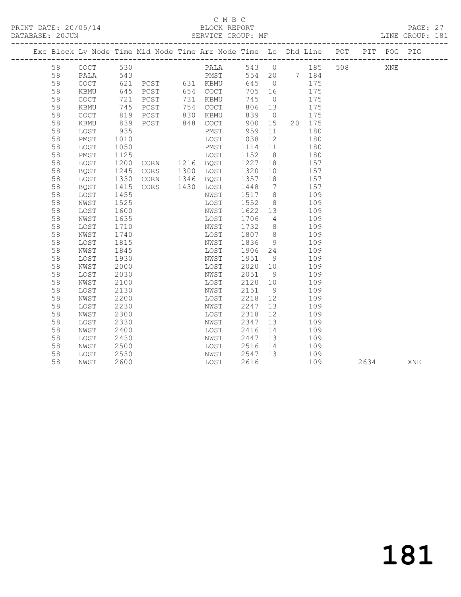## C M B C<br>BLOCK REPORT

|                 | PRINT DATE: 20/05/14 |                                                                                  | BLOCK REPORT      |  |  | PAGE: 27        |  |
|-----------------|----------------------|----------------------------------------------------------------------------------|-------------------|--|--|-----------------|--|
| DATABASE: 20JUN |                      |                                                                                  | SERVICE GROUP: MF |  |  | LINE GROUP: 181 |  |
|                 |                      | Fye Plask It Nade Time Mid Nade Time Arr Nade Time Is Dhd Iine. DOT LUTT DOC DIC |                   |  |  |                 |  |

|  |          | ---------------------                      |              |      |      | Exc Block Lv Node Time Mid Node Time Arr Node Time Lo Dhd Line |              |                |   |            | POT | PIT  | POG PIG |     |
|--|----------|--------------------------------------------|--------------|------|------|----------------------------------------------------------------|--------------|----------------|---|------------|-----|------|---------|-----|
|  | 58       | COCT                                       | 530          |      |      | PALA                                                           | 543 0        |                |   | 185        | 508 |      | XNE     |     |
|  | 58       | PALA                                       | 543          |      |      | PMST                                                           | 554          | 20             | 7 | 184        |     |      |         |     |
|  | 58       | $\mathtt{C}\mathtt{O}\mathtt{C}\mathtt{T}$ | 621          | PCST | 631  | KBMU                                                           | 645          | $\overline{0}$ |   | 175        |     |      |         |     |
|  | 58       | KBMU                                       | 645          | PCST | 654  | $\mathtt{C}\mathtt{O}\mathtt{C}\mathtt{T}$                     | 705          | 16             |   | 175        |     |      |         |     |
|  | 58       | <b>COCT</b>                                | 721          | PCST | 731  | KBMU                                                           | 745          | $\overline{0}$ |   | 175        |     |      |         |     |
|  | 58       | KBMU                                       | 745          | PCST | 754  | COCT                                                           | 806          | 13             |   | 175        |     |      |         |     |
|  | 58       | $\mathtt{C}\mathtt{O}\mathtt{C}\mathtt{T}$ | 819          | PCST | 830  | KBMU                                                           | 839          | $\overline{0}$ |   | 175        |     |      |         |     |
|  | 58       | KBMU                                       | 839          | PCST | 848  | COCT                                                           | 900          | 15             |   | 20 175     |     |      |         |     |
|  | 58       | LOST                                       | 935          |      |      | PMST                                                           | 959          | 11             |   | 180        |     |      |         |     |
|  | 58       | PMST                                       | 1010         |      |      | LOST                                                           | 1038         | 12             |   | 180        |     |      |         |     |
|  | 58       | LOST                                       | 1050         |      |      | PMST                                                           | 1114         | 11             |   | 180        |     |      |         |     |
|  | 58       | PMST                                       | 1125         |      |      | LOST                                                           | 1152         | 8              |   | 180        |     |      |         |     |
|  | 58       | LOST                                       | 1200         | CORN |      | 1216 BQST                                                      | 1227         | 18             |   | 157        |     |      |         |     |
|  | 58       | <b>BQST</b>                                | 1245         | CORS | 1300 | LOST                                                           | 1320         | 10             |   | 157        |     |      |         |     |
|  | 58       | LOST                                       | 1330         | CORN | 1346 | BQST                                                           | 1357         | 18             |   | 157        |     |      |         |     |
|  | 58       | BQST                                       | 1415         | CORS | 1430 | LOST                                                           | 1448         | 7              |   | 157        |     |      |         |     |
|  | 58       | LOST                                       | 1455         |      |      | NWST                                                           | 1517         | 8              |   | 109        |     |      |         |     |
|  | 58       | NWST                                       | 1525         |      |      | LOST                                                           | 1552         | 8              |   | 109        |     |      |         |     |
|  | 58       | LOST                                       | 1600         |      |      | NWST                                                           | 1622         | 13             |   | 109        |     |      |         |     |
|  | 58       | NWST                                       | 1635         |      |      | LOST                                                           | 1706         | $\overline{4}$ |   | 109        |     |      |         |     |
|  | 58       | LOST                                       | 1710         |      |      | NWST                                                           | 1732         | 8              |   | 109        |     |      |         |     |
|  | 58       | NWST                                       | 1740         |      |      | LOST                                                           | 1807         | 8              |   | 109        |     |      |         |     |
|  | 58       | LOST                                       | 1815         |      |      | NWST                                                           | 1836         | 9              |   | 109        |     |      |         |     |
|  | 58       | NWST                                       | 1845         |      |      | LOST                                                           | 1906         | 24             |   | 109        |     |      |         |     |
|  | 58       | LOST                                       | 1930         |      |      | NWST                                                           | 1951         | 9              |   | 109        |     |      |         |     |
|  | 58       | NWST                                       | 2000         |      |      | LOST                                                           | 2020         | 10             |   | 109        |     |      |         |     |
|  | 58       | LOST                                       | 2030         |      |      | NWST                                                           | 2051         | 9              |   | 109        |     |      |         |     |
|  | 58       | NWST                                       | 2100         |      |      | LOST                                                           | 2120         | 10             |   | 109        |     |      |         |     |
|  | 58       | LOST                                       | 2130         |      |      | NWST                                                           | 2151         | 9              |   | 109        |     |      |         |     |
|  | 58       | NWST                                       | 2200         |      |      | LOST                                                           | 2218         | 12             |   | 109        |     |      |         |     |
|  | 58       | LOST                                       | 2230         |      |      | NWST                                                           | 2247         | 13             |   | 109        |     |      |         |     |
|  | 58       | NWST                                       | 2300         |      |      | LOST                                                           | 2318         | 12             |   | 109        |     |      |         |     |
|  | 58       | LOST                                       | 2330         |      |      | NWST                                                           | 2347         | 13             |   | 109        |     |      |         |     |
|  | 58       | NWST                                       | 2400         |      |      | LOST                                                           | 2416         | 14             |   | 109        |     |      |         |     |
|  | 58<br>58 | LOST                                       | 2430<br>2500 |      |      | NWST                                                           | 2447<br>2516 | 13<br>14       |   | 109<br>109 |     |      |         |     |
|  | 58       | NWST                                       | 2530         |      |      | LOST<br>NWST                                                   | 2547         | 13             |   | 109        |     |      |         |     |
|  | 58       | LOST<br>NWST                               | 2600         |      |      | LOST                                                           | 2616         |                |   | 109        |     | 2634 |         | XNE |
|  |          |                                            |              |      |      |                                                                |              |                |   |            |     |      |         |     |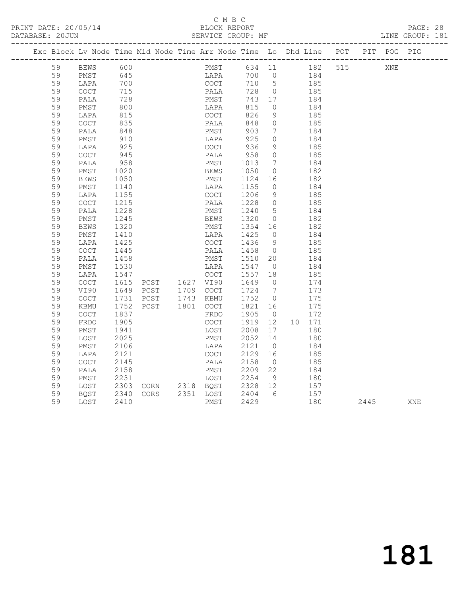PRINT DATE: 20/05/14 BLOCK REPORT<br>DATABASE: 20JUN BATABASE: 2010

## C M B C<br>BLOCK REPORT

PAGE: 28<br>LINE GROUP: 181

|    |                                            |              |  | Exc Block Lv Node Time Mid Node Time Arr Node Time Lo Dhd Line POT PIT POG PIG                                                                           |      |                |                                                                                   |                 |      |     |     |
|----|--------------------------------------------|--------------|--|----------------------------------------------------------------------------------------------------------------------------------------------------------|------|----------------|-----------------------------------------------------------------------------------|-----------------|------|-----|-----|
|    |                                            |              |  | 59 BEWS 600 PMST 634 11 182 515<br>59 DMST 645 LAPA 700 0 184<br>59 LAPA 700 COCT 710 5 185<br>59 COCT 715 PALA 728 0 185<br>59 PALA 728 PMST 743 17 184 |      |                |                                                                                   |                 |      | XNE |     |
|    |                                            |              |  |                                                                                                                                                          |      |                |                                                                                   |                 |      |     |     |
|    |                                            |              |  |                                                                                                                                                          |      |                |                                                                                   |                 |      |     |     |
|    |                                            |              |  |                                                                                                                                                          |      |                |                                                                                   |                 |      |     |     |
|    |                                            |              |  |                                                                                                                                                          |      |                |                                                                                   |                 |      |     |     |
| 59 | PMST                                       | 800<br>815   |  | LAPA<br>COCT                                                                                                                                             | 815  | $\overline{0}$ |                                                                                   | $\frac{184}{ }$ |      |     |     |
| 59 | LAPA                                       |              |  |                                                                                                                                                          | 826  | 9              |                                                                                   | 185             |      |     |     |
| 59 | COCT                                       | 835          |  | PALA                                                                                                                                                     | 848  |                | $\begin{matrix}0\end{matrix}\qquad \qquad \begin{matrix}185\end{matrix}$          |                 |      |     |     |
| 59 | PALA                                       | 848<br>910   |  |                                                                                                                                                          | 903  |                | $\begin{array}{ccc} 7 & \hspace{1.5cm} 184 \\ 0 & \hspace{1.5cm} 184 \end{array}$ |                 |      |     |     |
| 59 | PMST                                       |              |  |                                                                                                                                                          |      |                |                                                                                   |                 |      |     |     |
| 59 | LAPA                                       | 925          |  | COCT                                                                                                                                                     | 936  |                | $9 \t 185$                                                                        |                 |      |     |     |
| 59 | COCT                                       | 945          |  | PALA                                                                                                                                                     | 958  | $\overline{0}$ |                                                                                   | 185             |      |     |     |
| 59 | PALA                                       | 958          |  | PMST 1013                                                                                                                                                |      |                | 7 184                                                                             |                 |      |     |     |
| 59 | PMST                                       | 1020<br>1050 |  | BEWS 1050 0<br>PMST 1124 16                                                                                                                              |      | $\overline{0}$ |                                                                                   | 182<br>182      |      |     |     |
| 59 | BEWS                                       | 1050         |  |                                                                                                                                                          |      |                |                                                                                   |                 |      |     |     |
| 59 | PMST                                       | 1140         |  | LAPA 1155                                                                                                                                                |      |                | $0 \qquad \qquad 184$                                                             |                 |      |     |     |
| 59 | LAPA                                       | 1155         |  | COCT 1206 9                                                                                                                                              |      |                |                                                                                   | 185             |      |     |     |
| 59 | COCT                                       | 1215         |  | PALA 1228 0 185                                                                                                                                          |      |                |                                                                                   |                 |      |     |     |
| 59 | PALA                                       | 1228         |  | PMST 1240 5<br>BEWS 1320 0                                                                                                                               |      |                |                                                                                   | 184<br>182      |      |     |     |
| 59 | PMST                                       | 1245         |  |                                                                                                                                                          |      |                |                                                                                   |                 |      |     |     |
| 59 | BEWS                                       | 1320         |  | PMST 1354 16 182                                                                                                                                         |      |                |                                                                                   |                 |      |     |     |
| 59 | PMST                                       | 1410<br>1425 |  |                                                                                                                                                          |      |                |                                                                                   |                 |      |     |     |
| 59 | LAPA                                       | 1425         |  | LAPA 1425 0 184<br>COCT 1436 9 185                                                                                                                       |      |                |                                                                                   |                 |      |     |     |
| 59 | <b>COCT</b>                                | 1445         |  | PALA 1458 0 185                                                                                                                                          |      |                |                                                                                   |                 |      |     |     |
| 59 | PALA                                       |              |  | 1458 PMST 1510 20 184<br>1530 LAPA 1547 0 184<br>1547 COCT 1557 18 185<br>1615 PCST 1627 VI90 1649 0 173                                                 |      |                |                                                                                   |                 |      |     |     |
| 59 | PMST                                       |              |  |                                                                                                                                                          |      |                |                                                                                   |                 |      |     |     |
| 59 | LAPA                                       |              |  |                                                                                                                                                          |      |                |                                                                                   |                 |      |     |     |
| 59 | COCT                                       |              |  |                                                                                                                                                          |      |                |                                                                                   |                 |      |     |     |
| 59 | VI90                                       |              |  |                                                                                                                                                          |      |                |                                                                                   |                 |      |     |     |
| 59 | <b>COCT</b>                                |              |  | 1649 PCST 1709 COCT 1724 7 173<br>1731 PCST 1743 KBMU 1752 0 175<br>1752 PCST 1801 COCT 1821 16 175                                                      |      |                |                                                                                   |                 |      |     |     |
| 59 | KBMU                                       |              |  |                                                                                                                                                          |      |                |                                                                                   |                 |      |     |     |
| 59 | COCT                                       | 1837<br>1905 |  | FRDO                                                                                                                                                     | 1905 |                |                                                                                   | 172             |      |     |     |
| 59 | FRDO                                       | 1905         |  | FRDO 1905 0 172<br>COCT 1919 12 10 171                                                                                                                   |      |                |                                                                                   |                 |      |     |     |
| 59 | PMST                                       | 1941         |  | LOST 2008 17 180                                                                                                                                         |      |                |                                                                                   |                 |      |     |     |
| 59 | LOST                                       | 2025         |  | PMST 2052 14 180<br>LAPA 2121 0 184                                                                                                                      |      |                |                                                                                   |                 |      |     |     |
| 59 | PMST                                       | 2106         |  |                                                                                                                                                          |      |                |                                                                                   |                 |      |     |     |
| 59 | LAPA                                       | 2121         |  | COCT                                                                                                                                                     |      |                | 2129 16 185                                                                       |                 |      |     |     |
| 59 | $\mathtt{C}\mathtt{O}\mathtt{C}\mathtt{T}$ | 2145         |  | PALA 2158                                                                                                                                                |      | $\overline{0}$ |                                                                                   | 185             |      |     |     |
| 59 | PALA                                       | 2158         |  | PMST 2209 22 184                                                                                                                                         |      |                |                                                                                   |                 |      |     |     |
| 59 | PMST                                       |              |  |                                                                                                                                                          |      | 9              |                                                                                   | 180<br>157      |      |     |     |
| 59 | LOST                                       |              |  |                                                                                                                                                          |      |                |                                                                                   |                 |      |     |     |
| 59 | BQST                                       | 2340         |  | CORS 2351 LOST 2404 6 157<br>PMST 2429 180                                                                                                               |      |                |                                                                                   |                 |      |     |     |
| 59 | LOST                                       | 2410         |  |                                                                                                                                                          |      |                |                                                                                   |                 | 2445 |     | XNE |

181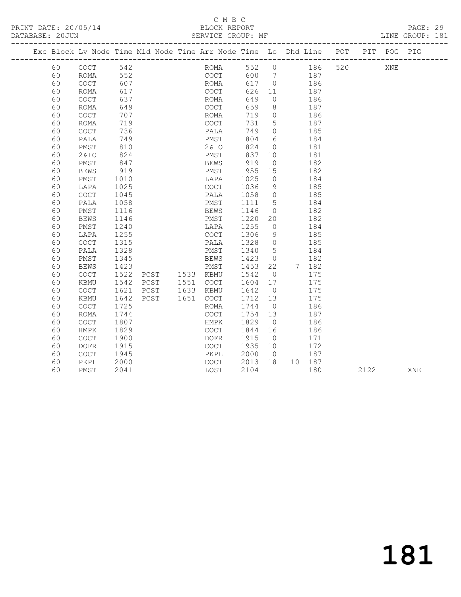## C M B C<br>BLOCK REPORT

PAGE: 29<br>LINE GROUP: 181

|  |    |                                            |            |      |                        |      |      |                                  |                |     |        | Exc Block Lv Node Time Mid Node Time Arr Node Time Lo Dhd Line POT |      | PIT POG PIG |     |
|--|----|--------------------------------------------|------------|------|------------------------|------|------|----------------------------------|----------------|-----|--------|--------------------------------------------------------------------|------|-------------|-----|
|  | 60 | COCT                                       | 542<br>552 |      |                        |      |      | ROMA 552 0 186<br>COCT 600 7 187 |                |     |        |                                                                    | 520  | XNE         |     |
|  | 60 | ROMA                                       |            |      |                        |      |      |                                  |                |     |        |                                                                    |      |             |     |
|  | 60 | COCT                                       | 607        |      |                        |      | ROMA | 617                              | $\overline{0}$ |     | 186    |                                                                    |      |             |     |
|  | 60 | ROMA                                       | 617        |      |                        | COCT |      | 626                              | 11             | 187 |        |                                                                    |      |             |     |
|  | 60 | COCT                                       | 637        |      |                        | ROMA |      | 649                              | $\circ$        |     | 186    |                                                                    |      |             |     |
|  | 60 | <b>ROMA</b>                                | 649        |      |                        | COCT |      | 659                              | 8              |     | 187    |                                                                    |      |             |     |
|  | 60 | $\mathtt{C}\mathtt{O}\mathtt{C}\mathtt{T}$ | 707        |      |                        | ROMA |      | 719                              | $\overline{0}$ |     | 186    |                                                                    |      |             |     |
|  | 60 | ROMA                                       | 719        |      |                        | COCT |      | 731                              | $5^{\circ}$    | 187 |        |                                                                    |      |             |     |
|  | 60 | COCT                                       | 736        |      |                        | PALA |      | 749                              | $\circ$        |     | 185    |                                                                    |      |             |     |
|  | 60 | PALA                                       | 749        |      |                        | PMST |      | 804                              | 6              |     | 184    |                                                                    |      |             |     |
|  | 60 | PMST                                       | 810        |      |                        | 2&IO |      | 824                              | $\overline{0}$ |     | 181    |                                                                    |      |             |     |
|  | 60 | 2&IO                                       | 824        |      |                        | PMST |      | 837 10                           |                |     | 181    |                                                                    |      |             |     |
|  | 60 | PMST                                       | 847        |      |                        | BEWS |      | 919                              | $\overline{0}$ |     | 182    |                                                                    |      |             |     |
|  | 60 | <b>BEWS</b>                                | 919        |      |                        | PMST |      | 955                              | 15             |     | 182    |                                                                    |      |             |     |
|  | 60 | PMST                                       | 1010       |      |                        | LAPA |      | 1025                             | $\overline{0}$ |     | 184    |                                                                    |      |             |     |
|  | 60 | LAPA                                       | 1025       |      |                        | COCT |      | 1036                             | 9              |     | 185    |                                                                    |      |             |     |
|  | 60 | COCT                                       | 1045       |      |                        | PALA |      | 1058                             | $\overline{0}$ |     | 185    |                                                                    |      |             |     |
|  | 60 | PALA                                       | 1058       |      |                        | PMST |      | 1111                             | $5^{\circ}$    |     | 184    |                                                                    |      |             |     |
|  | 60 | PMST                                       | 1116       |      |                        | BEWS |      | 1146                             | $\overline{0}$ |     | 182    |                                                                    |      |             |     |
|  | 60 | <b>BEWS</b>                                | 1146       |      |                        | PMST |      | 1220                             | 20             |     | 182    |                                                                    |      |             |     |
|  | 60 | PMST                                       | 1240       |      |                        | LAPA |      | 1255                             | $\overline{0}$ |     | 184    |                                                                    |      |             |     |
|  | 60 | LAPA                                       | 1255       |      |                        | COCT |      | 1306                             | - 9            |     | 185    |                                                                    |      |             |     |
|  | 60 | <b>COCT</b>                                | 1315       |      |                        | PALA |      | 1328                             | $\overline{0}$ |     | 185    |                                                                    |      |             |     |
|  | 60 | PALA                                       | 1328       |      |                        | PMST |      | 1340                             | $5^{\circ}$    |     | 184    |                                                                    |      |             |     |
|  | 60 | PMST                                       | 1345       |      |                        | BEWS |      | 1423                             | $\overline{0}$ |     | 182    |                                                                    |      |             |     |
|  | 60 | <b>BEWS</b>                                | 1423       |      |                        | PMST |      | 1453                             | 22             |     | 7 182  |                                                                    |      |             |     |
|  | 60 | COCT                                       | 1522       |      | PCST 1533 KBMU         |      |      | 1542                             | $\overline{0}$ |     | 175    |                                                                    |      |             |     |
|  | 60 | KBMU                                       | 1542       | PCST | 1551 COCT              |      |      | 1604                             | 17             |     | 175    |                                                                    |      |             |     |
|  | 60 | $\mathtt{C}\mathtt{O}\mathtt{C}\mathtt{T}$ | 1621       | PCST | 1633 KBMU<br>1651 COCT | KBMU |      | 1642                             | $\overline{0}$ |     | 175    |                                                                    |      |             |     |
|  | 60 | KBMU                                       | 1642       | PCST |                        |      |      | 1712 13                          |                |     | 175    |                                                                    |      |             |     |
|  | 60 | <b>COCT</b>                                | 1725       |      |                        | ROMA |      | 1744                             | $\overline{0}$ |     | 186    |                                                                    |      |             |     |
|  | 60 | <b>ROMA</b>                                | 1744       |      |                        | COCT |      | 1754 13                          |                |     | 187    |                                                                    |      |             |     |
|  | 60 | <b>COCT</b>                                | 1807       |      |                        | HMPK |      | 1829                             | $\overline{0}$ |     | 186    |                                                                    |      |             |     |
|  | 60 | HMPK                                       | 1829       |      |                        | COCT |      | 1844                             | 16             |     | 186    |                                                                    |      |             |     |
|  | 60 | <b>COCT</b>                                | 1900       |      |                        | DOFR |      | 1915                             | $\overline{0}$ |     | 171    |                                                                    |      |             |     |
|  | 60 | $\mathtt{DOFR}$                            | 1915       |      |                        | COCT |      | 1935 10                          |                |     | 172    |                                                                    |      |             |     |
|  | 60 | <b>COCT</b>                                | 1945       |      |                        | PKPL |      | 2000                             | $\overline{0}$ |     | 187    |                                                                    |      |             |     |
|  | 60 | PKPL                                       | 2000       |      |                        | COCT |      | 2013                             | 18             |     | 10 187 |                                                                    |      |             |     |
|  | 60 | PMST                                       | 2041       |      |                        | LOST |      | 2104                             |                |     | 180    |                                                                    | 2122 |             | XNE |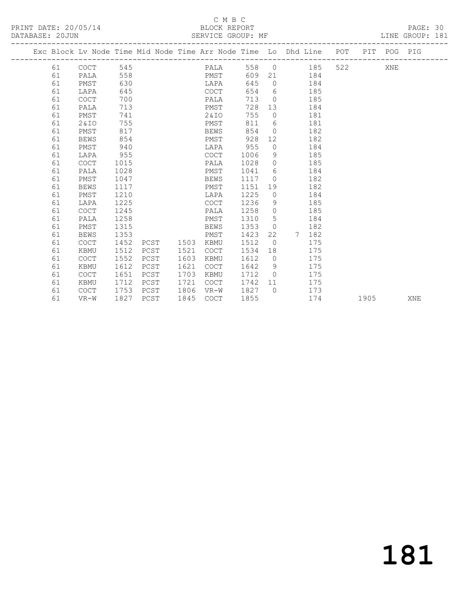## C M B C<br>BLOCK REPORT

PRINT DATE: 20/05/14 BLOCK REPORT BATABASE: 20JUN

PAGE: 30<br>LINE GROUP: 181

|  |    |             |      |      |      |             |      |                | Exc Block Lv Node Time Mid Node Time Arr Node Time Lo Dhd Line POT PIT POG PIG |     |      |     |            |
|--|----|-------------|------|------|------|-------------|------|----------------|--------------------------------------------------------------------------------|-----|------|-----|------------|
|  | 61 | COCT        | 545  |      |      | PALA        |      |                | 558 0 185                                                                      | 522 |      | XNE |            |
|  | 61 | PALA        | 558  |      |      | PMST        |      |                | 609 21 184                                                                     |     |      |     |            |
|  | 61 | PMST        | 630  |      |      | LAPA        | 645  | $\bigcirc$     | 184                                                                            |     |      |     |            |
|  | 61 | LAPA        | 645  |      |      | COCT        | 654  | 6              | 185                                                                            |     |      |     |            |
|  | 61 | COCT        | 700  |      |      | PALA        | 713  | $\bigcirc$     | 185                                                                            |     |      |     |            |
|  | 61 | PALA        | 713  |      |      | PMST        | 728  | 13             | 184                                                                            |     |      |     |            |
|  | 61 | PMST        | 741  |      |      | 2&IO        | 755  | $\circ$        | 181                                                                            |     |      |     |            |
|  | 61 | 2&10        | 755  |      |      | PMST        | 811  | 6              | 181                                                                            |     |      |     |            |
|  | 61 | PMST        | 817  |      |      | BEWS        | 854  | $\bigcirc$     | 182                                                                            |     |      |     |            |
|  | 61 | <b>BEWS</b> | 854  |      |      | PMST        | 928  | 12             | 182                                                                            |     |      |     |            |
|  | 61 | PMST        | 940  |      |      | LAPA        | 955  | $\circ$        | 184                                                                            |     |      |     |            |
|  | 61 | LAPA        | 955  |      |      | COCT        | 1006 | 9              | 185                                                                            |     |      |     |            |
|  | 61 | <b>COCT</b> | 1015 |      |      | PALA        | 1028 | $\overline{0}$ | 185                                                                            |     |      |     |            |
|  | 61 | PALA        | 1028 |      |      | PMST        | 1041 | 6              | 184                                                                            |     |      |     |            |
|  | 61 | PMST        | 1047 |      |      | BEWS        | 1117 | $\Omega$       | 182                                                                            |     |      |     |            |
|  | 61 | BEWS        | 1117 |      |      | PMST        | 1151 | 19             | 182                                                                            |     |      |     |            |
|  | 61 | PMST        | 1210 |      |      | LAPA        | 1225 | $\overline{0}$ | 184                                                                            |     |      |     |            |
|  | 61 | LAPA        | 1225 |      |      | COCT        | 1236 | 9              | 185                                                                            |     |      |     |            |
|  | 61 | <b>COCT</b> | 1245 |      |      | PALA        | 1258 | $\overline{0}$ | 185                                                                            |     |      |     |            |
|  | 61 | PALA        | 1258 |      |      | PMST        | 1310 | 5              | 184                                                                            |     |      |     |            |
|  | 61 | PMST        | 1315 |      |      | <b>BEWS</b> | 1353 | $\overline{0}$ | 182                                                                            |     |      |     |            |
|  | 61 | <b>BEWS</b> | 1353 |      |      | PMST        | 1423 | 22             | 182<br>7                                                                       |     |      |     |            |
|  | 61 | <b>COCT</b> | 1452 | PCST | 1503 | KBMU        | 1512 | $\overline{0}$ | 175                                                                            |     |      |     |            |
|  | 61 | KBMU        | 1512 | PCST | 1521 | COCT        | 1534 | 18             | 175                                                                            |     |      |     |            |
|  | 61 | <b>COCT</b> | 1552 | PCST | 1603 | KBMU        | 1612 | $\overline{0}$ | 175                                                                            |     |      |     |            |
|  | 61 | KBMU        | 1612 | PCST | 1621 | COCT        | 1642 | - 9            | 175                                                                            |     |      |     |            |
|  | 61 | <b>COCT</b> | 1651 | PCST | 1703 | <b>KBMU</b> | 1712 | $\bigcirc$     | 175                                                                            |     |      |     |            |
|  | 61 | KBMU        | 1712 | PCST | 1721 | COCT        | 1742 | 11             | 175                                                                            |     |      |     |            |
|  | 61 | <b>COCT</b> | 1753 | PCST | 1806 | VR-W        | 1827 | $\bigcirc$     | 173                                                                            |     |      |     |            |
|  | 61 | VR-W        | 1827 | PCST | 1845 | COCT        | 1855 |                | 174                                                                            |     | 1905 |     | <b>XNE</b> |
|  |    |             |      |      |      |             |      |                |                                                                                |     |      |     |            |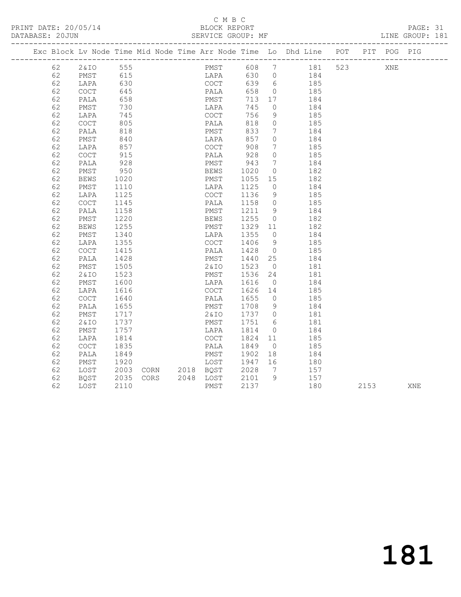## C M B C<br>BLOCK REPORT

PAGE: 31<br>LINE GROUP: 181

|    |          |      |  |      |              |                                           |                 |                    |      |     | Exc Block Lv Node Time Mid Node Time Arr Node Time Lo Dhd Line POT PIT POG PIG |
|----|----------|------|--|------|--------------|-------------------------------------------|-----------------|--------------------|------|-----|--------------------------------------------------------------------------------|
| 62 | 2&IO 555 |      |  |      |              |                                           |                 | PMST 608 7 181 523 |      | XNE |                                                                                |
| 62 | PMST     | 615  |  |      |              |                                           |                 | LAPA 630 0 184     |      |     |                                                                                |
| 62 | LAPA     | 630  |  |      |              |                                           |                 | 185                |      |     |                                                                                |
| 62 | COCT     | 645  |  |      |              |                                           |                 | 185                |      |     |                                                                                |
| 62 | PALA     | 658  |  |      | PMST         | 713 17                                    |                 | 184                |      |     |                                                                                |
| 62 | PMST     | 730  |  |      | LAPA         | 745                                       | $\overline{0}$  | 184                |      |     |                                                                                |
| 62 | LAPA     | 745  |  |      | COCT<br>PALA | 756                                       | 9               | 185                |      |     |                                                                                |
| 62 | COCT     | 805  |  |      |              | 818                                       | $\overline{0}$  | 185                |      |     |                                                                                |
| 62 | PALA     | 818  |  |      | PMST         | 833                                       | $\overline{7}$  | 184                |      |     |                                                                                |
| 62 | PMST     | 840  |  | LAPA |              | 857                                       | $\overline{0}$  | 184                |      |     |                                                                                |
| 62 | LAPA     | 857  |  | COCT |              | 908                                       | $\overline{7}$  | 185                |      |     |                                                                                |
| 62 | COCT     | 915  |  | PALA |              | 928                                       | $\overline{0}$  | 185                |      |     |                                                                                |
| 62 | PALA     | 928  |  | PMST |              | 943                                       | $\overline{7}$  | 184                |      |     |                                                                                |
| 62 | PMST     | 950  |  | BEWS |              | 1020                                      | $\overline{0}$  | 182                |      |     |                                                                                |
| 62 | BEWS     | 1020 |  |      |              | PMST 1055 15                              |                 | 182                |      |     |                                                                                |
| 62 | PMST     | 1110 |  |      | LAPA         | 1125                                      | $\overline{0}$  | 184                |      |     |                                                                                |
| 62 | LAPA     | 1125 |  | COCT |              | 1136                                      | 9               | 185                |      |     |                                                                                |
| 62 | COCT     | 1145 |  | PALA |              | $\frac{1}{1158}$ 0                        |                 | 185                |      |     |                                                                                |
| 62 | PALA     | 1158 |  | PMST |              | 1211 9                                    |                 | 184                |      |     |                                                                                |
| 62 | PMST     | 1220 |  | BEWS |              | 1255 0<br>1329 11                         |                 | 182                |      |     |                                                                                |
| 62 | BEWS     | 1255 |  | PMST |              |                                           |                 | 182                |      |     |                                                                                |
| 62 | PMST     | 1340 |  |      |              | LAPA 1355                                 | $\overline{0}$  | 184                |      |     |                                                                                |
| 62 | LAPA     | 1355 |  | COCT |              | 1406                                      | 9               | 185                |      |     |                                                                                |
| 62 | COCT     | 1415 |  | PALA |              | 1428                                      | $\overline{0}$  | 185                |      |     |                                                                                |
| 62 | PALA     | 1428 |  |      |              | PMST 1440 25                              |                 | 184                |      |     |                                                                                |
| 62 | PMST     | 1505 |  |      | 2&IO         | 1523                                      | $\overline{0}$  | 181                |      |     |                                                                                |
| 62 | 2&IO     | 1523 |  |      |              | PMST 1536 24<br>LAPA 1616 0               |                 | 181                |      |     |                                                                                |
| 62 | PMST     | 1600 |  |      |              |                                           |                 | 184                |      |     |                                                                                |
| 62 | LAPA     | 1616 |  |      |              | COCT 1626 14                              |                 | 185                |      |     |                                                                                |
| 62 | COCT     | 1640 |  |      |              | PALA 1655 0<br>PMST 1708 9<br>2&IO 1737 0 |                 | 185                |      |     |                                                                                |
| 62 | PALA     | 1655 |  |      |              |                                           |                 | 184                |      |     |                                                                                |
| 62 | PMST     | 1717 |  |      |              |                                           |                 | 181                |      |     |                                                                                |
| 62 | 2&IO     | 1737 |  | PMST |              | 1751                                      | $6\overline{6}$ | 181                |      |     |                                                                                |
| 62 | PMST     | 1757 |  | LAPA |              | 1814 0<br>1824 11                         |                 | 184                |      |     |                                                                                |
| 62 | LAPA     | 1814 |  | COCT |              |                                           |                 | 185                |      |     |                                                                                |
| 62 | COCT     | 1835 |  |      |              | PALA 1849 0                               |                 | 185                |      |     |                                                                                |
| 62 | PALA     | 1849 |  |      |              | PMST 1902 18<br>LOST 1947 16              |                 | 184                |      |     |                                                                                |
| 62 | PMST     | 1920 |  |      |              |                                           |                 | 180                |      |     |                                                                                |
| 62 | LOST     |      |  |      |              | 2003 CORN 2018 BQST 2028                  | $\overline{7}$  | 157                |      |     |                                                                                |
| 62 | BQST     | 2035 |  |      |              | CORS 2048 LOST 2101 9<br>PMST 2137        |                 | 157                |      |     |                                                                                |
| 62 | LOST     | 2110 |  | PMST |              | 2137                                      |                 | 180                | 2153 |     | XNE                                                                            |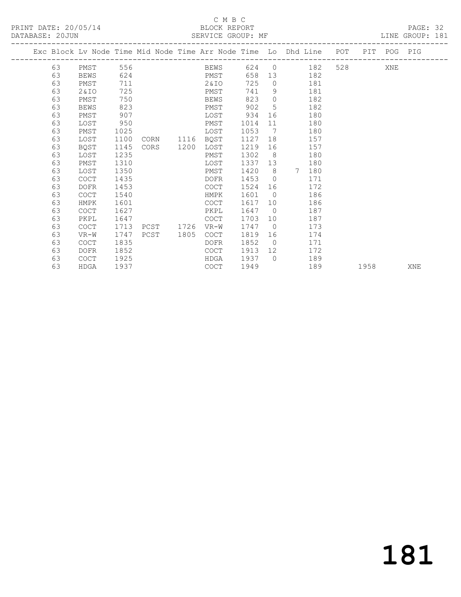## C M B C<br>BLOCK REPORT

LINE GROUP: 181

|  |    |      |     |  | <u>ULINI LULI UINUUL 8 IIL</u> |        |    |                                                                    |     |     |     |         |  |
|--|----|------|-----|--|--------------------------------|--------|----|--------------------------------------------------------------------|-----|-----|-----|---------|--|
|  |    |      |     |  |                                |        |    | Exc Block Ly Node Time Mid Node Time Arr Node Time Lo Dhd Line POT |     | PIT |     | POG PIG |  |
|  | 63 | PMST | 556 |  | BEWS                           | 624    |    | 182                                                                | 528 |     | XNE |         |  |
|  | 63 | BEWS | 624 |  | PMST                           | 658 13 |    | 182                                                                |     |     |     |         |  |
|  | 63 | PMST | 711 |  | 2&10                           | 725    |    | 181                                                                |     |     |     |         |  |
|  | 63 | 2&I  | 725 |  | PMST                           | 741    | -9 | 181                                                                |     |     |     |         |  |
|  | 63 | PMST | 750 |  | BEWS                           | 823    |    | 182                                                                |     |     |     |         |  |
|  | 63 | BEWS | 823 |  | PMST                           | 902    |    | 182                                                                |     |     |     |         |  |
|  |    |      |     |  |                                |        |    |                                                                    |     |     |     |         |  |

 63 PMST 907 LOST 934 16 180 63 LOST 950 PMST 1014 11 180 63 PMST 1025 LOST 1053 7 180 63 LOST 1100 CORN 1116 BQST 1127 18 157 63 BQST 1145 CORS 1200 LOST 1219 16 157 63 LOST 1235 PMST 1302 8 180 63 PMST 1310 LOST 1337 13 180 63 LOST 1350 PMST 1420 8 7 180 63 COCT 1435 DOFR 1453 0 171 63 DOFR 1453 COCT 1524 16 172 63 COCT 1540 HMPK 1601 0 186 63 HMPK 1601 COCT 1617 10 186 63 COCT 1627 PKPL 1647 0 187 63 PKPL 1647 COCT 1703 10 187

 63 COCT 1713 PCST 1726 VR-W 1747 0 173 63 VR-W 1747 PCST 1805 COCT 1819 16 174

 63 DOFR 1852 COCT 1913 12 172 63 COCT 1925 HDGA 1937 0 189

63 HDGA 1937 COCT 1949 189 1958 XNE

63 COCT 1835 DOFR 1852 0 171

181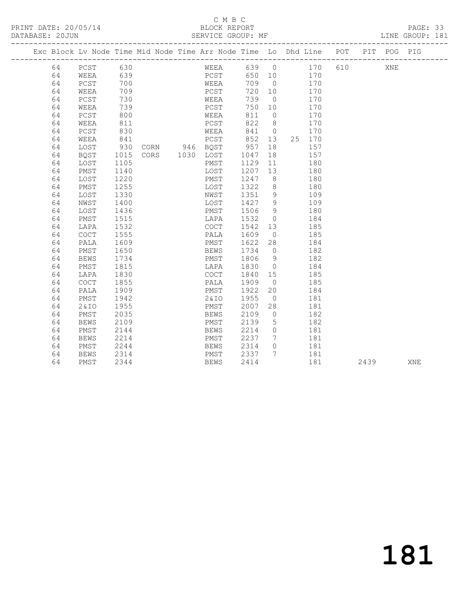## C M B C<br>BLOCK REPORT

PAGE: 33<br>LINE GROUP: 181

|    |             |            |                |              |         |                 | Exc Block Lv Node Time Mid Node Time Arr Node Time Lo Dhd Line POT |     |      | PIT POG PIG |     |
|----|-------------|------------|----------------|--------------|---------|-----------------|--------------------------------------------------------------------|-----|------|-------------|-----|
| 64 | $PCST$      | 630        |                | WEEA         |         |                 | 639 0 170                                                          | 610 |      | XNE         |     |
| 64 | WEEA        | 639<br>700 |                | PCST<br>WEEA | 650 10  |                 | 170                                                                |     |      |             |     |
| 64 | PCST        |            |                |              | 709     | $\overline{0}$  | 170                                                                |     |      |             |     |
| 64 | WEEA        | 709        |                | PCST         | 720 10  |                 | 170                                                                |     |      |             |     |
| 64 | PCST        | 730        |                | WEEA         | 739     | $\overline{0}$  | 170                                                                |     |      |             |     |
| 64 | WEEA        | 739        |                | PCST         | 750     | 10              | 170                                                                |     |      |             |     |
| 64 | PCST        | 800        |                | WEEA         | 811     | $\bigcirc$      | 170                                                                |     |      |             |     |
| 64 | WEEA        | 811        |                | PCST         | 822     | 8 <sup>8</sup>  | 170                                                                |     |      |             |     |
| 64 | PCST        | 830        |                | WEEA         | 841 0   |                 | 170                                                                |     |      |             |     |
| 64 | WEEA        | 841        |                | PCST         | 852 13  |                 | 25 170                                                             |     |      |             |     |
| 64 | LOST        | 930        | CORN 946 BQST  |              | 957     | 18              | 157                                                                |     |      |             |     |
| 64 | BQST        | 1015       | CORS 1030 LOST |              | 1047    | 18              | 157                                                                |     |      |             |     |
| 64 | LOST        | 1105       |                | PMST         | 1129    | 11              | 180                                                                |     |      |             |     |
| 64 | PMST        | 1140       |                | LOST         | 1207 13 |                 | 180                                                                |     |      |             |     |
| 64 | LOST        | 1220       |                | PMST         | 1247    | 8 <sup>8</sup>  | 180                                                                |     |      |             |     |
| 64 | PMST        | 1255       |                | LOST         | 1322    | 8 <sup>8</sup>  | 180                                                                |     |      |             |     |
| 64 | LOST        | 1330       |                | NWST         | 1351    | 9               | 109                                                                |     |      |             |     |
| 64 | NWST        | 1400       |                | LOST         | 1427    | $\overline{9}$  | 109                                                                |     |      |             |     |
| 64 | LOST        | 1436       |                | PMST         | 1506    | 9               | 180                                                                |     |      |             |     |
| 64 | PMST        | 1515       |                | LAPA         | 1532    | $\overline{0}$  | 184                                                                |     |      |             |     |
| 64 | LAPA        | 1532       |                | COCT         | 1542    | 13              | 185                                                                |     |      |             |     |
| 64 | COCT        | 1555       |                | PALA         | 1609    | $\overline{0}$  | 185                                                                |     |      |             |     |
| 64 | PALA        | 1609       |                | PMST         | 1622    | 28              | 184                                                                |     |      |             |     |
| 64 | PMST        | 1650       |                | BEWS         | 1734    | $\overline{0}$  | 182                                                                |     |      |             |     |
| 64 | BEWS        | 1734       |                | PMST         | 1806    | 9               | 182                                                                |     |      |             |     |
| 64 | PMST        | 1815       |                | LAPA         | 1830    | $\overline{0}$  | 184                                                                |     |      |             |     |
| 64 | LAPA        | 1830       |                | COCT         | 1840 15 |                 | 185                                                                |     |      |             |     |
| 64 | <b>COCT</b> | 1855       |                | PALA         | 1909    | $\overline{0}$  | 185                                                                |     |      |             |     |
| 64 | PALA        | 1909       |                | PMST         | 1922    | 20              | 184                                                                |     |      |             |     |
| 64 | PMST        | 1942       |                | 2&IO         | 1955    | $\overline{0}$  | 181                                                                |     |      |             |     |
| 64 | 2&10        | 1955       |                | PMST         | 2007    | 28              | 181                                                                |     |      |             |     |
| 64 | PMST        | 2035       |                | <b>BEWS</b>  | 2109    | $\overline{0}$  | 182                                                                |     |      |             |     |
| 64 | <b>BEWS</b> | 2109       |                | PMST         | 2139    | $5\overline{)}$ | 182                                                                |     |      |             |     |
| 64 | PMST        | 2144       |                | <b>BEWS</b>  | 2214    | $\overline{0}$  | 181                                                                |     |      |             |     |
| 64 | <b>BEWS</b> | 2214       |                | PMST         | 2237    | $7\phantom{0}$  | 181                                                                |     |      |             |     |
| 64 | PMST        | 2244       |                | BEWS         | 2314    | $\Omega$        | 181                                                                |     |      |             |     |
| 64 | <b>BEWS</b> | 2314       |                | PMST         | 2337    | $7\phantom{0}$  | 181                                                                |     |      |             |     |
| 64 | PMST        | 2344       |                | <b>BEWS</b>  | 2414    |                 | 181                                                                |     | 2439 |             | XNE |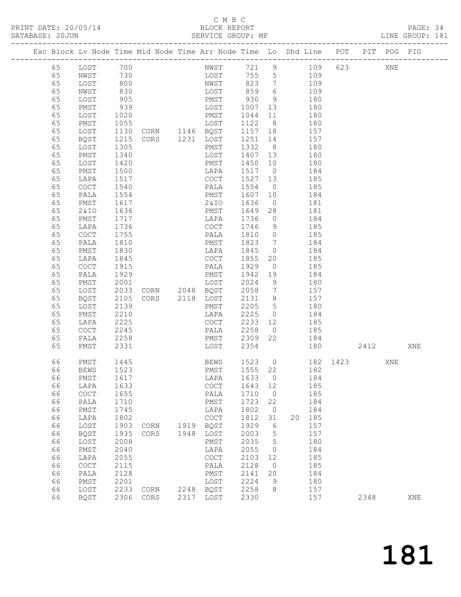## C M B C<br>BLOCK REPORT

PAGE: 34<br>LINE GROUP: 181

|  |          |                              |                  | Exc Block Lv Node Time Mid Node Time Arr Node Time Lo Dhd Line POT |      |              |              |                      |     |            |          |      | PIT POG PIG |     |
|--|----------|------------------------------|------------------|--------------------------------------------------------------------|------|--------------|--------------|----------------------|-----|------------|----------|------|-------------|-----|
|  |          |                              |                  |                                                                    |      |              |              |                      |     |            |          |      |             |     |
|  | 65       | LOST 700                     |                  |                                                                    |      | NWST         | 721 9        |                      |     | 109        | 623      |      | XNE         |     |
|  | 65       | NWST                         | 730              |                                                                    |      | LOST         | 755 5        |                      |     | 109        |          |      |             |     |
|  | 65       | LOST                         | 800              |                                                                    |      | NWST         | 823 7        |                      | 109 |            |          |      |             |     |
|  | 65       | NWST                         | 830              |                                                                    |      | LOST         | 859          | 6                    |     | 109        |          |      |             |     |
|  | 65       | LOST                         | 905              |                                                                    |      | PMST         | 930          | 9                    |     | 180        |          |      |             |     |
|  | 65       | PMST                         | 939              |                                                                    |      | LOST<br>PMST | 1007         | 13                   | 180 | 180        |          |      |             |     |
|  | 65<br>65 | LOST<br>PMST                 | 1020<br>1055     |                                                                    |      | LOST         | 1044<br>1122 | 11<br>8              |     | 180        |          |      |             |     |
|  | 65       | LOST                         | 1130             |                                                                    |      |              | 1157 18      |                      |     | 157        |          |      |             |     |
|  | 65       | BQST                         | $\frac{1}{1215}$ | LOST<br>CORN 1146 BQST<br>CORS 1231 LOST                           |      |              | 1251 14      |                      |     | 157        |          |      |             |     |
|  | 65       | LOST                         | 1305             |                                                                    |      | PMST         | 1332 8       |                      |     | 180        |          |      |             |     |
|  | 65       | PMST                         | 1340             |                                                                    |      | LOST         | 1407 13      |                      |     | 180        |          |      |             |     |
|  | 65       | LOST                         | 1420             |                                                                    |      | PMST         | 1450 10      |                      |     | 180        |          |      |             |     |
|  | 65       | PMST                         | 1500             |                                                                    |      | LAPA         | 1517 0       |                      |     | 184        |          |      |             |     |
|  | 65       | LAPA                         | 1517             |                                                                    |      | COCT         | 1527         | 13                   | 185 |            |          |      |             |     |
|  | 65       | COCT                         | 1540             |                                                                    |      | PALA         | 1554         | $\overline{0}$       |     | 185        |          |      |             |     |
|  | 65       | PALA                         | 1554             |                                                                    |      | PMST         | 1607 10      |                      |     | 184        |          |      |             |     |
|  | 65       | PMST                         | 1617             |                                                                    |      | 2 & I O      | 1636         | $\overline{0}$       |     | 181        |          |      |             |     |
|  | 65       | 2&IO                         | 1636             |                                                                    |      | PMST         | 1649         | 28                   | 181 |            |          |      |             |     |
|  | 65       | PMST                         | 1717             |                                                                    |      | LAPA         | 1736         | $\overline{0}$       |     | 184        |          |      |             |     |
|  | 65       | LAPA                         | 1736             |                                                                    |      | COCT         | 1746         | 9                    |     | 185        |          |      |             |     |
|  | 65       | COCT                         | 1755             |                                                                    |      | PALA         | 1810 0       |                      |     | 185        |          |      |             |     |
|  | 65       | PALA                         | 1810             |                                                                    |      | PMST         | 1823         | $\overline{7}$       |     | 184        |          |      |             |     |
|  | 65       | PMST                         | 1830             |                                                                    |      | LAPA         | 1845         | $\overline{0}$       |     | 184        |          |      |             |     |
|  | 65<br>65 | LAPA<br>COCT                 | 1845<br>1915     |                                                                    |      | COCT<br>PALA | 1855<br>1929 | 20<br>$\overline{0}$ |     | 185<br>185 |          |      |             |     |
|  | 65       | PALA                         | 1929             |                                                                    |      | PMST         | 1942 19      |                      |     | 184        |          |      |             |     |
|  | 65       | PMST                         | 2001             |                                                                    |      | LOST         | 2024         | 9                    |     | 180        |          |      |             |     |
|  | 65       | LOST                         | 2033             | CORN $2048$ BQST                                                   |      |              | 2058         | $\overline{7}$       |     | 157        |          |      |             |     |
|  | 65       | BQST                         | 2105             | CORS 2118 LOST                                                     |      |              | 2131 8       |                      |     | 157        |          |      |             |     |
|  | 65       | LOST                         | 2139             |                                                                    |      | PMST         | 2205         | $5\overline{)}$      |     | 180        |          |      |             |     |
|  | 65       | PMST                         | 2210             |                                                                    |      | LAPA         | 2225         | $\overline{0}$       | 184 |            |          |      |             |     |
|  | 65       | LAPA                         | 2225             |                                                                    |      | COCT         | 2233         | 12                   |     | 185        |          |      |             |     |
|  | 65       | COCT                         | 2245             |                                                                    |      | PALA         | 2258         | $\overline{0}$       |     | 185        |          |      |             |     |
|  | 65       | PALA                         | 2258             |                                                                    |      | PMST         | 2309 22      |                      |     | 184        |          |      |             |     |
|  | 65       | PMST                         | 2331             |                                                                    |      | LOST         | 2354         |                      |     |            | 180      | 2412 |             | XNE |
|  |          |                              |                  |                                                                    |      |              |              |                      |     |            |          |      |             |     |
|  | 66       | PMST                         | 1445             |                                                                    |      | BEWS         | 1523 0       |                      |     |            | 182 1423 |      | XNE         |     |
|  | 66       | <b>BEWS</b>                  | 1523             |                                                                    |      | PMST         | 1555 22      |                      |     | 182        |          |      |             |     |
|  | 66       | PMST                         | 1617             |                                                                    |      | LAPA 1633 0  | 1643         |                      |     | 184        |          |      |             |     |
|  | 66<br>66 | LAPA<br>$\operatorname{COT}$ | 1633<br>1655     |                                                                    |      | COCT<br>PALA | 1710         | 12<br>$\overline{0}$ |     | 185<br>185 |          |      |             |     |
|  | 66       | PALA                         | 1710             |                                                                    |      | PMST         | 1723         | 22                   |     | 184        |          |      |             |     |
|  | 66       | PMST                         | 1745             |                                                                    |      | LAPA         | 1802         | $\overline{0}$       |     | 184        |          |      |             |     |
|  | 66       | LAPA                         | 1802             |                                                                    |      | COCT         | 1812         | 31                   | 20  | 185        |          |      |             |     |
|  | 66       | LOST                         | 1903             | CORN                                                               | 1919 | BQST         | 1929         | 6                    |     | 157        |          |      |             |     |
|  | 66       | <b>BQST</b>                  | 1935             | CORS                                                               | 1948 | LOST         | 2003         | $5^{\circ}$          |     | 157        |          |      |             |     |
|  | 66       | LOST                         | 2008             |                                                                    |      | PMST         | 2035         | $5^{\circ}$          |     | 180        |          |      |             |     |
|  | 66       | PMST                         | 2040             |                                                                    |      | LAPA         | 2055         | $\overline{0}$       |     | 184        |          |      |             |     |
|  | 66       | LAPA                         | 2055             |                                                                    |      | COCT         | 2103         | 12                   |     | 185        |          |      |             |     |
|  | 66       | COCT                         | 2115             |                                                                    |      | PALA         | 2128         | $\overline{0}$       |     | 185        |          |      |             |     |
|  | 66       | PALA                         | 2128             |                                                                    |      | PMST         | 2141         | 20                   |     | 184        |          |      |             |     |
|  | 66       | PMST                         | 2201             |                                                                    |      | LOST         | 2224         | 9                    |     | 180        |          |      |             |     |
|  | 66       | LOST                         | 2233             | CORN                                                               |      | 2248 BQST    | 2258         | 8                    |     | 157        |          |      |             |     |
|  | 66       | BQST                         |                  | 2306 CORS                                                          |      | 2317 LOST    | 2330         |                      |     | 157        |          | 2348 |             | XNE |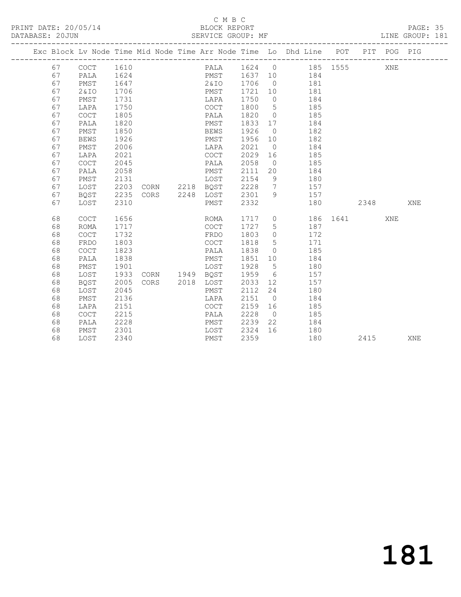## C M B C<br>BLOCK REPORT

| DATABASE: 20JUN |    |             |      |  | SERVICE GROUP: MF                                                              |         |                 | ---------------------  |          |      |     | LINE GROUP: 181 |
|-----------------|----|-------------|------|--|--------------------------------------------------------------------------------|---------|-----------------|------------------------|----------|------|-----|-----------------|
|                 |    |             |      |  | Exc Block Lv Node Time Mid Node Time Arr Node Time Lo Dhd Line POT PIT POG PIG |         |                 |                        |          |      |     |                 |
|                 | 67 | COCT        | 1610 |  | PALA 1624 0 185 1555                                                           |         |                 |                        |          |      | XNE |                 |
|                 | 67 | PALA        |      |  | 1624 PMST 1637 10 184                                                          |         |                 |                        |          |      |     |                 |
|                 | 67 | PMST        | 1647 |  | 2&IO 1706                                                                      |         |                 | $0$ 181                |          |      |     |                 |
|                 | 67 | 2&10        | 1706 |  | PMST                                                                           | 1721    | 10              | 181                    |          |      |     |                 |
|                 | 67 | PMST        | 1731 |  | LAPA                                                                           | 1750    | $\overline{0}$  | 184                    |          |      |     |                 |
|                 | 67 | LAPA        | 1750 |  | COCT                                                                           | 1800    | $5\overline{)}$ | 185                    |          |      |     |                 |
|                 | 67 | <b>COCT</b> | 1805 |  | PALA                                                                           | 1820    | $\overline{0}$  | 185                    |          |      |     |                 |
|                 | 67 | PALA        | 1820 |  | PMST                                                                           | 1833 17 |                 | 184                    |          |      |     |                 |
|                 | 67 | PMST        | 1850 |  | BEWS                                                                           | 1926    | $\overline{0}$  | 182                    |          |      |     |                 |
|                 | 67 | <b>BEWS</b> | 1926 |  | PMST                                                                           | 1956 10 |                 | 182                    |          |      |     |                 |
|                 | 67 | PMST        | 2006 |  | LAPA                                                                           | 2021    | $\overline{0}$  | 184                    |          |      |     |                 |
|                 | 67 | LAPA        | 2021 |  | COCT                                                                           | 2029 16 |                 | 185                    |          |      |     |                 |
|                 | 67 | <b>COCT</b> | 2045 |  | PALA                                                                           | 2058    | $\overline{0}$  | 185                    |          |      |     |                 |
|                 | 67 | PALA        | 2058 |  | PMST                                                                           | 2111    |                 | 20<br>184              |          |      |     |                 |
|                 | 67 | PMST        | 2131 |  | LOST                                                                           | 2154    | 9               | 180                    |          |      |     |                 |
|                 | 67 | LOST        | 2203 |  | CORN 2218 BOST                                                                 | 2228    |                 | $7\overline{ }$<br>157 |          |      |     |                 |
|                 | 67 | BQST        | 2235 |  | CORS 2248 LOST                                                                 | 2301    |                 | 9<br>157               |          |      |     |                 |
|                 | 67 | LOST        | 2310 |  | PMST                                                                           | 2332    |                 | 180                    |          | 2348 |     | XNE             |
|                 | 68 | <b>COCT</b> | 1656 |  | ROMA                                                                           |         |                 | 1717 0                 | 186 1641 |      | XNE |                 |
|                 | 68 | ROMA        | 1717 |  | COCT                                                                           | 1727    | 5 <sup>5</sup>  | 187                    |          |      |     |                 |
|                 | 68 | COCT        | 1732 |  | FRDO                                                                           | 1803    | $\overline{0}$  | 172                    |          |      |     |                 |
|                 | 68 | FRDO        | 1803 |  | COCT                                                                           | 1818    | $5\overline{)}$ | 171                    |          |      |     |                 |
|                 | 68 | <b>COCT</b> | 1823 |  | PALA                                                                           | 1838    | $\overline{0}$  | 185                    |          |      |     |                 |
|                 | 68 | PALA        | 1838 |  | PMST                                                                           | 1851    | 10              | 184                    |          |      |     |                 |
|                 | 68 | PMST        | 1901 |  | LOST                                                                           | 1928    | $5^{\circ}$     | 180                    |          |      |     |                 |
|                 | 68 | LOST        | 1933 |  | CORN 1949 BQST                                                                 | 1959    |                 | $6\degree$<br>157      |          |      |     |                 |
|                 | 68 | <b>BOST</b> | 2005 |  | CORS 2018 LOST                                                                 | 2033    |                 | 157<br>12              |          |      |     |                 |
|                 | 68 | LOST        | 2045 |  | PMST                                                                           | 2112    | 24              | 180                    |          |      |     |                 |
|                 | 68 | PMST        | 2136 |  | LAPA                                                                           | 2151    | $\overline{0}$  | 184                    |          |      |     |                 |
|                 | 68 | LAPA        | 2151 |  | COCT                                                                           | 2159    | 16              | 185                    |          |      |     |                 |
|                 | 68 | COCT        | 2215 |  | PALA                                                                           | 2228    | $\overline{0}$  | 185                    |          |      |     |                 |
|                 | 68 | PALA        | 2228 |  | PMST                                                                           | 2239    | 22              | 184                    |          |      |     |                 |
|                 | 68 | PMST        | 2301 |  | LOST                                                                           | 2324 16 |                 | 180                    |          |      |     |                 |
|                 | 68 | LOST        | 2340 |  | PMST                                                                           | 2359    |                 | 180                    |          | 2415 |     | XNE             |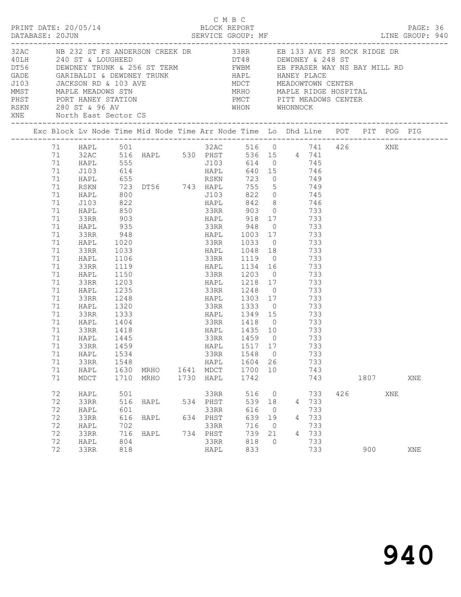| DATABASE: 20JUN |                                                                                                                                                                                                              | PRINT DATE: 20/05/14                                                                                                                                                |                                                                                                                                                         | 5/14 BLOCK REPORT<br>SERVICE GROUP: MF                                                                                                                                                                                                                                      |              |                                                              | СМВС                                                                                                                                                                                                                                                      |                                                       |                          |                                                             |     |      |     | PAGE: 36<br>LINE GROUP: 940 |  |
|-----------------|--------------------------------------------------------------------------------------------------------------------------------------------------------------------------------------------------------------|---------------------------------------------------------------------------------------------------------------------------------------------------------------------|---------------------------------------------------------------------------------------------------------------------------------------------------------|-----------------------------------------------------------------------------------------------------------------------------------------------------------------------------------------------------------------------------------------------------------------------------|--------------|--------------------------------------------------------------|-----------------------------------------------------------------------------------------------------------------------------------------------------------------------------------------------------------------------------------------------------------|-------------------------------------------------------|--------------------------|-------------------------------------------------------------|-----|------|-----|-----------------------------|--|
|                 |                                                                                                                                                                                                              | XNE North East Sector CS                                                                                                                                            |                                                                                                                                                         | 32AC NB 232 ST FS ANDERSON CREEK DR 33RR EB 133 AVE FS ROCK RIDGE DR<br>10LH 240 ST & LOUGHEED<br>DT56 DEWDNEY TRUNK & 256 ST TERM FWBM EB FRASER WAY NS BAY MILL RD<br>GADE GARIBALDI & DEWDNEY TRUNK HAPL HANEY PLACE<br>J103 JACKSON RD & 103 AVE MDCT MEADOWTOWN CENTER |              |                                                              | MRHO MAPLE RIDGE HOSPITAL                                                                                                                                                                                                                                 |                                                       |                          |                                                             |     |      |     |                             |  |
|                 |                                                                                                                                                                                                              |                                                                                                                                                                     |                                                                                                                                                         | Exc Block Lv Node Time Mid Node Time Arr Node Time Lo Dhd Line POT PIT POG PIG                                                                                                                                                                                              |              |                                                              |                                                                                                                                                                                                                                                           |                                                       |                          |                                                             |     |      |     |                             |  |
|                 | 71 HAPL<br>71 J103<br>71<br>71<br>71 HAPL<br>71 J103<br>71 HAPL<br>71<br>71 HAPL<br>71 33RR<br>71<br>71<br>71<br>71<br>71<br>71<br>71<br>71<br>71<br>71<br>71<br>71<br>71<br>71 33RR<br>71<br>71<br>71<br>71 | HAPL<br>RSKN<br>33RR<br><b>HAPL</b><br>33RR<br>HAPL<br>33RR<br>HAPL<br>33RR<br>HAPL<br>33RR<br>HAPL<br>33RR<br>HAPL<br>33RR<br>HAPL<br>HAPL<br>33RR<br>HAPL<br>MDCT | $948$<br>$1020$<br>1033<br>1106<br>1119<br>1150<br>1203<br>1235<br>1248<br>1320<br>1333<br>1404<br>1418<br>1445<br>1459<br>1534<br>1548<br>1630<br>1710 | 71 HAPL 501 32AC 516 0 741 426 XNE<br>71 32AC 516 HAPL 530 PHST 536 15 4 741<br>555 555 5103 614 0 745<br>514 514 514 514 514<br>655 55 58 58 59 723 0 749<br>723 DT56 743 HAPL 755 5 749<br>MRHO<br>MRHO                                                                   | 1641<br>1730 | 33RR<br>HAPL<br>MDCT<br>HAPL                                 | 33RR 948 0 733<br>HAPL 1003 17 733<br>33RR 1033 0 733<br>HAPL 1048 18 733<br>33RR 1119 0 733<br>HAPL 1134 16<br>33RR 1203 0<br>HAPL 1218 17 733<br>33RR 1248 0<br>HAPL 1349 15 733<br>33RR 1418 0 733<br>HAPL 1517 17 733<br>1548<br>1604<br>1700<br>1742 | $\overline{0}$<br>26<br>10                            |                          | 733<br>733<br>733<br>733<br>733<br>733<br>733<br>743<br>743 |     | 1807 |     | XNE                         |  |
|                 | 72<br>72<br>72<br>72<br>72<br>72<br>72                                                                                                                                                                       | HAPL<br>33RR<br>HAPL<br>33RR<br>HAPL<br>33RR<br>HAPL                                                                                                                | 501<br>516<br>601<br>616<br>702<br>716<br>804                                                                                                           | HAPL<br>HAPL<br>HAPL                                                                                                                                                                                                                                                        | 634          | 33RR<br>534 PHST<br>33RR<br>PHST<br>33RR<br>734 PHST<br>33RR | 516<br>539<br>616<br>639<br>716<br>739<br>818                                                                                                                                                                                                             | 0<br>18<br>$\overline{0}$<br>19<br>0<br>21<br>$\circ$ | 4<br>4<br>$\overline{4}$ | 733<br>733<br>733<br>733<br>733<br>733<br>733               | 426 |      | XNE |                             |  |
|                 | 72                                                                                                                                                                                                           | 33RR                                                                                                                                                                | 818                                                                                                                                                     |                                                                                                                                                                                                                                                                             |              | HAPL                                                         | 833                                                                                                                                                                                                                                                       |                                                       |                          | 733                                                         |     | 900  |     | XNE                         |  |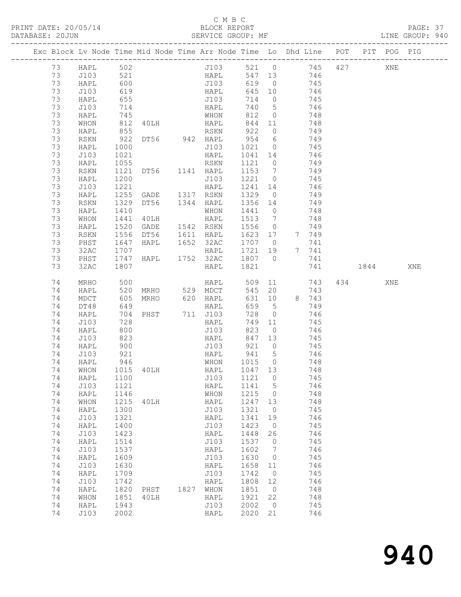## C M B C<br>BLOCK REPORT

| DATABASE: 20JUN |    |          |                      |                                |                       |                   |                |                                                                                |       |     | LINE GROUP: 940 |  |
|-----------------|----|----------|----------------------|--------------------------------|-----------------------|-------------------|----------------|--------------------------------------------------------------------------------|-------|-----|-----------------|--|
|                 |    |          |                      |                                |                       |                   |                | Exc Block Lv Node Time Mid Node Time Arr Node Time Lo Dhd Line POT PIT POG PIG |       |     |                 |  |
|                 | 73 | HAPL 502 |                      |                                |                       |                   |                | J103 521 0 745 427 XNE                                                         |       |     |                 |  |
|                 | 73 | J103     | 521                  |                                | HAPL                  |                   |                | 547 13 746                                                                     |       |     |                 |  |
|                 | 73 | HAPL     | 600                  |                                | J103                  |                   |                | 619 0 745                                                                      |       |     |                 |  |
|                 | 73 | J103     |                      |                                |                       |                   |                |                                                                                |       |     |                 |  |
|                 | 73 | HAPL     | 619<br>655           |                                | HAPL<br>J103          |                   |                | 645 10 746<br>714 0 745                                                        |       |     |                 |  |
|                 | 73 | J103     | 714                  |                                | HAPL                  |                   |                | 740 5 746                                                                      |       |     |                 |  |
|                 | 73 | HAPL     |                      |                                | WHON                  |                   |                | 812 0 748                                                                      |       |     |                 |  |
|                 | 73 | WHON     |                      | 40LH                           |                       |                   |                | 748                                                                            |       |     |                 |  |
|                 | 73 | HAPL     | 745<br>812<br>855    |                                |                       |                   | $\overline{O}$ | 749                                                                            |       |     |                 |  |
|                 | 73 | RSKN     | 922                  |                                |                       |                   |                | DT56 942 HAPL 954 6 749                                                        |       |     |                 |  |
|                 | 73 | HAPL     | 1000                 |                                |                       |                   |                | J103 1021 0 745                                                                |       |     |                 |  |
|                 | 73 | J103     | 1021                 |                                | HAPL                  |                   |                |                                                                                |       |     |                 |  |
|                 | 73 |          | 1055                 |                                |                       | 1041 14<br>1121 0 |                | 746                                                                            |       |     |                 |  |
|                 |    | HAPL     |                      | 1121 DT56 1141 HAPL            | RSKN                  |                   |                | 749<br>1153 7 749                                                              |       |     |                 |  |
|                 | 73 | RSKN     |                      |                                |                       |                   |                |                                                                                |       |     |                 |  |
|                 | 73 | HAPL     | 1200                 |                                | J103                  |                   |                | 1221 0 745                                                                     |       |     |                 |  |
|                 | 73 | J103     | 1221<br>1255         |                                |                       | 1241 14           |                | 746                                                                            |       |     |                 |  |
|                 | 73 | HAPL     |                      |                                |                       | 1329 0            |                | 749                                                                            |       |     |                 |  |
|                 | 73 | RSKN     | 1329                 |                                |                       |                   |                | DT56 1344 HAPL 1356 14 749                                                     |       |     |                 |  |
|                 | 73 | HAPL     | 1410                 |                                | WHON                  | 1441 0            |                | 748                                                                            |       |     |                 |  |
|                 | 73 | WHON     | 1441                 | 40LH                           | HAPL                  | 1513 7            |                | 748                                                                            |       |     |                 |  |
|                 | 73 | HAPL     | 1520                 | GADE 1542 RSKN                 |                       | 1556 0            |                | 749                                                                            |       |     |                 |  |
|                 | 73 | RSKN     | 1556                 |                                |                       |                   |                | DT56 1611 HAPL 1623 17 7 749                                                   |       |     |                 |  |
|                 | 73 | PHST     | 1647                 |                                | HAPL 1652 32AC 1707 0 |                   |                | 741                                                                            |       |     |                 |  |
|                 | 73 | 32AC     |                      |                                |                       |                   |                | HAPL 1721 19 7 741                                                             |       |     |                 |  |
|                 | 73 | PHST     |                      | HAPL 1752                      | 1752 32AC 1807 0      |                   |                | 741                                                                            |       |     |                 |  |
|                 | 73 | 32AC     | 1707<br>1747<br>1807 |                                | HAPL 1821             |                   |                | 741 1844 XNE                                                                   |       |     |                 |  |
|                 |    |          |                      |                                |                       |                   |                |                                                                                |       |     |                 |  |
|                 | 74 | MRHO     | 500<br>520<br>605    |                                | HAPL                  | 509               |                | 11 743                                                                         | 434 6 | XNE |                 |  |
|                 | 74 | HAPL     |                      |                                |                       | 545 20            |                | 743                                                                            |       |     |                 |  |
|                 | 74 | MDCT     |                      | MRHO 529 MDCT<br>MRHO 620 HAPL |                       |                   |                | $631$ 10 8 743                                                                 |       |     |                 |  |
|                 | 74 | DT48     | 649                  |                                | HAPL                  | 659 5             |                | 749                                                                            |       |     |                 |  |
|                 | 74 | HAPL     | 704                  | PHST 711 J103                  |                       | 728               | $\overline{0}$ | 746                                                                            |       |     |                 |  |
|                 | 74 | J103     |                      |                                | HAPL                  | 749 11            |                | 745                                                                            |       |     |                 |  |
|                 | 74 | HAPL     | $\frac{1}{800}$      |                                | J103                  | 823               | $\overline{0}$ | 746                                                                            |       |     |                 |  |
|                 | 74 | J103     | 823                  |                                | HAPL                  |                   |                | 847 13 745                                                                     |       |     |                 |  |
|                 | 74 | HAPL     | 900                  |                                | J103                  | 921               |                | $0$ 745                                                                        |       |     |                 |  |
|                 | 74 | J103     |                      |                                |                       |                   |                | 746                                                                            |       |     |                 |  |
|                 | 74 | HAPL     | 921<br>946           |                                |                       |                   |                | 748                                                                            |       |     |                 |  |
|                 |    |          |                      | 74 WHON 1015 40LH HAPL 1047 13 |                       |                   |                | 748                                                                            |       |     |                 |  |
|                 | 74 | HAPL     | 1100                 |                                | J103                  | 1121              | $\overline{0}$ | 745                                                                            |       |     |                 |  |
|                 | 74 | J103     | 1121                 |                                | HAPL                  | 1141 5            |                | 746                                                                            |       |     |                 |  |
|                 | 74 | HAPL     | 1146                 |                                | WHON                  | 1215              | $\overline{0}$ | 748                                                                            |       |     |                 |  |
|                 | 74 |          | 1215                 |                                |                       | 1247              |                | 748                                                                            |       |     |                 |  |
|                 |    | WHON     |                      | 40LH                           | HAPL                  |                   | 13             |                                                                                |       |     |                 |  |
|                 | 74 | HAPL     | 1300                 |                                | J103                  | 1321              | $\overline{0}$ | 745                                                                            |       |     |                 |  |
|                 | 74 | J103     | 1321                 |                                | HAPL                  | 1341              | 19             | 746                                                                            |       |     |                 |  |
|                 | 74 | HAPL     | 1400                 |                                | J103                  | 1423              | $\overline{0}$ | 745                                                                            |       |     |                 |  |
|                 | 74 | J103     | 1423                 |                                | HAPL                  | 1448              | 26             | 746                                                                            |       |     |                 |  |
|                 | 74 | HAPL     | 1514                 |                                | J103                  | 1537              | $\overline{0}$ | 745                                                                            |       |     |                 |  |
|                 | 74 | J103     | 1537                 |                                | HAPL                  | 1602              | $\overline{7}$ | 746                                                                            |       |     |                 |  |
|                 | 74 | HAPL     | 1609                 |                                | J103                  | 1630              | $\overline{0}$ | 745                                                                            |       |     |                 |  |
|                 | 74 | J103     | 1630                 |                                | HAPL                  | 1658              | 11             | 746                                                                            |       |     |                 |  |
|                 | 74 | HAPL     | 1709                 |                                | J103                  | 1742              | $\overline{0}$ | 745                                                                            |       |     |                 |  |
|                 | 74 | J103     | 1742                 |                                | HAPL                  | 1808              | 12             | 746                                                                            |       |     |                 |  |
|                 | 74 | HAPL     | 1820                 | PHST                           | 1827 WHON             | 1851              | $\overline{O}$ | 748                                                                            |       |     |                 |  |
|                 | 74 | WHON     | 1851                 | 40LH                           | HAPL                  | 1921              | 22             | 748                                                                            |       |     |                 |  |
|                 | 74 | HAPL     | 1943                 |                                | J103                  | 2002              | $\overline{0}$ | 745                                                                            |       |     |                 |  |
|                 | 74 | J103     | 2002                 |                                | HAPL                  | 2020              | 21             | 746                                                                            |       |     |                 |  |
|                 |    |          |                      |                                |                       |                   |                |                                                                                |       |     |                 |  |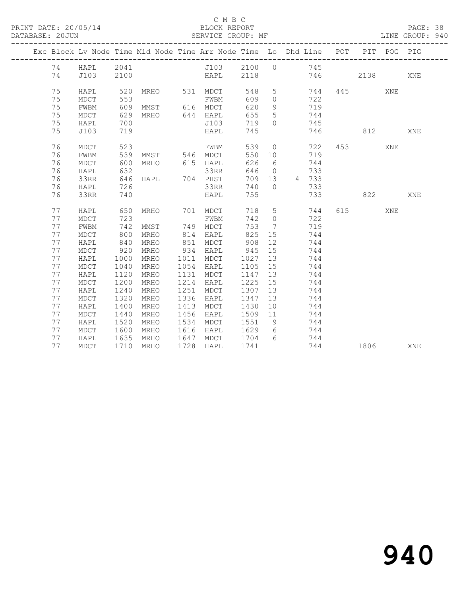## C M B C

| PRINT DATE: 20/05/14<br>DATABASE: 20JUN |    |              |            |                                                                    | BLOCK REPORT<br>SERVICE GROUP: MF<br>BLOCK REPORT |             |                 |                                                              |           |              |     |             | PAGE: 38<br>LINE GROUP: 940 |  |
|-----------------------------------------|----|--------------|------------|--------------------------------------------------------------------|---------------------------------------------------|-------------|-----------------|--------------------------------------------------------------|-----------|--------------|-----|-------------|-----------------------------|--|
|                                         |    |              |            | Exc Block Lv Node Time Mid Node Time Arr Node Time Lo Dhd Line POT |                                                   |             |                 |                                                              |           |              |     | PIT POG PIG |                             |  |
|                                         |    | 74 HAPL 2041 |            | J103 2100 0 745                                                    |                                                   |             |                 |                                                              |           |              |     |             |                             |  |
|                                         | 74 | J103         | 2100       |                                                                    | HAPL 2118 746 2138                                |             |                 |                                                              |           |              |     |             | XNE                         |  |
|                                         | 75 | HAPL         |            | 520 MRHO 531 MDCT                                                  |                                                   | 548         |                 |                                                              | 5 744     |              | 445 | XNE         |                             |  |
|                                         | 75 | MDCT         | 553        |                                                                    | FWBM                                              | 609         |                 | $0 \qquad \qquad 722$                                        |           |              |     |             |                             |  |
|                                         | 75 | FWBM         |            | 609 MMST 616 MDCT                                                  |                                                   | 620         |                 | 9 719                                                        |           |              |     |             |                             |  |
|                                         | 75 | MDCT         | 629        | MRHO 644 HAPL                                                      |                                                   | 655         |                 |                                                              |           |              |     |             |                             |  |
|                                         | 75 | HAPL         | 700        |                                                                    | J103                                              | 719         |                 | $\begin{array}{ccc} 5 & 744 \\ 0 & 745 \end{array}$          |           |              |     |             |                             |  |
|                                         | 75 | J103         | 719        |                                                                    | HAPL                                              | 745         |                 |                                                              |           | 746 812      |     |             | XNE                         |  |
|                                         | 76 | MDCT         | 523        |                                                                    | FWBM                                              | 539         |                 |                                                              | $0$ 722   |              | 453 | XNE         |                             |  |
|                                         | 76 | FWBM         |            |                                                                    |                                                   | 550 10      |                 |                                                              | 719       |              |     |             |                             |  |
|                                         | 76 | MDCT         |            | 539 MMST 546 MDCT<br>600 MRHO 615 HAPL                             |                                                   | 626         | $6\overline{6}$ |                                                              | 744       |              |     |             |                             |  |
|                                         | 76 | HAPL         | 600<br>632 |                                                                    | нАРL<br>33RR                                      |             |                 | $\begin{array}{ccc}\n646 & 0 \\ \hline\n76 & 0\n\end{array}$ | 733       |              |     |             |                             |  |
|                                         | 76 | 33RR         |            |                                                                    |                                                   |             |                 | 709 13 4 733                                                 |           |              |     |             |                             |  |
|                                         | 76 | HAPL         | 726        |                                                                    | 33RR                                              | 740 0       |                 |                                                              | 733       |              |     |             |                             |  |
|                                         | 76 | 33RR         | 740        |                                                                    | HAPL                                              | 755         |                 |                                                              | 733       | 822          |     |             | XNE                         |  |
|                                         | 77 | HAPL         | 650        | MRHO 701 MDCT                                                      |                                                   |             |                 |                                                              | 718 5 744 |              | 615 | XNE         |                             |  |
|                                         | 77 | MDCT         | 723        |                                                                    | FWBM                                              |             |                 | 742 0                                                        | 722       |              |     |             |                             |  |
|                                         | 77 | FWBM         |            | 742 MMST 749 MDCT                                                  |                                                   | 753         |                 | 7 719                                                        |           |              |     |             |                             |  |
|                                         | 77 | MDCT         | 800        | MRHO                                                               | 814 HAPL                                          | 825         |                 | 15 744                                                       |           |              |     |             |                             |  |
|                                         | 77 | HAPL         |            | MRHO                                                               |                                                   | 908         |                 | 12                                                           | 744       |              |     |             |                             |  |
|                                         | 77 | MDCT         | 840<br>920 | MRHO                                                               | 851 MDCT<br>934 HAPL                              | 945         | 15              |                                                              | 744       |              |     |             |                             |  |
|                                         | 77 | HAPL         | 1000       | MRHO                                                               | 1011 MDCT                                         | 1027        |                 | $\begin{array}{c}\n 13 \\  744\n \end{array}$                |           |              |     |             |                             |  |
|                                         | 77 | MDCT         | 1040       | MRHO                                                               | 1054 HAPL                                         | 1105 15 744 |                 |                                                              |           |              |     |             |                             |  |
|                                         | 77 | HAPL         | 1120       | MRHO                                                               | 1131 MDCT                                         | 1147        |                 | 13 744                                                       |           |              |     |             |                             |  |
|                                         | 77 | MDCT         | 1200       | MRHO                                                               | 1214 HAPL                                         | 1225 15     |                 |                                                              | 744       |              |     |             |                             |  |
|                                         | 77 | HAPL         | 1240       | MRHO                                                               | 1251 MDCT                                         | 1307        | 13              |                                                              | 744       |              |     |             |                             |  |
|                                         | 77 | MDCT         | 1320       | MRHO                                                               | 1336 HAPL                                         | 1347        |                 | $\frac{1}{13}$ $\frac{744}{744}$                             |           |              |     |             |                             |  |
|                                         | 77 | HAPL         | 1400       | MRHO                                                               | 1413 MDCT                                         | 1430        | 10              | 744                                                          |           |              |     |             |                             |  |
|                                         | 77 | MDCT         | 1440       | MRHO                                                               | 1456 HAPL                                         | 1509        |                 | 11 744                                                       |           |              |     |             |                             |  |
|                                         | 77 | HAPL         | 1520       | MRHO                                                               | 1534 MDCT                                         | 1551        |                 | 9 744                                                        |           |              |     |             |                             |  |
|                                         | 77 | MDCT         |            |                                                                    | 1616 HAPL                                         | 1629        |                 | $\begin{array}{ccc} 6 & 744 \\ 6 & 744 \end{array}$          |           |              |     |             |                             |  |
|                                         | 77 | HAPL         |            | 1600 MRHO<br>1635 MRHO                                             | 1647 MDCT 1704 6                                  |             |                 |                                                              |           |              |     |             |                             |  |
|                                         | 77 | MDCT         |            | 1710 MRHO                                                          | 1728 HAPL                                         | 1741        |                 |                                                              |           | 744 1806 XNE |     |             |                             |  |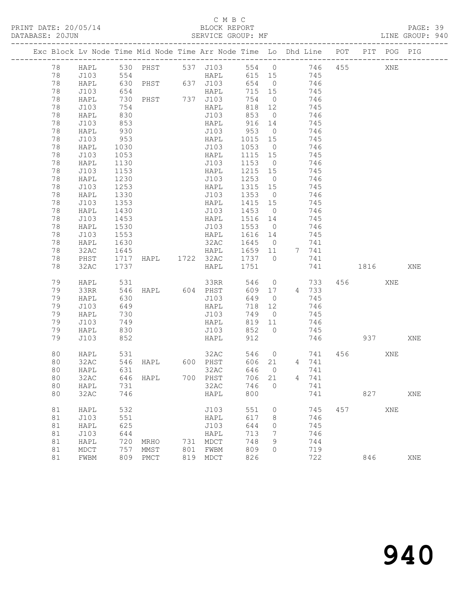## C M B C<br>BLOCK REPORT

PAGE: 39<br>LINE GROUP: 940

|    | Exc Block Lv Node Time Mid Node Time Arr Node Time Lo Dhd Line POT |              |               |     |                              |            |                |              |       |          | PIT POG PIG |     |
|----|--------------------------------------------------------------------|--------------|---------------|-----|------------------------------|------------|----------------|--------------|-------|----------|-------------|-----|
| 78 | HAPL 530 PHST 537 J103 554 0 746 455                               |              |               |     |                              |            |                |              |       |          | XNE         |     |
| 78 | J103                                                               | 554          |               |     | HAPL                         |            |                | 615 15 745   |       |          |             |     |
| 78 | HAPL                                                               |              |               |     | 630 PHST 637 J103            |            |                | 654 0 746    |       |          |             |     |
| 78 | J103                                                               | 654          |               |     | HAPL                         | 715 15     |                | 745          |       |          |             |     |
| 78 | HAPL                                                               | 730          | PHST 737 J103 |     |                              | 754 0      |                |              | 746   |          |             |     |
| 78 | J103                                                               | 754          |               |     | HAPL                         | 818 12     |                |              | 745   |          |             |     |
| 78 | HAPL                                                               | 830          |               |     | J103                         |            |                | 853 0 746    |       |          |             |     |
| 78 | J103                                                               | 853          |               |     | HAPL                         | 916 14     |                |              | 745   |          |             |     |
| 78 | HAPL                                                               |              |               |     |                              |            |                |              | 746   |          |             |     |
| 78 | J103                                                               | 930<br>953   |               |     | $0103$ 953 0<br>HAPL 1015 15 |            |                |              | 745   |          |             |     |
| 78 | HAPL                                                               | 1030         |               |     | J103                         | 1053 0 746 |                |              |       |          |             |     |
| 78 | J103                                                               | 1053         |               |     | HAPL                         | 1115 15    |                | 745          |       |          |             |     |
| 78 | HAPL                                                               | 1130         |               |     | J103                         | 1153 0     |                |              | 746   |          |             |     |
| 78 | J103                                                               | 1153         |               |     | HAPL                         | 1215 15    |                |              | 745   |          |             |     |
| 78 | HAPL                                                               | 1230         |               |     | J103 1253 0 746              |            |                |              |       |          |             |     |
| 78 | J103                                                               | 1253         |               |     | HAPL                         | 1315 15    |                | 745          |       |          |             |     |
| 78 | HAPL                                                               |              |               |     | J103                         | 1353 0     |                |              | 746   |          |             |     |
| 78 | J103                                                               | 1330<br>1353 |               |     | HAPL                         | 1415 15    |                |              | 745   |          |             |     |
| 78 | HAPL                                                               | 1430         |               |     | J103 1453 0                  |            |                | 746          |       |          |             |     |
| 78 | J103                                                               | 1453         |               |     | HAPL 1516 14                 |            |                | 745          |       |          |             |     |
| 78 | HAPL                                                               | 1530         |               |     | J103                         | 1553 0     |                |              | 746   |          |             |     |
| 78 | J103                                                               | 1553         |               |     | HAPL                         | 1616 14    |                |              | 745   |          |             |     |
| 78 | HAPL                                                               | 1630         |               |     | 32AC 1645 0                  |            |                |              | 741   |          |             |     |
| 78 | 32AC                                                               | 1645         |               |     | HAPL 1659 11 7 741           |            |                |              |       |          |             |     |
| 78 | PHST                                                               |              |               |     | 1717 HAPL 1722 32AC 1737 0   |            |                |              | 741   |          |             |     |
| 78 | 32AC                                                               | 1737         |               |     | HAPL 1751                    |            |                |              | 741   | 1816     |             | XNE |
|    |                                                                    |              |               |     |                              |            |                |              |       |          |             |     |
| 79 | HAPL                                                               | 531          |               |     | 33RR                         |            |                | 546 0        | 733   | 456 70   | XNE         |     |
| 79 | 33RR                                                               | 546          |               |     | HAPL 604 PHST                |            |                | 609 17 4 733 |       |          |             |     |
| 79 | HAPL                                                               | 630          |               |     | J103                         | 649        | $\overline{0}$ |              | 745   |          |             |     |
| 79 | J103                                                               | 649          |               |     | HAPL                         | 718 12     |                |              | 746   |          |             |     |
| 79 | HAPL                                                               | 730          |               |     | J103                         |            |                | 749 0 745    |       |          |             |     |
| 79 | J103                                                               | 749          |               |     | HAPL                         | 819 11     |                |              | 746   |          |             |     |
| 79 | HAPL                                                               | 830          |               |     | J103<br>HAPL                 | 852 0      |                |              | 745   |          |             |     |
| 79 | J103                                                               | 852          |               |     |                              | 912        |                |              | 746   |          | 937 — 100   | XNE |
|    |                                                                    |              |               |     |                              |            |                |              |       |          |             |     |
| 80 | HAPL                                                               | 531          |               |     | 32AC                         |            |                | 546 0        | 741   | 456      | XNE         |     |
| 80 | 32AC                                                               | 546          | HAPL          |     | $600$ PHST                   | 606 21     |                |              | 4 741 |          |             |     |
| 80 | HAPL                                                               | 631          |               |     | 32AC                         | 646 0      |                |              | 741   |          |             |     |
| 80 | 32AC                                                               |              | 646 HAPL      |     | 700 PHST                     | 706 21     |                |              | 4 741 |          |             |     |
| 80 | HAPL                                                               | 731          |               |     | 32AC                         | 746        | $\overline{0}$ |              | 741   |          |             |     |
| 80 | 32AC                                                               | 746          |               |     | HAPL                         | 800        |                |              | 741   | 827 — 10 |             | XNE |
|    |                                                                    |              |               |     |                              |            |                |              |       |          |             |     |
| 81 | HAPL                                                               | 532          |               |     | J103                         | 551        | $\circ$        |              | 745   | 457      | XNE         |     |
| 81 | J103                                                               | 551          |               |     | HAPL                         | 617        | 8              |              | 746   |          |             |     |
| 81 | HAPL                                                               | 625          |               |     | J103                         | 644        | 0              |              | 745   |          |             |     |
| 81 | J103                                                               | 644          |               |     | HAPL                         | 713        | 7              |              | 746   |          |             |     |
| 81 | HAPL                                                               | 720          | MRHO          |     | 731 MDCT                     | 748        | 9              |              | 744   |          |             |     |
| 81 | MDCT                                                               | 757          | MMST          | 801 | FWBM                         | 809        | $\Omega$       |              | 719   |          |             |     |
| 81 | FWBM                                                               |              | 809 PMCT      |     | 819 MDCT                     | 826        |                |              | 722   | 846      |             | XNE |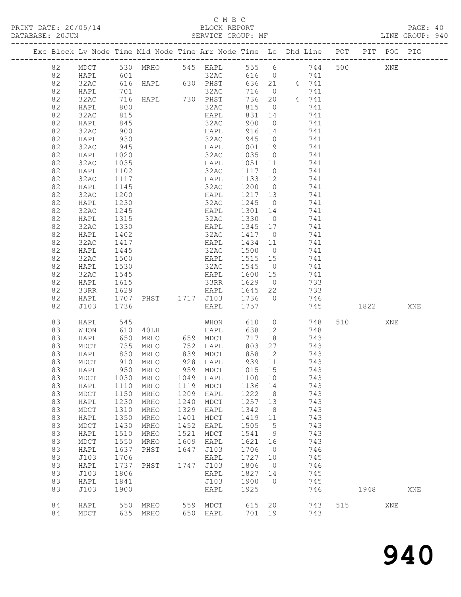## C M B C<br>BLOCK REPORT

| DATABASE: 20JUN |      |              | -------------------                      |      | SERVICE GROUP: MF                     |                  |                |                                                                                |                | LINE GROUP: 940 |  |
|-----------------|------|--------------|------------------------------------------|------|---------------------------------------|------------------|----------------|--------------------------------------------------------------------------------|----------------|-----------------|--|
|                 |      |              |                                          |      |                                       |                  |                | Exc Block Lv Node Time Mid Node Time Arr Node Time Lo Dhd Line POT PIT POG PIG |                |                 |  |
| 82              |      |              |                                          |      |                                       |                  |                | MDCT 530 MRHO 545 HAPL 555 6 744 500 XNE                                       |                |                 |  |
| 82              | HAPL | 601          |                                          |      |                                       |                  |                |                                                                                |                |                 |  |
| 82              | 32AC |              |                                          |      |                                       |                  |                |                                                                                |                |                 |  |
| 82              | HAPL |              |                                          |      |                                       |                  |                |                                                                                |                |                 |  |
| 82              | 32AC |              |                                          |      |                                       |                  |                | 716 0 741<br>736 20 4 741                                                      |                |                 |  |
| 82              | HAPL | 800          |                                          |      | 32AC                                  |                  |                | 815 0<br>741                                                                   |                |                 |  |
| 82              | 32AC | 815          |                                          |      | HAPL                                  | 831              | 14             | 741                                                                            |                |                 |  |
| 82              | HAPL |              |                                          |      |                                       |                  |                | 741                                                                            |                |                 |  |
| 82              | 32AC | 845<br>900   |                                          |      | 32AC 900 0<br>HAPL 916 14             |                  |                | 741                                                                            |                |                 |  |
| 82              | HAPL | 930          |                                          |      |                                       |                  |                | 32AC 945 0 741                                                                 |                |                 |  |
| 82              | 32AC | 945          |                                          |      | HAPL 1001 19                          |                  |                | 741                                                                            |                |                 |  |
| 82              | HAPL |              |                                          |      | 32AC                                  | 1035 0           |                | 741                                                                            |                |                 |  |
| 82              |      | 1020<br>1035 |                                          |      | HAPL                                  |                  |                | 741                                                                            |                |                 |  |
|                 | 32AC |              |                                          |      |                                       | 1051 11          |                | 1117 0 741                                                                     |                |                 |  |
| 82              | HAPL | 1102         |                                          |      | 32AC                                  |                  |                |                                                                                |                |                 |  |
| 82              | 32AC | 1117         |                                          |      | HAPL                                  |                  |                | 1133 12 741                                                                    |                |                 |  |
| 82              | HAPL | 1145<br>1200 |                                          |      | 32AC<br>32AC 1200 0<br>HAPL 1217 13   | 1200 0           |                | 741                                                                            |                |                 |  |
| 82              | 32AC |              |                                          |      |                                       |                  |                | 741                                                                            |                |                 |  |
| 82              | HAPL | 1230         |                                          |      |                                       |                  |                | 32AC 1245 0 741                                                                |                |                 |  |
| 82              | 32AC | 1245         |                                          |      | HAPL 1301 14                          |                  |                | 741                                                                            |                |                 |  |
| 82              | HAPL | 1315         |                                          |      | 32AC 1330 0                           |                  |                | 741                                                                            |                |                 |  |
| 82              | 32AC | 1330         |                                          |      | HAPL 1345 17                          |                  |                | 741                                                                            |                |                 |  |
| 82              | HAPL | 1402         |                                          |      | 32AC 1417 0                           |                  |                | 741                                                                            |                |                 |  |
| 82              | 32AC | 1417         |                                          |      | HAPL                                  |                  |                | 1434 11<br>741                                                                 |                |                 |  |
| 82              | HAPL | 1445         |                                          |      | 32AC                                  | 1500 0           |                | 741                                                                            |                |                 |  |
| 82              | 32AC | 1500         |                                          |      | HAPL                                  | 1515 15          |                | 741                                                                            |                |                 |  |
| 82              | HAPL | 1530         |                                          |      | 32AC 1545 0                           |                  |                | 741                                                                            |                |                 |  |
| 82              | 32AC | 1545         |                                          |      |                                       |                  |                | HAPL 1600 15 741                                                               |                |                 |  |
| 82              | HAPL | 1615         |                                          |      | 33RR                                  | 1629 0           |                | 733                                                                            |                |                 |  |
| 82              | 33RR |              |                                          |      |                                       |                  |                | 733                                                                            |                |                 |  |
| 82              | HAPL | 1629<br>1707 |                                          |      | HAPL 1645 22<br>PHST 1717 J103 1736 0 |                  |                | 746                                                                            |                |                 |  |
| 82              | J103 | 1736         |                                          |      | HAPL 1757                             |                  |                |                                                                                | 745 1822       | XNE             |  |
| 83              | HAPL |              |                                          |      |                                       |                  |                |                                                                                | 510 310<br>XNE |                 |  |
| 83              | WHON | 545<br>610   |                                          |      |                                       |                  |                | MHON 610 0 748<br>40LH HAPL 638 12 748                                         |                |                 |  |
| 83              | HAPL | 650          |                                          |      | MRHO 659 MDCT                         | 717              |                | 18<br>743                                                                      |                |                 |  |
| 83              | MDCT |              | MRHO 752 HAPL                            |      |                                       |                  |                | 803 27 743                                                                     |                |                 |  |
| 83              | HAPL |              | 735 MRHO<br>830 MRHO<br>910 MRHO<br>MRHO |      |                                       |                  |                |                                                                                |                |                 |  |
| 83              | MDCT |              |                                          |      | 839 MDCT<br>928 HAPL                  | 858 12<br>939 11 |                | 743<br>743                                                                     |                |                 |  |
|                 |      |              | 950 MRHO                                 |      | 959 MDCT 1015 15                      |                  |                |                                                                                |                |                 |  |
| 83              | HAPL |              |                                          |      |                                       |                  |                | 743                                                                            |                |                 |  |
| 83              | MDCT | 1030         | MRHO                                     | 1049 | HAPL                                  | 1100 10          |                | 743                                                                            |                |                 |  |
| 83              | HAPL | 1110         | MRHO                                     | 1119 | MDCT                                  | 1136 14          |                | 743                                                                            |                |                 |  |
| 83              | MDCT | 1150         | MRHO                                     | 1209 | HAPL                                  | 1222             | 8 <sup>8</sup> | 743                                                                            |                |                 |  |
| 83              | HAPL | 1230         | MRHO                                     | 1240 | MDCT                                  | 1257 13          |                | 743                                                                            |                |                 |  |
| 83              | MDCT | 1310         | MRHO                                     | 1329 | HAPL                                  | 1342             | 8              | 743                                                                            |                |                 |  |
| 83              | HAPL | 1350         | MRHO                                     | 1401 | ${\tt MDCT}$                          | 1419 11          |                | 743                                                                            |                |                 |  |
| 83              | MDCT | 1430         | MRHO                                     | 1452 | HAPL                                  | 1505 5           |                | 743                                                                            |                |                 |  |
| 83              | HAPL | 1510         | MRHO                                     | 1521 | MDCT                                  | 1541 9           |                | 743                                                                            |                |                 |  |
| 83              | MDCT | 1550         | MRHO                                     | 1609 | HAPL                                  | 1621 16          |                | 743                                                                            |                |                 |  |
| 83              | HAPL | 1637         | PHST                                     | 1647 | J103                                  | 1706             | $\overline{0}$ | 746                                                                            |                |                 |  |
| 83              | J103 | 1706         |                                          |      | HAPL                                  | 1727 10          |                | 745                                                                            |                |                 |  |
| 83              | HAPL | 1737         | PHST                                     | 1747 | J103                                  | 1806             | $\overline{0}$ | 746                                                                            |                |                 |  |
| 83              | J103 | 1806         |                                          |      | HAPL                                  | 1827 14          |                | 745                                                                            |                |                 |  |
| 83              | HAPL | 1841         |                                          |      | J103                                  | 1900 0           |                | 745                                                                            |                |                 |  |
| 83              | J103 | 1900         |                                          |      | HAPL                                  | 1925             |                | 746                                                                            | 1948           | XNE             |  |
|                 |      |              |                                          |      |                                       |                  |                |                                                                                |                |                 |  |
| 84              | HAPL |              | 550 MRHO 559 MDCT                        |      |                                       |                  |                | 615 20 743                                                                     | 515<br>XNE     |                 |  |
| 84              | MDCT |              | 635 MRHO                                 |      | 650 HAPL                              | 701 19           |                | 743                                                                            |                |                 |  |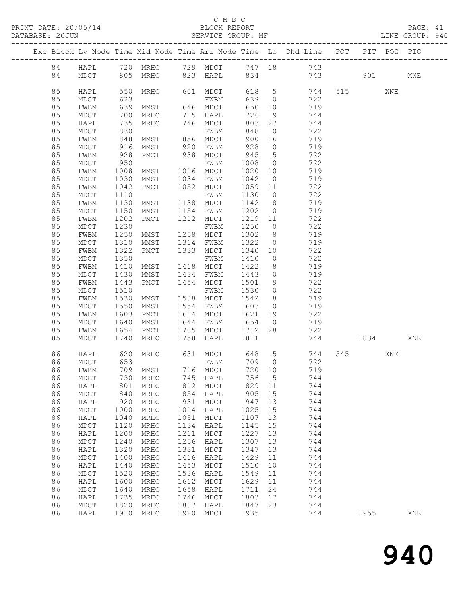## C M B C<br>BLOCK REPORT

PAGE: 41<br>LINE GROUP: 940

|  |          |                     |              |              |              |                 |              |                      | Exc Block Lv Node Time Mid Node Time Arr Node Time Lo Dhd Line POT |     |      | PIT POG PIG |     |
|--|----------|---------------------|--------------|--------------|--------------|-----------------|--------------|----------------------|--------------------------------------------------------------------|-----|------|-------------|-----|
|  | 84       | HAPL                |              | 720 MRHO     |              | 729 MDCT 747 18 |              |                      | 743                                                                |     |      |             |     |
|  | 84       | MDCT                | 805          | MRHO         |              | 823 HAPL        | 834          |                      | 743                                                                |     | 901  |             | XNE |
|  |          |                     |              |              |              |                 |              |                      |                                                                    |     |      |             |     |
|  | 85       | HAPL                | 550          | MRHO         |              | 601 MDCT        | 618          | $5^{\circ}$          | 744                                                                |     | 515  | XNE         |     |
|  | 85       | MDCT                | 623          |              |              | FWBM            | 639          | $\overline{0}$       | 722                                                                |     |      |             |     |
|  | 85       | FWBM                | 639          | MMST         |              | 646 MDCT        | 650          | 10                   | 719                                                                |     |      |             |     |
|  | 85       | MDCT                | 700          | MRHO         | 715          | HAPL            | 726          | 9                    | 744                                                                |     |      |             |     |
|  | 85       | HAPL                | 735          | MRHO         | 746          | MDCT            | 803          | 27                   | 744                                                                |     |      |             |     |
|  | 85       | MDCT                | 830          |              |              | FWBM            | 848          | $\overline{0}$       | 722                                                                |     |      |             |     |
|  | 85       | FWBM                | 848          | MMST         | 856          | MDCT            | 900          | 16                   | 719                                                                |     |      |             |     |
|  | 85       | MDCT                | 916          | MMST         | 920          | FWBM            | 928          | $\overline{0}$       | 719                                                                |     |      |             |     |
|  | 85       | FWBM                | 928          | PMCT         | 938          | MDCT            | 945          | $5\phantom{.0}$      | 722                                                                |     |      |             |     |
|  | 85       | MDCT                | 950          |              |              | FWBM            | 1008         | $\overline{0}$       | 722                                                                |     |      |             |     |
|  | 85       | FWBM                | 1008         | MMST         | 1016         | MDCT            | 1020         | 10                   | 719                                                                |     |      |             |     |
|  | 85       | MDCT                | 1030         | MMST         | 1034         | FWBM            | 1042         | $\overline{0}$       | 719                                                                |     |      |             |     |
|  | 85       | FWBM                | 1042         | PMCT         |              | 1052 MDCT       | 1059         | 11                   | 722                                                                |     |      |             |     |
|  | 85       | MDCT                | 1110         |              |              | FWBM            | 1130         | $\overline{0}$       | 722                                                                |     |      |             |     |
|  | 85       | FWBM                | 1130         | MMST         | 1138         | MDCT            | 1142         | 8                    | 719                                                                |     |      |             |     |
|  | 85       | MDCT                | 1150         | MMST         | 1154         | FWBM            | 1202         | $\overline{0}$       | 719                                                                |     |      |             |     |
|  | 85       | FWBM                | 1202         | PMCT         | 1212         | MDCT            | 1219         | 11                   | 722                                                                |     |      |             |     |
|  | 85       | MDCT                | 1230         |              |              | FWBM            | 1250         | $\overline{0}$       | 722                                                                |     |      |             |     |
|  | 85<br>85 | FWBM                | 1250         | MMST         | 1258<br>1314 | MDCT            | 1302<br>1322 | 8                    | 719                                                                |     |      |             |     |
|  | 85       | MDCT<br>FWBM        | 1310<br>1322 | MMST<br>PMCT | 1333         | FWBM<br>MDCT    | 1340         | $\overline{0}$<br>10 | 719<br>722                                                         |     |      |             |     |
|  | 85       | MDCT                | 1350         |              |              | FWBM            | 1410         | $\overline{0}$       | 722                                                                |     |      |             |     |
|  | 85       | FWBM                | 1410         | MMST         | 1418         | MDCT            | 1422         | 8                    | 719                                                                |     |      |             |     |
|  | 85       | MDCT                | 1430         | MMST         | 1434         | FWBM            | 1443         | $\circ$              | 719                                                                |     |      |             |     |
|  | 85       | FWBM                | 1443         | PMCT         | 1454         | MDCT            | 1501         | 9                    | 722                                                                |     |      |             |     |
|  | 85       | MDCT                | 1510         |              |              | FWBM            | 1530         | $\overline{0}$       | 722                                                                |     |      |             |     |
|  | 85       | FWBM                | 1530         | MMST         | 1538         | MDCT            | 1542         | 8                    | 719                                                                |     |      |             |     |
|  | 85       | MDCT                | 1550         | MMST         | 1554         | FWBM            | 1603         | $\circ$              | 719                                                                |     |      |             |     |
|  | 85       | FWBM                | 1603         | PMCT         | 1614         | MDCT            | 1621         | 19                   | 722                                                                |     |      |             |     |
|  | 85       | $\tt{MDCT}$         | 1640         | MMST         | 1644         | FWBM            | 1654         | $\overline{0}$       | 719                                                                |     |      |             |     |
|  | 85       | FWBM                | 1654         | PMCT         | 1705         | MDCT            | 1712         | 28                   | 722                                                                |     |      |             |     |
|  | 85       | MDCT                | 1740         | MRHO         | 1758         | HAPL            | 1811         |                      | 744                                                                |     | 1834 |             | XNE |
|  |          |                     |              |              |              |                 |              |                      |                                                                    |     |      |             |     |
|  | 86       | HAPL                | 620          | MRHO         |              | 631 MDCT        | 648          | $5^{\circ}$          | 744                                                                | 545 |      | XNE         |     |
|  | 86       | MDCT                | 653          |              |              | FWBM            | 709          | $\overline{0}$       | 722                                                                |     |      |             |     |
|  | 86       | FWBM                |              | 709 MMST     |              | 716 MDCT        | 720 10       |                      | 719                                                                |     |      |             |     |
|  | 86       | MDCT                |              | 730 MRHO     |              | 745 HAPL        | 756 5        |                      | 744                                                                |     |      |             |     |
|  | 86       | HAPL                | 801          | MRHO         | 812          | MDCT            | 829          | 11                   | 744                                                                |     |      |             |     |
|  | 86       | MDCT                | 840          | MRHO         | 854          | HAPL            | 905          | 15                   | 744                                                                |     |      |             |     |
|  | 86       | HAPL                | 920          | MRHO         | 931          | MDCT            | 947          | 13                   | 744                                                                |     |      |             |     |
|  | 86       | $\tt{MDCT}$         | 1000         | MRHO         | 1014         | HAPL            | 1025         | 15                   | 744                                                                |     |      |             |     |
|  | 86       | HAPL                | 1040         | MRHO         | 1051<br>1134 | MDCT            | 1107         | 13                   | 744                                                                |     |      |             |     |
|  | 86<br>86 | $\tt{MDCT}$         | 1120<br>1200 | MRHO         | 1211         | HAPL            | 1145<br>1227 | 15                   | 744<br>744                                                         |     |      |             |     |
|  | 86       | HAPL<br>$\tt{MDCT}$ | 1240         | MRHO<br>MRHO | 1256         | MDCT<br>HAPL    | 1307         | 13<br>13             | 744                                                                |     |      |             |     |
|  | 86       | HAPL                | 1320         | MRHO         | 1331         | MDCT            | 1347         | 13                   | 744                                                                |     |      |             |     |
|  | 86       | $\tt{MDCT}$         | 1400         | MRHO         | 1416         | HAPL            | 1429         | 11                   | 744                                                                |     |      |             |     |
|  | 86       | HAPL                | 1440         | MRHO         | 1453         | MDCT            | 1510         | 10                   | 744                                                                |     |      |             |     |
|  | 86       | MDCT                | 1520         | MRHO         | 1536         | HAPL            | 1549         | 11                   | 744                                                                |     |      |             |     |
|  | 86       | HAPL                | 1600         | MRHO         | 1612         | MDCT            | 1629         | 11                   | 744                                                                |     |      |             |     |
|  | 86       | $\tt{MDCT}$         | 1640         | MRHO         | 1658         | HAPL            | 1711         | 24                   | 744                                                                |     |      |             |     |
|  | 86       | HAPL                | 1735         | MRHO         | 1746         | MDCT            | 1803         | 17                   | 744                                                                |     |      |             |     |
|  | 86       | MDCT                | 1820         | MRHO         | 1837         | HAPL            | 1847         | 23                   | 744                                                                |     |      |             |     |
|  | 86       | HAPL                | 1910         | MRHO         | 1920         | MDCT            | 1935         |                      | 744                                                                |     | 1955 |             | XNE |
|  |          |                     |              |              |              |                 |              |                      |                                                                    |     |      |             |     |

940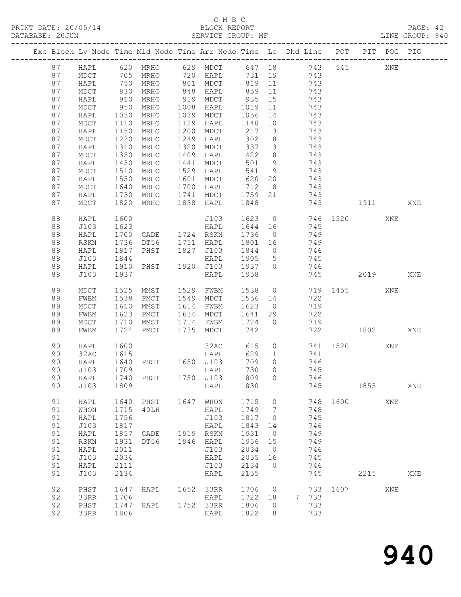## C M B C<br>BLOCK REPORT

PAGE: 42<br>LINE GROUP: 940

|    |                   |            | Exc Block Lv Node Time Mid Node Time Arr Node Time Lo Dhd Line POT PIT POG PIG |      |                      |            |                      |                                         |     |                                |      |     |     |
|----|-------------------|------------|--------------------------------------------------------------------------------|------|----------------------|------------|----------------------|-----------------------------------------|-----|--------------------------------|------|-----|-----|
| 87 | HAPL              |            | 620 MRHO 629 MDCT 647 18 743                                                   |      |                      |            |                      |                                         |     |                                | 545  | XNE |     |
| 87 | MDCT              |            | 705 MRHO                                                                       |      | 720 HAPL             | 731        |                      | 19 743                                  |     |                                |      |     |     |
| 87 | HAPL              | 750<br>830 | MRHO                                                                           |      |                      | 819 11     |                      |                                         |     |                                |      |     |     |
| 87 | MDCT              |            | MRHO                                                                           |      | 801 MDCI<br>848 HAPL | 819<br>859 |                      |                                         |     |                                |      |     |     |
| 87 | HAPL              | 910        | MRHO                                                                           |      | 919 MDCT             | 935        | 15                   | 743                                     |     |                                |      |     |     |
| 87 | MDCT              | 950        | MRHO                                                                           | 1008 | HAPL                 | 1019       | 11                   | 743                                     |     |                                |      |     |     |
| 87 | HAPL              | 1030       | MRHO                                                                           | 1039 | MDCT                 | 1056       |                      |                                         | 743 |                                |      |     |     |
| 87 | $\tt{MDCT}$       | 1110       | MRHO                                                                           | 1129 | HAPL                 | 1140       |                      | $\begin{array}{c} 14 \\ 10 \end{array}$ | 743 |                                |      |     |     |
| 87 | HAPL              | 1150       | MRHO                                                                           | 1200 | MDCT                 | 1217       | 13                   | 743                                     |     |                                |      |     |     |
| 87 | MDCT              | 1230       | MRHO                                                                           | 1249 | HAPL                 | 1302       | 8 <sup>8</sup>       | 743                                     |     |                                |      |     |     |
| 87 | HAPL              | 1310       | MRHO                                                                           | 1320 | MDCT                 | 1337 13    |                      |                                         | 743 |                                |      |     |     |
| 87 | MDCT              | 1350       | MRHO                                                                           | 1409 | HAPL                 | 1422 8     |                      |                                         | 743 |                                |      |     |     |
| 87 | HAPL              | 1430       | MRHO                                                                           | 1441 | MDCT                 | 1501 9     |                      | 743                                     |     |                                |      |     |     |
| 87 | MDCT              | 1510       | MRHO                                                                           | 1529 | HAPL                 | 1541       | 9                    | 743                                     |     |                                |      |     |     |
| 87 | HAPL              | 1550       | MRHO                                                                           | 1601 | MDCT                 | 1620       | 20                   | 743                                     |     |                                |      |     |     |
| 87 | MDCT              | 1640       | MRHO                                                                           | 1700 | HAPL                 | 1712       | 18                   |                                         | 743 |                                |      |     |     |
| 87 | HAPL              | 1730       | MRHO                                                                           | 1741 | MDCT                 | 1759       | 21                   | 743                                     |     |                                |      |     |     |
| 87 | MDCT              | 1820       | MRHO                                                                           | 1838 | HAPL                 | 1848       |                      |                                         | 743 | 1911                           |      |     | XNE |
|    |                   |            |                                                                                |      |                      |            |                      |                                         |     |                                |      |     |     |
| 88 | HAPL              | 1600       |                                                                                |      | J103                 |            |                      |                                         |     | 1623 0 746 1520<br>1644 16 745 |      | XNE |     |
| 88 | J103              | 1623       |                                                                                |      | HAPL                 |            |                      |                                         |     |                                |      |     |     |
| 88 | HAPL              | 1700       | GADE 1724 RSKN                                                                 |      |                      | 1736       | $\overline{0}$       |                                         | 749 |                                |      |     |     |
| 88 | RSKN              | 1736       | DT56                                                                           |      | 1751 HAPL            | 1801       | 16                   |                                         | 749 |                                |      |     |     |
| 88 | HAPL              | 1817       | PHST                                                                           |      | 1827 J103            | 1844       | $\overline{0}$       |                                         | 746 |                                |      |     |     |
| 88 | J103              | 1844       |                                                                                |      | HAPL                 | 1905       | $5\overline{)}$      | 745                                     |     |                                |      |     |     |
| 88 | HAPL              | 1910       | PHST                                                                           |      | 1920 J103 1937 0     |            |                      | 746                                     |     |                                |      |     |     |
| 88 | J103              | 1937       |                                                                                |      | HAPL                 | 1958       |                      |                                         |     | 745                            | 2019 |     | XNE |
|    |                   |            |                                                                                |      |                      |            |                      |                                         |     |                                |      |     |     |
| 89 | MDCT              | 1525       | MMST                                                                           |      | 1529 FWBM            | 1538 0     |                      |                                         |     | 719 1455                       |      | XNE |     |
| 89 | FWBM              | 1538       | PMCT                                                                           |      | 1549 MDCT            | 1556 14    |                      |                                         | 722 |                                |      |     |     |
| 89 | MDCT              | 1610       | MMST                                                                           | 1614 | FWBM                 | 1623       | $\overline{0}$       |                                         | 719 |                                |      |     |     |
| 89 | FWBM              | 1623       | PMCT                                                                           | 1634 | MDCT                 | 1641       | 29                   |                                         | 722 |                                |      |     |     |
| 89 | MDCT              | 1710       | MMST                                                                           | 1714 | FWBM                 | 1724       | $\overline{0}$       |                                         | 719 |                                |      |     |     |
| 89 | FWBM              | 1724       | PMCT                                                                           | 1735 | MDCT                 | 1742       |                      |                                         | 722 | 1802                           |      |     | XNE |
|    |                   |            |                                                                                |      |                      |            |                      |                                         |     |                                |      |     |     |
| 90 | HAPL              | 1600       |                                                                                |      | 32AC                 |            |                      |                                         |     | 1615 0 741 1520<br>1629 11 741 |      | XNE |     |
| 90 | 32AC              | 1615       |                                                                                |      | HAPL                 | 1629 11    |                      |                                         | 741 |                                |      |     |     |
| 90 | HAPL              | 1640       | PHST 1650 J103                                                                 |      |                      | 1709 0     |                      | 746                                     |     |                                |      |     |     |
| 90 | J103              | 1709       |                                                                                |      | HAPL                 | 1730 10    |                      | 745                                     |     |                                |      |     |     |
|    | 90 HAPL 1740 PHST |            |                                                                                |      | 1750 J103 1809 0     |            |                      |                                         | 746 |                                |      |     |     |
| 90 | J103              | 1809       |                                                                                |      | HAPL                 | 1830       |                      |                                         | 745 |                                | 1853 |     | XNE |
| 91 | HAPL              | 1640       | PHST                                                                           | 1647 | WHON                 | 1715       | 0                    |                                         | 748 | 1600                           |      | XNE |     |
| 91 | WHON              | 1715       | 40LH                                                                           |      | HAPL                 | 1749       | 7                    |                                         | 748 |                                |      |     |     |
| 91 | HAPL              | 1756       |                                                                                |      | J103                 | 1817       | $\circ$              |                                         | 745 |                                |      |     |     |
| 91 | J103              | 1817       |                                                                                |      |                      | 1843       |                      |                                         | 746 |                                |      |     |     |
| 91 | HAPL              | 1857       | GADE                                                                           | 1919 | HAPL<br><b>RSKN</b>  | 1931       | 14<br>$\overline{0}$ |                                         | 749 |                                |      |     |     |
| 91 | <b>RSKN</b>       | 1931       | DT56                                                                           | 1946 | HAPL                 | 1956       | 15                   |                                         | 749 |                                |      |     |     |
| 91 | HAPL              | 2011       |                                                                                |      | J103                 | 2034       | $\overline{0}$       |                                         | 746 |                                |      |     |     |
| 91 | J103              | 2034       |                                                                                |      | HAPL                 | 2055       | 16                   |                                         | 745 |                                |      |     |     |
| 91 | HAPL              | 2111       |                                                                                |      | J103                 | 2134       | $\mathbf{0}$         |                                         | 746 |                                |      |     |     |
| 91 |                   |            |                                                                                |      |                      | 2155       |                      |                                         | 745 |                                | 2215 |     | XNE |
|    | J103              | 2134       |                                                                                |      | HAPL                 |            |                      |                                         |     |                                |      |     |     |
| 92 | PHST              | 1647       | HAPL                                                                           |      | 1652 33RR            | 1706       | $\overline{0}$       |                                         | 733 | 1607                           |      | XNE |     |
| 92 | 33RR              | 1706       |                                                                                |      | HAPL                 | 1722       | 18                   | $7\phantom{0}$                          | 733 |                                |      |     |     |
| 92 | PHST              | 1747       | HAPL                                                                           | 1752 | 33RR                 | 1806       | 0                    |                                         | 733 |                                |      |     |     |
| 92 | 33RR              | 1806       |                                                                                |      | HAPL                 | 1822       | 8                    |                                         | 733 |                                |      |     |     |
|    |                   |            |                                                                                |      |                      |            |                      |                                         |     |                                |      |     |     |